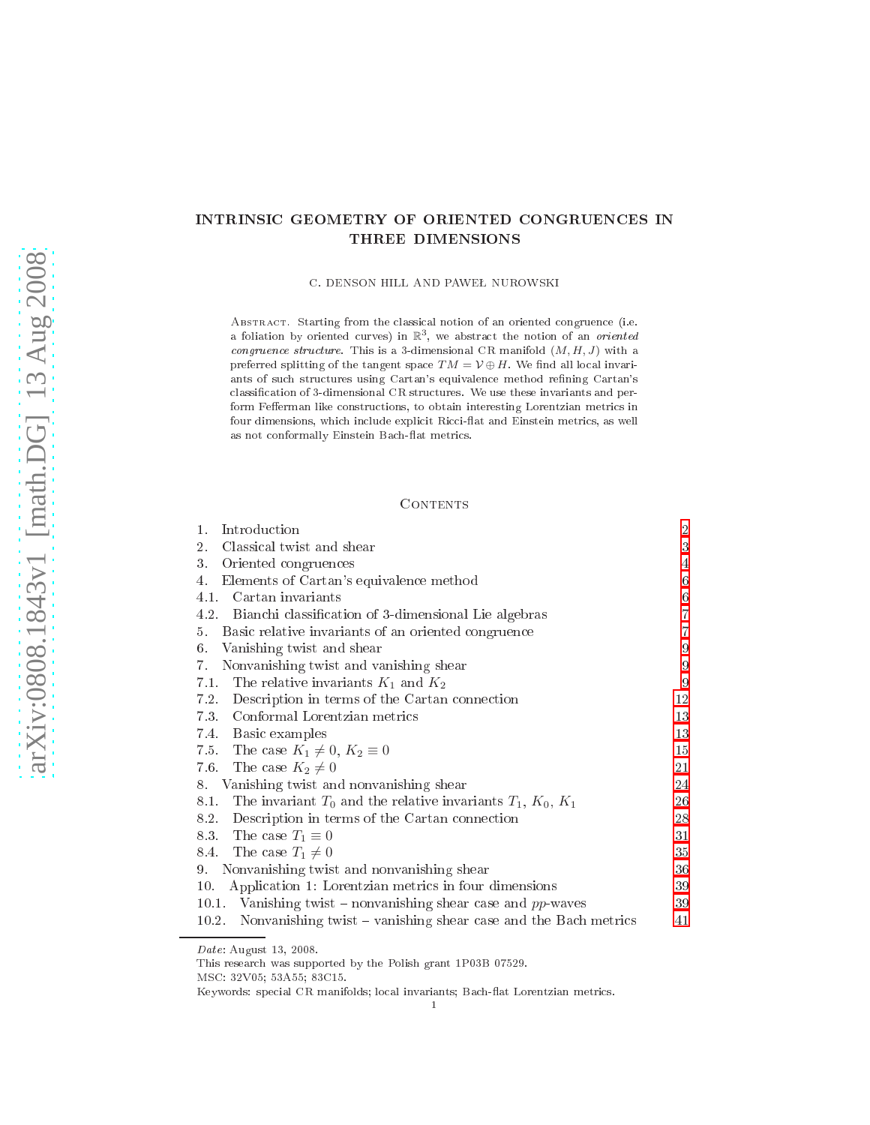# INTRINSIC GEOMETRY OF ORIENTED CONGRUENCES IN

C. DENSON HILL AND PAWEŁ NUROWSKI

ABSTRACT. Starting from the classical notion of an oriented congruence (i.e. a foliation by oriented curves) in  $\mathbb{R}^3$ , we abstract the notion of an *oriented* congruence structure. This is a 3-dimensional CR manifold  $(M, H, J)$  with a preferred splitting of the tangent space  $TM = V \oplus H$ . We find all local invariants of such structures using Cartan's equivalence method refining Cartan's classification of 3-dimensional CR structures. We use these invariants and perform Fefferman like constructions, to obtain interesting Lorentzian metrics in four dimensions, which include explicit Ricci-flat and Einstein metrics, as well as not conformally Einstein Bach-flat metrics.

## CONTENTS

| Introduction<br>1.                                                        | $\overline{2}$   |
|---------------------------------------------------------------------------|------------------|
| 2.<br>Classical twist and shear                                           | 3                |
| 3.<br>Oriented congruences                                                | 4                |
| Elements of Cartan's equivalence method<br>4.                             | $\boldsymbol{6}$ |
| 4.1.<br>Cartan invariants                                                 | $\,$ 6 $\,$      |
| 4.2.<br>Bianchi classification of 3-dimensional Lie algebras              | $\overline{7}$   |
| 5.<br>Basic relative invariants of an oriented congruence                 | $\overline{7}$   |
| 6.<br>Vanishing twist and shear                                           | 9                |
| 7.<br>Nonvanishing twist and vanishing shear                              | $\overline{9}$   |
| 7.1 The relative invariants $K_1$ and $K_2$                               | 9                |
| 7.2.<br>Description in terms of the Cartan connection                     | 12               |
| 7.3. Conformal Lorentzian metrics                                         | 13               |
| 7.4 Basic examples                                                        | 13               |
| 7.5. The case $K_1 \neq 0, K_2 \equiv 0$                                  | 15               |
| 7.6.<br>The case $K_2 \neq 0$                                             | 21               |
| Vanishing twist and nonvanishing shear<br>8.                              | 24               |
| 8.1.<br>The invariant $T_0$ and the relative invariants $T_1, K_0, K_1$   | 26               |
| Description in terms of the Cartan connection<br>8.2.                     | 28               |
| 8.3. The case $T_1 \equiv 0$                                              | 31               |
| The case $T_1 \neq 0$<br>8.4.                                             | 35               |
| Nonvanishing twist and nonvanishing shear<br>9.                           | 36               |
| Application 1: Lorentzian metrics in four dimensions<br>10.               | 39               |
| Vanishing twist – nonvanishing shear case and $pp$ -waves<br>10.1.        | 39               |
| Nonvanishing twist $-$ vanishing shear case and the Bach metrics<br>10.2. | 41               |
|                                                                           |                  |

Date: August 13, 2008.

This resear
h was supported by the Polish grant 1P03B 07529.

MSC: 32V05; 53A55; 83C15.

Keywords: special CR manifolds; local invariants; Bach-flat Lorentzian metrics.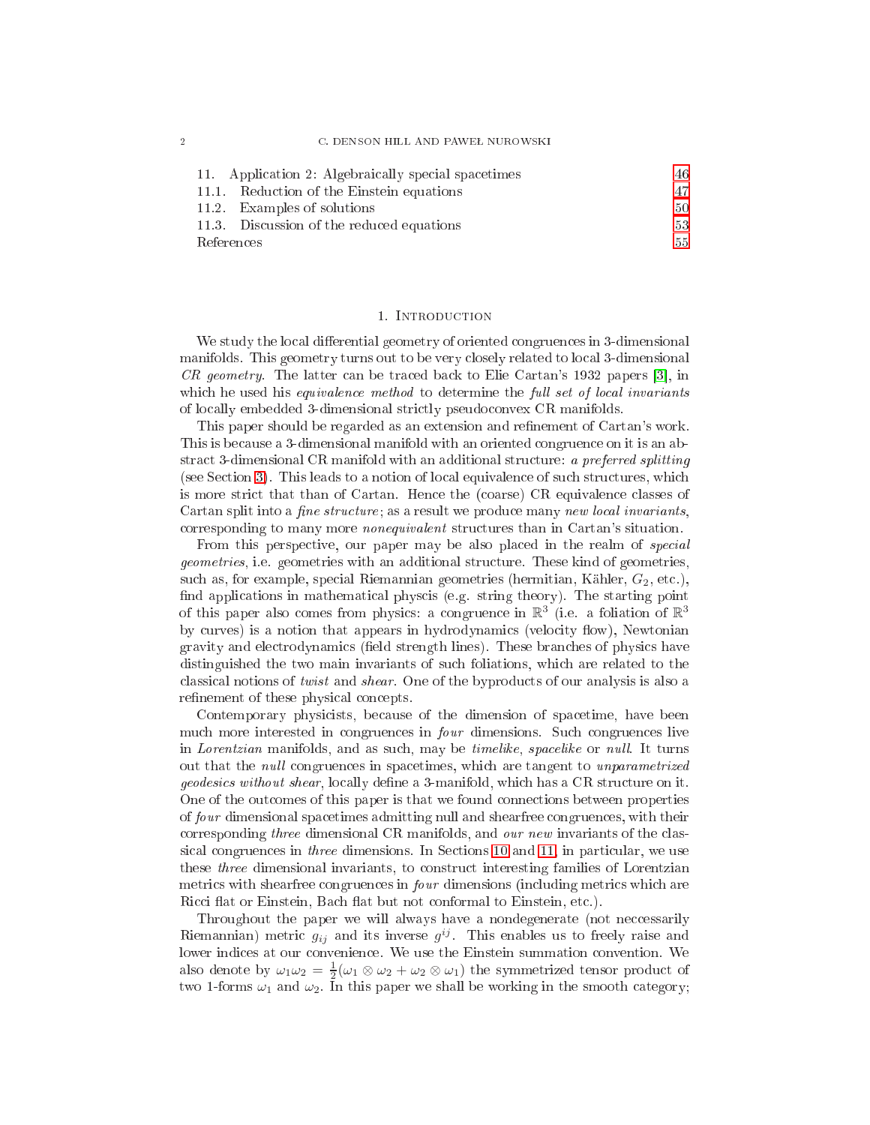| 11. Application 2: Algebraically special spacetimes | 46 |
|-----------------------------------------------------|----|
| 11.1. Reduction of the Einstein equations           |    |
| 11.2. Examples of solutions                         | 50 |
| 11.3. Discussion of the reduced equations           | 53 |
| References                                          | 55 |

#### 1. INTRODUCTION

<span id="page-1-0"></span>We study the local differential geometry of oriented congruences in 3-dimensional manifolds. This geometry turns out to be very closely related to local 3-dimensional  $CR$  geometry. The latter can be traced back to Elie Cartan's 1932 papers [3], in which he used his *equivalence method* to determine the *full set of local invariants* of lo
ally embedded 3-dimensional stri
tly pseudo
onvex CR manifolds.

This paper should be regarded as an extension and refinement of Cartan's work. This is be
ause a 3-dimensional manifold with an oriented ongruen
e on it is an abstract 3-dimensional CR manifold with an additional structure: a preferred splitting (see Se
tion [3\)](#page-3-0). This leads to a notion of lo
al equivalen
e of su
h stru
tures, whi
h is more strict that than of Cartan. Hence the (coarse) CR equivalence classes of Cartan split into a *fine structure*; as a result we produce many *new local invariants*, orresponding to many more nonequivalent stru
tures than in Cartan's situation.

From this perspective, our paper may be also placed in the realm of *special* geometries, i.e. geometries with an additional stru
ture. These kind of geometries, such as, for example, special Riemannian geometries (hermitian, Kähler,  $G_2$ , etc.), find applications in mathematical physcis (e.g. string theory). The starting point of this paper also comes from physics: a congruence in  $\mathbb{R}^3$  (i.e. a foliation of  $\mathbb{R}^3$ by curves) is a notion that appears in hydrodynamics (velocity flow), Newtonian gravity and electrodynamics (field strength lines). These branches of physics have distinguished the two main invariants of such foliations, which are related to the classical notions of *twist* and *shear*. One of the byproducts of our analysis is also a refinement of these physical concepts.

Contemporary physicists, because of the dimension of spacetime, have been mu
h more interested in ongruen
es in four dimensions. Su
h ongruen
es live in Lorentzian manifolds, and as such, may be timelike, spacelike or null. It turns out that the *null* congruences in spacetimes, which are tangent to *unparametrized geodesics without shear*, locally define a 3-manifold, which has a CR structure on it. One of the outcomes of this paper is that we found connections between properties of four dimensional spa
etimes admitting null and shearfree ongruen
es, with their corresponding three dimensional CR manifolds, and our new invariants of the classical congruences in *three* dimensions. In Sections [10](#page-38-0) and [11,](#page-45-0) in particular, we use these *three* dimensional invariants, to construct interesting families of Lorentzian metrics with shearfree congruences in *four* dimensions (including metrics which are Ricci flat or Einstein, Bach flat but not conformal to Einstein, etc.).

Throughout the paper we will always have a nondegenerate (not neccessarily Riemannian) metric  $g_{ij}$  and its inverse  $g^{ij}$ . This enables us to freely raise and lower indices at our convenience. We use the Einstein summation convention. We also denote by  $\omega_1\omega_2 = \frac{1}{2}(\omega_1 \otimes \omega_2 + \omega_2 \otimes \omega_1)$  the symmetrized tensor product of two 1-forms  $\omega_1$  and  $\omega_2$ . In this paper we shall be working in the smooth category;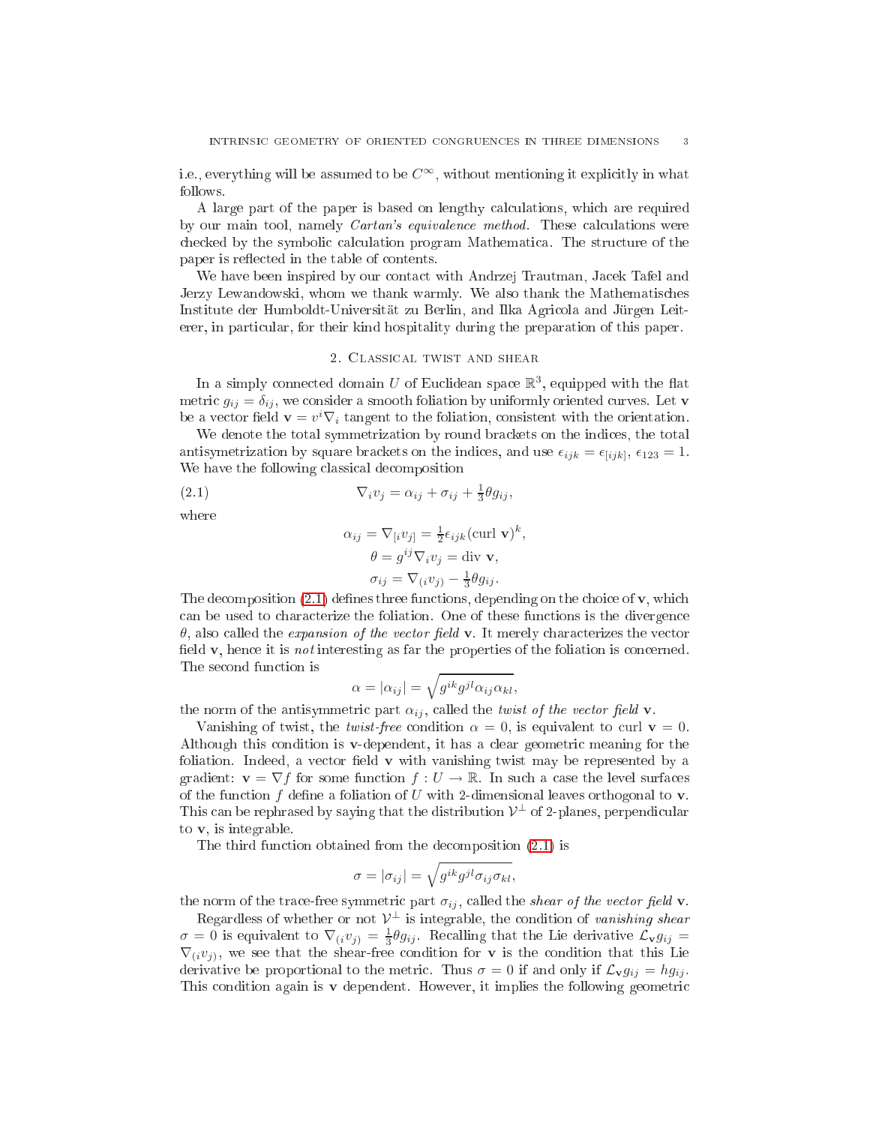i.e., everything will be assumed to be  $C^{\infty}$ , without mentioning it explicitly in what follows.

A large part of the paper is based on lengthy calculations, which are required by our main tool, namely *Cartan's equivalence method*. These calculations were checked by the symbolic calculation program Mathematica. The structure of the paper is reflected in the table of contents.

We have been inspired by our contact with Andrzej Trautman, Jacek Tafel and Jerzy Lewandowski, whom we thank warmly. We also thank the Mathematis
hes Institute der Humboldt-Universität zu Berlin, and Ilka Agri
ola and Jürgen Leiterer, in particular, for their kind hospitality during the preparation of this paper.

## 2. CLASSICAL TWIST AND SHEAR

<span id="page-2-0"></span>In a simply connected domain U of Euclidean space  $\mathbb{R}^3$ , equipped with the flat metric  $g_{ij} = \delta_{ij}$ , we consider a smooth foliation by uniformly oriented curves. Let **v** be a vector field  $\mathbf{v} = v^i \nabla_i$  tangent to the foliation, consistent with the orientation.

We denote the total symmetrization by round brackets on the indices, the total antisymetrization by square brackets on the indices, and use  $\epsilon_{ijk} = \epsilon_{[ijk]}$ ,  $\epsilon_{123} = 1$ . We have the following classical decomposition

(2.1) 
$$
\nabla_i v_j = \alpha_{ij} + \sigma_{ij} + \frac{1}{3} \theta g_{ij},
$$

where

<span id="page-2-1"></span>
$$
\alpha_{ij} = \nabla_{[i} v_{j]} = \frac{1}{2} \epsilon_{ijk} (\text{curl } \mathbf{v})^k,
$$
  
\n
$$
\theta = g^{ij} \nabla_i v_j = \text{div } \mathbf{v},
$$
  
\n
$$
\sigma_{ij} = \nabla_{(i} v_{j)} - \frac{1}{3} \theta g_{ij}.
$$

The decomposition  $(2.1)$  defines three functions, depending on the choice of  $\mathbf{v}$ , which can be used to characterize the foliation. One of these functions is the divergence  $\theta$ , also called the *expansion of the vector field* v. It merely characterizes the vector field  $\bf{v}$ , hence it is *not* interesting as far the properties of the foliation is concerned. The se
ond fun
tion is

$$
\alpha = |\alpha_{ij}| = \sqrt{g^{ik}g^{jl}\alpha_{ij}\alpha_{kl}},
$$

the norm of the antisymmetric part  $\alpha_{ij}$ , called the *twist of the vector field* **v**.

Vanishing of twist, the *twist-free* condition  $\alpha = 0$ , is equivalent to curl  $\mathbf{v} = 0$ . Although this ondition is v-dependent, it has a lear geometri meaning for the foliation. Indeed, a vector field  $\bf{v}$  with vanishing twist may be represented by a gradient:  $\mathbf{v} = \nabla f$  for some function  $f: U \to \mathbb{R}$ . In such a case the level surfaces of the function  $f$  define a foliation of  $U$  with 2-dimensional leaves orthogonal to  $\bf{v}$ . This can be rephrased by saying that the distribution  $\mathcal{V}^{\perp}$  of 2-planes, perpendicular to v, is integrable.

The third function obtained from the decomposition  $(2.1)$  is

$$
\sigma = |\sigma_{ij}| = \sqrt{g^{ik}g^{jl}\sigma_{ij}\sigma_{kl}},
$$

the norm of the trace-free symmetric part  $\sigma_{ij}$ , called the shear of the vector field v.

Regardless of whether or not  $\mathcal{V}^{\perp}$  is integrable, the condition of vanishing shear  $\sigma = 0$  is equivalent to  $\nabla_{(i} v_{j)} = \frac{1}{3} \theta g_{ij}$ . Recalling that the Lie derivative  $\mathcal{L}_{\mathbf{v}} g_{ij} =$  $\nabla_{(i}v_j)$ , we see that the shear-free condition for **v** is the condition that this Lie derivative be proportional to the metric. Thus  $\sigma = 0$  if and only if  $\mathcal{L}_{\mathbf{v}} g_{ij} = h g_{ij}$ . This condition again is  $\bf{v}$  dependent. However, it implies the following geometric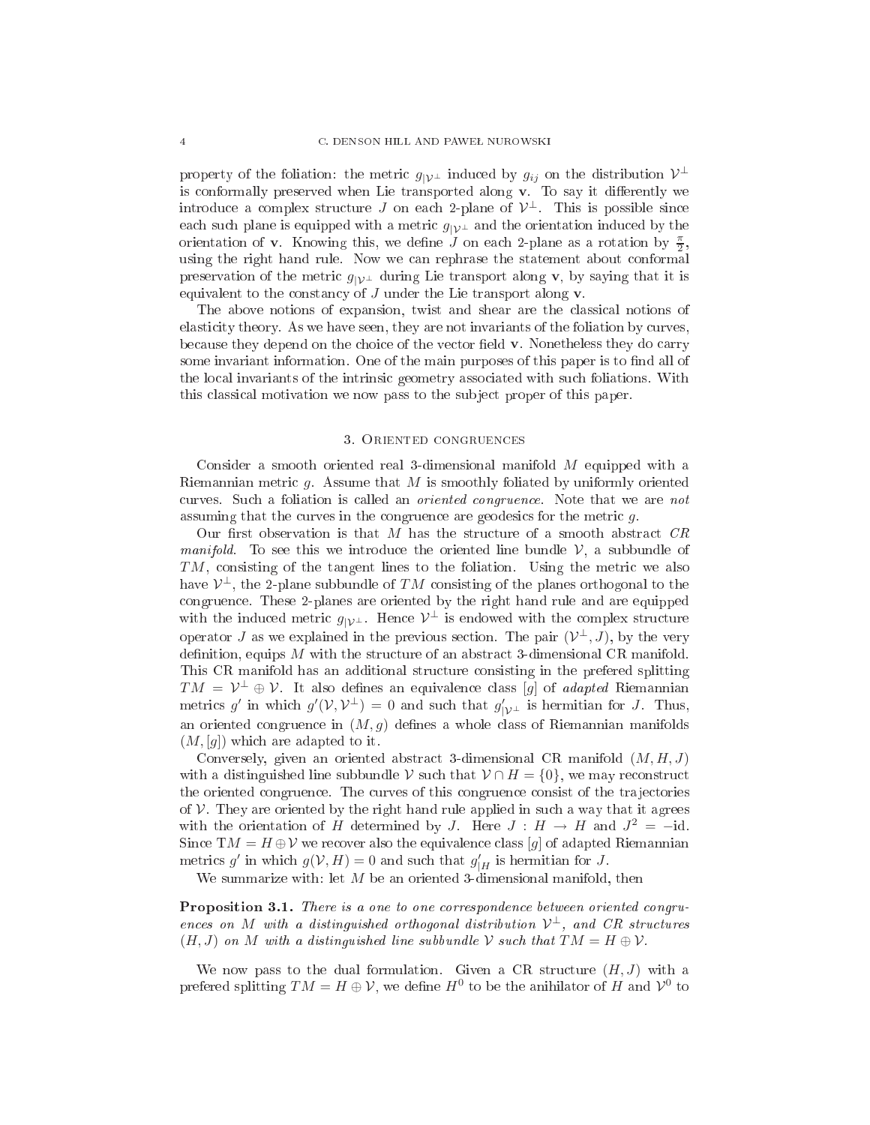property of the foliation: the metric  $g_{|\mathcal{V}^\perp}$  induced by  $g_{ij}$  on the distribution  $\mathcal{V}^\perp$ is conformally preserved when Lie transported along v. To say it differently we introduce a complex structure  $J$  on each 2-plane of  $\mathcal{V}^{\perp}$ . This is possible since each such plane is equipped with a metric  $g_{|\mathcal{V}^{\perp}}$  and the orientation induced by the orientation of **v**. Knowing this, we define  $J$  on each 2-plane as a rotation by  $\frac{\pi}{2}$ , using the right hand rule. Now we an rephrase the statement about onformal preservation of the metric  $g_{|y|}$  during Lie transport along v, by saying that it is equivalent to the constancy of  $J$  under the Lie transport along  $\bf{v}$ .

The above notions of expansion, twist and shear are the lassi
al notions of elasticity theory. As we have seen, they are not invariants of the foliation by curves, because they depend on the choice of the vector field v. Nonetheless they do carry some invariant information. One of the main purposes of this paper is to find all of the local invariants of the intrinsic geometry associated with such foliations. With this lassi
al motivation we now pass to the sub je
t proper of this paper.

## 3. ORIENTED CONGRUENCES

<span id="page-3-0"></span>Consider a smooth oriented real 3-dimensional manifold M equipped with <sup>a</sup> Riemannian metri g. Assume that M is smoothly foliated by uniformly oriented curves. Such a foliation is called an *oriented congruence*. Note that we are not assuming that the curves in the congruence are geodesics for the metric  $g$ .

Our first observation is that  $M$  has the structure of a smooth abstract  $CR$ *manifold*. To see this we introduce the oriented line bundle  $\mathcal{V}$ , a subbundle of TM, consisting of the tangent lines to the foliation. Using the metric we also have  $\mathcal{V}^{\perp}$ , the 2-plane subbundle of  $TM$  consisting of the planes orthogonal to the ongruen
e. These 2-planes are oriented by the right hand rule and are equipped with the induced metric  $g_{|\mathcal{V}^\perp}$ . Hence  $\mathcal{V}^\perp$  is endowed with the complex structure operator J as we explained in the previous section. The pair  $(\mathcal{V}^\perp, J)$ , by the very definition, equips  $M$  with the structure of an abstract 3-dimensional CR manifold. This CR manifold has an additional stru
ture onsisting in the prefered splitting  $TM = \mathcal{V}^{\perp} \oplus \mathcal{V}$ . It also defines an equivalence class [g] of *adapted* Riemannian metrics g' in which  $g'(\mathcal{V}, \mathcal{V}^{\perp}) = 0$  and such that  $g'_{|\mathcal{V}^{\perp}}$  is hermitian for J. Thus, an oriented congruence in  $(M, g)$  defines a whole class of Riemannian manifolds  $(M, [g])$  which are adapted to it.

Conversely, given an oriented abstract 3-dimensional CR manifold  $(M, H, J)$ with a distinguished line subbundle V such that  $V \cap H = \{0\}$ , we may reconstruct the oriented congruence. The curves of this congruence consist of the trajectories of  $V$ . They are oriented by the right hand rule applied in such a way that it agrees with the orientation of H determined by J. Here  $J : H \to H$  and  $J^2 = -id$ . Since T $M = H \oplus V$  we recover also the equivalence class [g] of adapted Riemannian metrics g' in which  $g(V, H) = 0$  and such that  $g'_{|H}$  is hermitian for J.

We summarize with: let  $M$  be an oriented 3-dimensional manifold, then

orrespondente between to one to our there is a oriented the second control theory or the ences on M with a distinguished orthogonal distribution  $\mathcal{V}^{\perp}$ , and CR structures  $(H, J)$  on M with a distinguished line subbundle V such that  $TM = H \oplus V$ .

We now pass to the dual formulation. Given a CR structure  $(H, J)$  with a prefered splitting  $TM = H \oplus V$ , we define  $H^0$  to be the anihilator of H and  $V^0$  to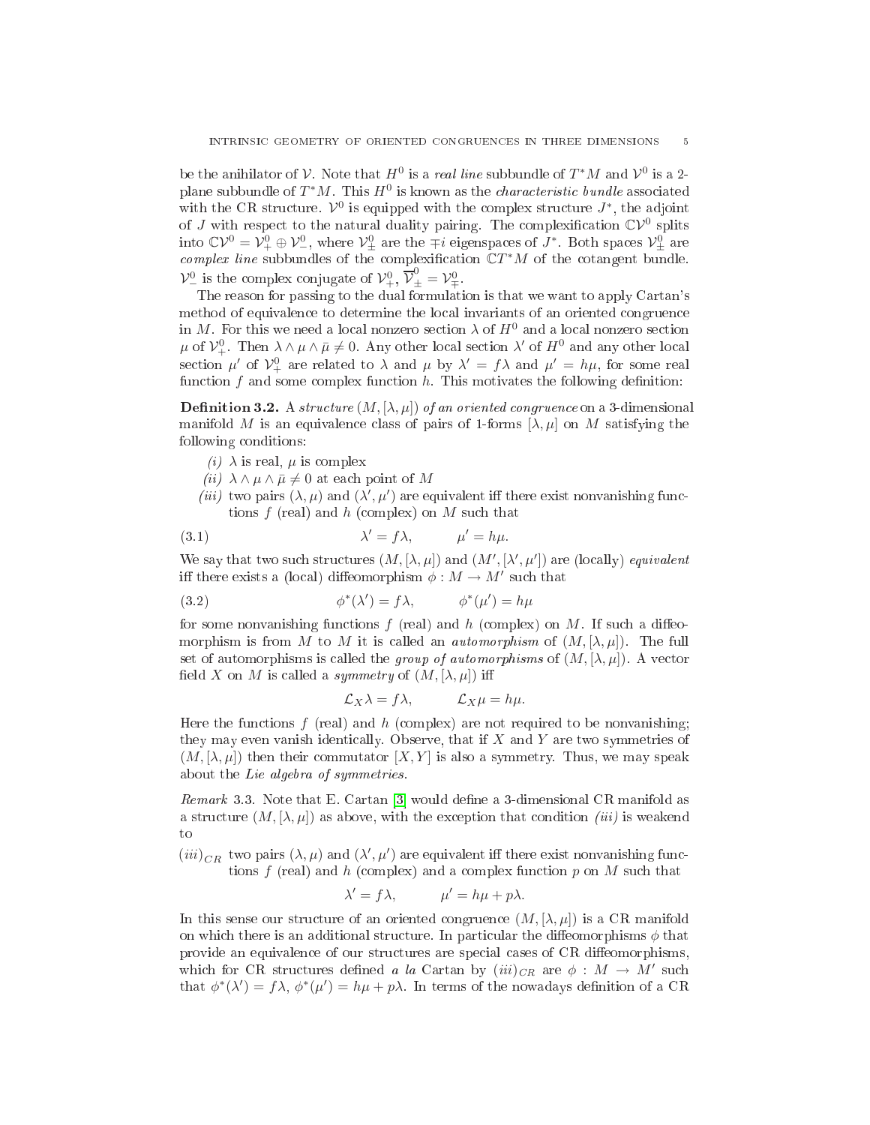be the anihilator of V. Note that  $H^0$  is a *real line* subbundle of  $T^*M$  and  $V^0$  is a 2plane subbundle of  $T^*M$ . This  $H^0$  is known as the *characteristic bundle* associated with the CR structure.  $\mathcal{V}^0$  is equipped with the complex structure  $J^*$ , the adjoint of J with respect to the natural duality pairing. The complexification  $\mathbb{C} \mathcal{V}^0$  splits into  $\mathbb{C}\mathcal{V}^0 = \mathcal{V}^0_+ \oplus \mathcal{V}^0_-,$  where  $\mathcal{V}^0_{\pm}$  are the  $\mp i$  eigenspaces of  $J^*$ . Both spaces  $\mathcal{V}^0_{\pm}$  $\sum_{i=1}^{N+1}$  and  $\sum_{i=1}^{N+1}$  are the  $\sum_{i=1}^{N}$  of the cotangent bundle.  $\mathcal{V}_{-}^{0}$  is the complex conjugate of  $\mathcal{V}_{+}^{0}$ ,  $\overline{\mathcal{V}}_{+}^{0} = \mathcal{V}_{+}^{0}$ 

The reason for passing to the dual formulation is that we want to apply Cartan's method of equivalen
e to determine the lo
al invariants of an oriented ongruen
e in M. For this we need a local nonzero section  $\lambda$  of  $H^0$  and a local nonzero section  $\mu$  of  $\mathcal{V}^0_+$ . Then  $\lambda \wedge \mu \wedge \bar{\mu} \neq 0$ . Any other local section  $\lambda'$  of  $H^0$  and any other local section  $\mu'$  of  $\mathcal{V}^0_+$  are related to  $\lambda$  and  $\mu$  by  $\lambda' = f\lambda$  and  $\mu' = h\mu$ , for some real function  $f$  and some complex function  $h$ . This motivates the following definition:

<span id="page-4-0"></span>**Definition 3.2.** A structure  $(M, [\lambda, \mu])$  of an oriented congruence on a 3-dimensional manifold M is an equivalence class of pairs of 1-forms  $[\lambda, \mu]$  on M satisfying the following onditions:

- (*i*)  $\lambda$  is real,  $\mu$  is complex
- (ii)  $\lambda \wedge \mu \wedge \bar{\mu} \neq 0$  at each point of M
- <span id="page-4-2"></span>(*iii*) two pairs  $(\lambda, \mu)$  and  $(\lambda', \mu')$  are equivalent iff there exist nonvanishing functions  $f$  (real) and  $h$  (complex) on  $M$  such that

(3.1) 
$$
\lambda' = f\lambda, \qquad \mu' = h\mu.
$$

We say that two such structures  $(M, [\lambda, \mu])$  and  $(M', [\lambda', \mu'])$  are (locally) equivalent iff there exists a (local) diffeomorphism  $\phi : M \to M'$  such that

(3.2) 
$$
\phi^*(\lambda') = f\lambda, \qquad \phi^*(\mu') = h\mu
$$

for some nonvanishing functions  $f$  (real) and  $h$  (complex) on  $M$ . If such a diffeomorphism is from M to M it is called an *automorphism* of  $(M, [\lambda, \mu])$ . The full set of automorphisms is called the *group of automorphisms* of  $(M, [\lambda, \mu])$ . A vector field X on M is called a symmetry of  $(M, [\lambda, \mu])$  iff

<span id="page-4-1"></span>
$$
\mathcal{L}_X \lambda = f \lambda, \qquad \mathcal{L}_X \mu = h \mu.
$$

Here the functions  $f$  (real) and  $h$  (complex) are not required to be nonvanishing; they may even vanish identically. Observe, that if  $X$  and  $Y$  are two symmetries of  $(M, [\lambda, \mu])$  then their commutator  $[X, Y]$  is also a symmetry. Thus, we may speak about the Lie algebra of symmetries.

*Remark* 3.3. Note that E. Cartan [3] would define a 3-dimensional CR manifold as a structure  $(M, [\lambda, \mu])$  as above, with the exception that condition *(iii)* is weakend to

 $(iii)_{CR}$  two pairs  $(\lambda,\mu)$  and  $(\lambda',\mu')$  are equivalent iff there exist nonvanishing functions f (real) and h (complex) and a complex function  $p$  on M such that

$$
\lambda' = f\lambda, \qquad \mu' = h\mu + p\lambda.
$$

In this sense our structure of an oriented congruence  $(M, \lambda, \mu)$  is a CR manifold on which there is an additional structure. In particular the diffeomorphisms  $\phi$  that provide an equivalence of our structures are special cases of CR diffeomorphisms, which for CR structures defined a la Cartan by  $(iii)_{CR}$  are  $\phi : M \to M'$  such that  $\phi^*(\lambda') = f\lambda$ ,  $\phi^*(\mu') = h\mu + p\lambda$ . In terms of the nowadays definition of a CR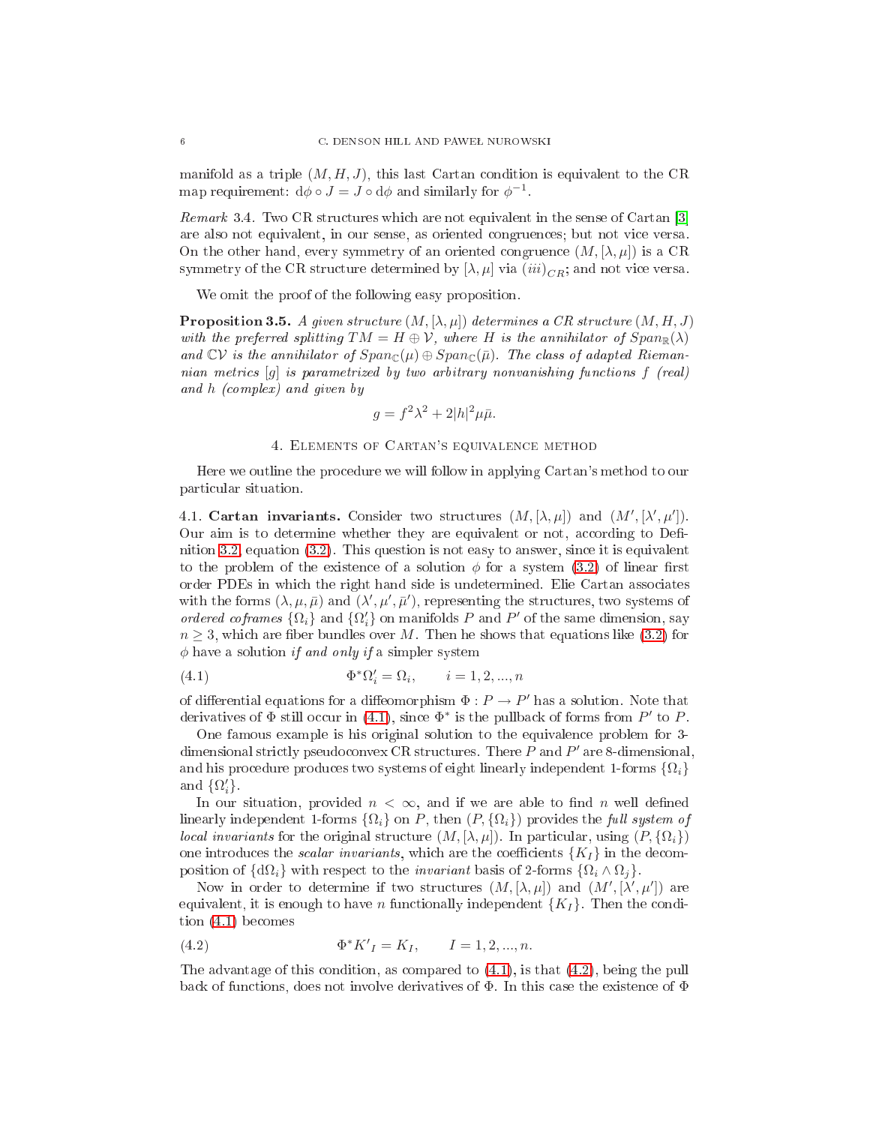manifold as a triple  $(M, H, J)$ , this last Cartan condition is equivalent to the CR map requirement:  $d\phi \circ J = J \circ d\phi$  and similarly for  $\phi^{-1}$ .

 $Remark 3.4. Two CR structures which are not equivalent in the sense of Cartan [3]$ are also not equivalent, in our sense, as oriented ongruen
es; but not vi
e versa. On the other hand, every symmetry of an oriented congruence  $(M, [\lambda, \mu])$  is a CR symmetry of the CR structure determined by  $[\lambda, \mu]$  via  $(iii)_{CB}$ ; and not vice versa.

We omit the proof of the following easy proposition.

**Proposition 3.5.** A given structure  $(M, [\lambda, \mu])$  determines a CR structure  $(M, H, J)$ with the preferred splitting  $TM = H \oplus V$ , where H is the annihilator of  $Span_{\mathbb{R}}(\lambda)$ and  $\mathbb{C}V$  is the annihilator of  $Span_{\mathbb{C}}(\mu) \oplus Span_{\mathbb{C}}(\bar{\mu})$ . The class of adapted Riemannian metrics [g] is parametrized by two arbitrary nonvanishing functions f (real) and h (
omplex) and given by

$$
g = f^2 \lambda^2 + 2|h|^2 \mu \bar{\mu}.
$$

## 4. Elements of Cartan's equivalen
e method

<span id="page-5-0"></span>Here we outline the pro
edure we will follow in applying Cartan's method to our parti
ular situation.

<span id="page-5-1"></span>4.1. Cartan invariants. Consider two structures  $(M, [\lambda, \mu])$  and  $(M', [\lambda', \mu'])$ . Our aim is to determine whether they are equivalent or not, according to Defi-nition [3.2,](#page-4-0) equation  $(3.2)$ . This question is not easy to answer, since it is equivalent to the problem of the existence of a solution  $\phi$  for a system [\(3.2\)](#page-4-1) of linear first order PDEs in whi
h the right hand side is undetermined. Elie Cartan asso
iates with the forms  $(\lambda, \mu, \bar{\mu})$  and  $(\lambda', \mu', \bar{\mu}')$ , representing the structures, two systems of ordered coframes  $\{\Omega_i\}$  and  $\{\Omega'_i\}$  on manifolds P and P' of the same dimension, say  $n \geq 3$ , which are fiber bundles over M. Then he shows that equations like [\(3.2\)](#page-4-1) for  $\phi$  have a solution if and only if a simpler system

<span id="page-5-2"></span>(4.1) 
$$
\Phi^* \Omega_i' = \Omega_i, \qquad i = 1, 2, ..., n
$$

of differential equations for a diffeomorphism  $\Phi : P \to P'$  has a solution. Note that derivatives of  $\Phi$  still occur in [\(4.1\)](#page-5-2), since  $\Phi^*$  is the pullback of forms from P' to P.

One famous example is his original solution to the equivalen
e problem for 3 dimensional strictly pseudoconvex CR structures. There P and P' are 8-dimensional, and his procedure produces two systems of eight linearly independent 1-forms  $\{\Omega_i\}$ and  $\{\Omega'_i\}$ .

In our situation, provided  $n < \infty$ , and if we are able to find n well defined linearly independent 1-forms  $\{\Omega_i\}$  on P, then  $(P, \{\Omega_i\})$  provides the full system of *local invariants* for the original structure  $(M, [\lambda, \mu])$ . In particular, using  $(P, {\Omega_i})$ one introduces the *scalar invariants*, which are the coefficients  $\{K_I\}$  in the decomposition of  $\{d\Omega_i\}$  with respect to the *invariant* basis of 2-forms  $\{\Omega_i \wedge \Omega_j\}$ .

Now in order to determine if two structures  $(M, [\lambda, \mu])$  and  $(M', [\lambda', \mu'])$  are equivalent, it is enough to have *n* functionally independent  $\{K_I\}$ . Then the condition [\(4.1\)](#page-5-2) be
omes

<span id="page-5-3"></span>(4.2) 
$$
\Phi^* K'_I = K_I, \qquad I = 1, 2, ..., n.
$$

The advantage of this condition, as compared to  $(4.1)$ , is that  $(4.2)$ , being the pull back of functions, does not involve derivatives of  $\Phi$ . In this case the existence of  $\Phi$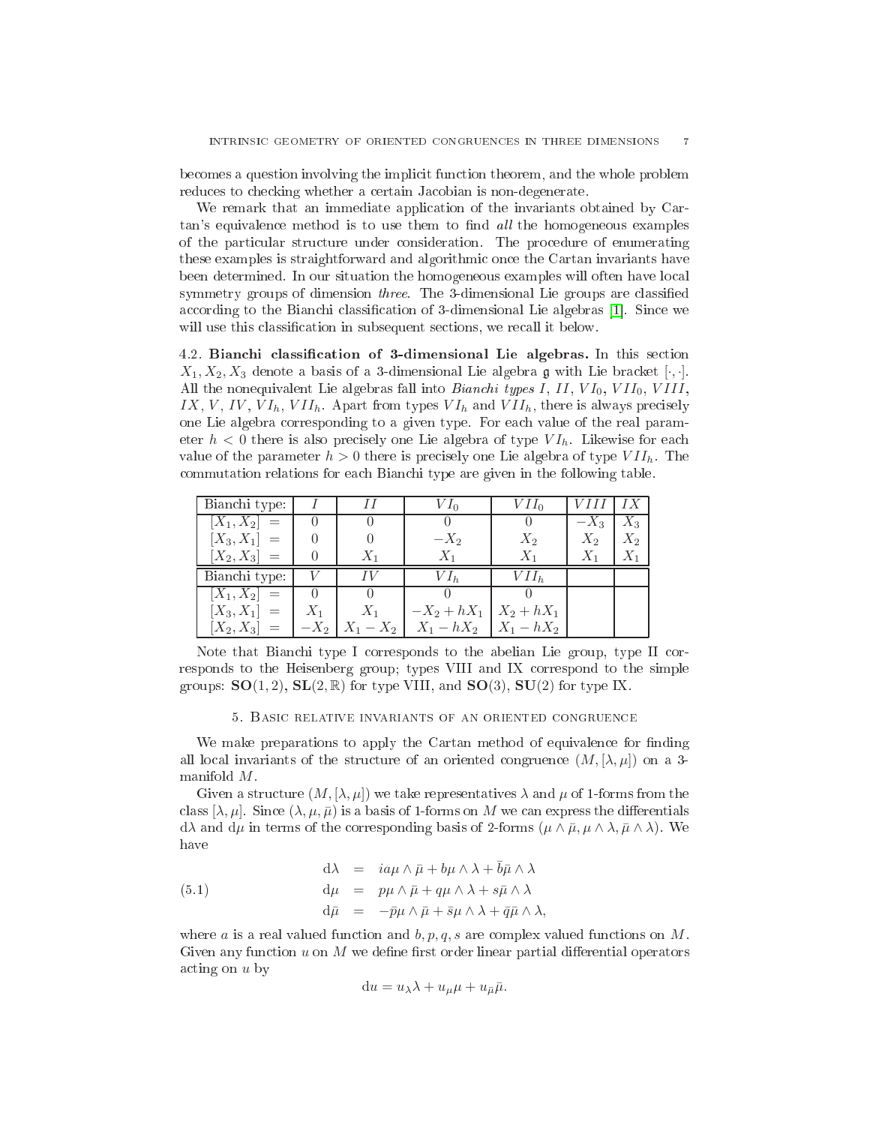becomes a question involving the implicit function theorem, and the whole problem reduces to checking whether a certain Jacobian is non-degenerate.

We remark that an immediate application of the invariants obtained by Cartan's equivalence method is to use them to find all the homogeneous examples of the parti
ular stru
ture under onsideration. The pro
edure of enumerating these examples is straightforward and algorithmi on
e the Cartan invariants have been determined. In our situation the homogeneous examples will often have lo
al symmetry groups of dimension *three*. The 3-dimensional Lie groups are classified according to the Bianchi classification of 3-dimensional Lie algebras [1]. Since we will use this classification in subsequent sections, we recall it below.

<span id="page-6-0"></span>4.2. Bian
hi lassi
ation of 3-dimensional Lie algebras. In this se
tion  $X_1, X_2, X_3$  denote a basis of a 3-dimensional Lie algebra g with Lie bracket  $[\cdot, \cdot]$ . All the nonequivalent Lie algebras fall into *Bianchi types I*,  $II$ ,  $VI_0$ ,  $VII_0$ ,  $VIII$ , IX, V, IV, VI<sub>h</sub>, VII<sub>h</sub>. Apart from types  $VI_h$  and  $VII_h$ , there is always precisely one Lie algebra orresponding to a given type. For ea
h value of the real parameter  $h < 0$  there is also precisely one Lie algebra of type  $VI_h$ . Likewise for each value of the parameter  $h > 0$  there is precisely one Lie algebra of type  $VII_h$ . The ommutation relations for ea
h Bian
hi type are given in the following table.

| Bianchi type:       |       |       | V Io                         | $VII_0$          | <i>VHI</i> |       |
|---------------------|-------|-------|------------------------------|------------------|------------|-------|
| $[X_1, X_2] =$      |       |       |                              |                  | $-X_3$     | $X_3$ |
| $[X_3, X_1] =$      |       |       | $-X_2$                       | $X_2$            | $X_2$      | $X_2$ |
| $[X_2, X_3] =$      |       | $X_1$ | $X_1$                        | $X_1$            | $X_1$      | $X_1$ |
|                     |       |       |                              |                  |            |       |
| Bianchi type:       |       |       | $VI_h$                       | VII <sub>b</sub> |            |       |
| $\boxed{X_1,X_2} =$ |       |       |                              |                  |            |       |
| $[X_3, X_1] =$      | $X_1$ | $X_1$ | $-X_2 + hX_1$   $X_2 + hX_1$ |                  |            |       |

Note that Bianchi type I corresponds to the abelian Lie group, type II corresponds to the Heisenberg group; types VIII and IX orrespond to the simple groups:  $SO(1, 2)$ ,  $SL(2, \mathbb{R})$  for type VIII, and  $SO(3)$ ,  $SU(2)$  for type IX.

## 5. BASIC RELATIVE INVARIANTS OF AN ORIENTED CONGRUENCE

<span id="page-6-1"></span>We make preparations to apply the Cartan method of equivalence for finding all local invariants of the structure of an oriented congruence  $(M, [\lambda, \mu])$  on a 3manifold  $M$ .

Given a structure  $(M, [\lambda, \mu])$  we take representatives  $\lambda$  and  $\mu$  of 1-forms from the class  $[\lambda, \mu]$ . Since  $(\lambda, \mu, \bar{\mu})$  is a basis of 1-forms on M we can express the differentials  $d\lambda$  and  $d\mu$  in terms of the corresponding basis of 2-forms  $(\mu \wedge \bar{\mu}, \mu \wedge \lambda, \bar{\mu} \wedge \lambda)$ . We have

(5.1) 
$$
d\lambda = i a\mu \wedge \bar{\mu} + b\mu \wedge \lambda + \bar{b}\bar{\mu} \wedge \lambda \nd\mu = p\mu \wedge \bar{\mu} + q\mu \wedge \lambda + s\bar{\mu} \wedge \lambda \nd\bar{\mu} = -\bar{p}\mu \wedge \bar{\mu} + \bar{s}\mu \wedge \lambda + \bar{q}\bar{\mu} \wedge \lambda.
$$

where a is a real valued function and  $b, p, q, s$  are complex valued functions on M. Given any function  $u$  on  $M$  we define first order linear partial differential operators a
ting on u by

<span id="page-6-2"></span>
$$
du = u_{\lambda}\lambda + u_{\mu}\mu + u_{\bar{\mu}}\bar{\mu}.
$$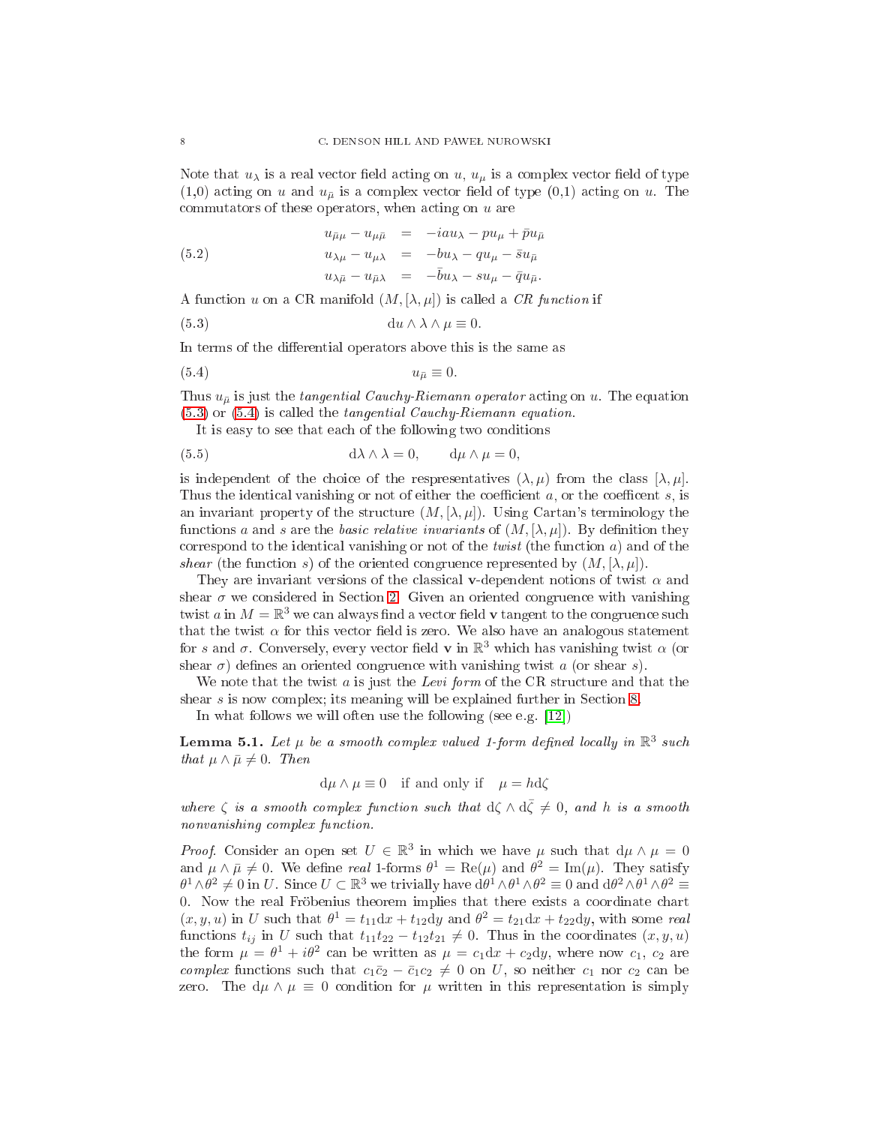Note that  $u_{\lambda}$  is a real vector field acting on u,  $u_{\mu}$  is a complex vector field of type  $(1,0)$  acting on u and  $u_{\bar{\mu}}$  is a complex vector field of type  $(0,1)$  acting on u. The commutators of these operators, when acting on  $u$  are

<span id="page-7-4"></span>(5.2) 
$$
u_{\bar{\mu}\mu} - u_{\mu\bar{\mu}} = -iau_{\lambda} - pu_{\mu} + \bar{p}u_{\bar{\mu}}
$$

$$
u_{\lambda\mu} - u_{\mu\lambda} = -bu_{\lambda} - qu_{\mu} - \bar{s}u_{\bar{\mu}}
$$

$$
u_{\lambda\bar{\mu}} - u_{\bar{\mu}\lambda} = -\bar{b}u_{\lambda} - su_{\mu} - \bar{q}u_{\bar{\mu}}.
$$

A function u on a CR manifold  $(M, [\lambda, \mu])$  is called a CR function if

<span id="page-7-0"></span>(5.3) 
$$
\mathrm{d}u \wedge \lambda \wedge \mu \equiv 0.
$$

In terms of the differential operators above this is the same as

$$
(5.4) \t\t\t u_{\bar{\mu}} \equiv 0.
$$

Thus  $u_{\bar{\mu}}$  is just the tangential Cauchy-Riemann operator acting on u. The equation  $(5.3)$  or  $(5.4)$  is called the *tangential Cauchy-Riemann equation*.

<span id="page-7-2"></span><span id="page-7-1"></span>It is easy to see that each of the following two conditions

(5.5) 
$$
d\lambda \wedge \lambda = 0, \qquad d\mu \wedge \mu = 0,
$$

is independent of the choice of the respresentatives  $(\lambda, \mu)$  from the class  $[\lambda, \mu]$ . Thus the identical vanishing or not of either the coefficient  $a$ , or the coefficent  $s$ , is an invariant property of the structure  $(M, [\lambda, \mu])$ . Using Cartan's terminology the functions a and s are the basic relative invariants of  $(M, [\lambda, \mu])$ . By definition they correspond to the identical vanishing or not of the *twist* (the function  $a$ ) and of the shear (the function s) of the oriented congruence represented by  $(M, [\lambda, \mu])$ .

They are invariant versions of the classical v-dependent notions of twist  $\alpha$  and shear  $\sigma$  we considered in Section [2.](#page-2-0) Given an oriented congruence with vanishing twist a in  $M = \mathbb{R}^3$  we can always find a vector field **v** tangent to the congruence such that the twist  $\alpha$  for this vector field is zero. We also have an analogous statement for s and  $\sigma$ . Conversely, every vector field **v** in  $\mathbb{R}^3$  which has vanishing twist  $\alpha$  (or shear  $\sigma$ ) defines an oriented congruence with vanishing twist a (or shear s).

We note that the twist  $a$  is just the Levi form of the CR structure and that the shear *s* is now complex; its meaning will be explained further in Section [8.](#page-23-0)

<span id="page-7-3"></span>In what follows we will often use the following (see e.g.  $[12]$ )

**Lemma 5.1.** Let  $\mu$  be a smooth complex valued 1-form defined locally in  $\mathbb{R}^3$  such that  $\mu \wedge \bar{\mu} \neq 0$ . Then

$$
d\mu \wedge \mu \equiv 0
$$
 if and only if  $\mu = hd\zeta$ 

where  $\zeta$  is a smooth complex function such that  $d\zeta \wedge d\overline{\zeta} \neq 0$ , and h is a smooth nonvanishing complex function.

*Proof.* Consider an open set  $U \in \mathbb{R}^3$  in which we have  $\mu$  such that  $d\mu \wedge \mu = 0$ and  $\mu \wedge \bar{\mu} \neq 0$ . We define real 1-forms  $\theta^1 = \text{Re}(\mu)$  and  $\theta^2 = \text{Im}(\mu)$ . They satisfy  $\theta^1 \wedge \theta^2 \neq 0$  in U. Since  $U \subset \mathbb{R}^3$  we trivially have  $d\theta^1 \wedge \theta^1 \wedge \theta^2 \equiv 0$  and  $d\theta^2 \wedge \theta^1 \wedge \theta^2 \equiv 0$ 0. Now the real Fröbenius theorem implies that there exists a oordinate hart  $(x, y, u)$  in U such that  $\theta^1 = t_{11}dx + t_{12}dy$  and  $\theta^2 = t_{21}dx + t_{22}dy$ , with some real functions  $t_{ij}$  in U such that  $t_{11}t_{22} - t_{12}t_{21} \neq 0$ . Thus in the coordinates  $(x, y, u)$ the form  $\mu = \theta^1 + i\theta^2$  can be written as  $\mu = c_1 dx + c_2 dy$ , where now  $c_1, c_2$  are complex functions such that  $c_1\bar{c}_2 - \bar{c}_1c_2 \neq 0$  on U, so neither  $c_1$  nor  $c_2$  can be zero. The  $d\mu \wedge \mu \equiv 0$  condition for  $\mu$  written in this representation is simply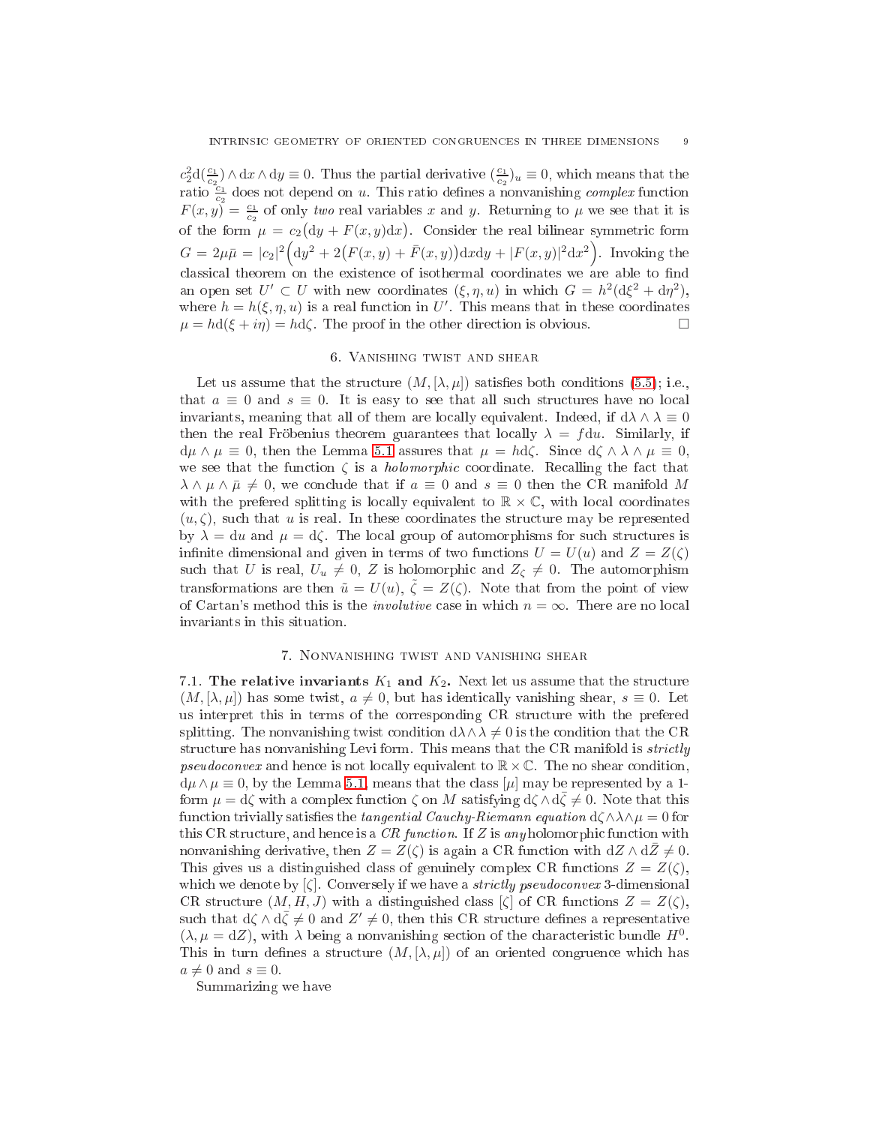$c_2^2 d(\frac{c_1}{c_2}) \wedge dx \wedge dy \equiv 0$ . Thus the partial derivative  $(\frac{c_1}{c_2})_u \equiv 0$ , which means that the ratio  $\frac{c_1}{c_2}$  does not depend on u. This ratio defines a nonvanishing *complex* function  $F(x, y) = \frac{c_1}{c_2}$  of only two real variables x and y. Returning to  $\mu$  we see that it is of the form  $\mu = c_2(dy + F(x, y)dx)$ . Consider the real bilinear symmetric form  $G = 2\mu\bar{\mu} = |c_2|^2 \Big( \mathrm{d}y^2 + 2\big( F(x, y) + \bar{F}(x, y) \big) \mathrm{d}x \mathrm{d}y + |F(x, y)|^2 \mathrm{d}x^2 \Big).$  Invoking the classical theorem on the existence of isothermal coordinates we are able to find an open set  $U' \subset U$  with new coordinates  $(\xi, \eta, u)$  in which  $G = h^2(\mathrm{d}\xi^2 + \mathrm{d}\eta^2)$ , where  $h = h(\xi, \eta, u)$  is a real function in U'. This means that in these coordinates  $\mu = hd(\xi + i\eta) = hd\zeta$ . The proof in the other direction is obvious.

## 6. Vanishing twist and shear

<span id="page-8-0"></span>Let us assume that the structure  $(M, [\lambda, \mu])$  satisfies both conditions [\(5.5\)](#page-7-2); i.e., that  $a \equiv 0$  and  $s \equiv 0$ . It is easy to see that all such structures have no local invariants, meaning that all of them are locally equivalent. Indeed, if  $d\lambda \wedge \lambda \equiv 0$ then the real Fröbenius theorem guarantees that locally  $\lambda = f du$ . Similarly, if  $d\mu \wedge \mu \equiv 0$ , then the Lemma [5.1](#page-7-3) assures that  $\mu = hd\zeta$ . Since  $d\zeta \wedge \lambda \wedge \mu \equiv 0$ , we see that the function  $\zeta$  is a *holomorphic* coordinate. Recalling the fact that  $\lambda \wedge \mu \wedge \bar{\mu} \neq 0$ , we conclude that if  $a \equiv 0$  and  $s \equiv 0$  then the CR manifold M with the prefered splitting is locally equivalent to  $\mathbb{R} \times \mathbb{C}$ , with local coordinates  $(u,\zeta)$ , such that u is real. In these coordinates the structure may be represented by  $\lambda = du$  and  $\mu = d\zeta$ . The local group of automorphisms for such structures is infinite dimensional and given in terms of two functions  $U = U(u)$  and  $Z = Z(\zeta)$ such that U is real,  $U_u \neq 0$ , Z is holomorphic and  $Z_{\zeta} \neq 0$ . The automorphism transformations are then  $\tilde{u} = U(u), \tilde{\zeta} = Z(\zeta)$ . Note that from the point of view of Cartan's method this is the *involutive* case in which  $n = \infty$ . There are no local invariants in this situation.

#### 7. Nonvanishing twist and vanishing shear

<span id="page-8-2"></span><span id="page-8-1"></span>7.1. The relative invariants  $K_1$  and  $K_2$ . Next let us assume that the structure  $(M, [\lambda, \mu])$  has some twist,  $a \neq 0$ , but has identically vanishing shear,  $s \equiv 0$ . Let us interpret this in terms of the corresponding CR structure with the prefered splitting. The nonvanishing twist condition  $d\lambda \wedge \lambda \neq 0$  is the condition that the CR structure has nonvanishing Levi form. This means that the CR manifold is *strictly* pseudoconvex and hence is not locally equivalent to  $\mathbb{R} \times \mathbb{C}$ . The no shear condition,  $d\mu \wedge \mu \equiv 0$ , by the Lemma [5.1,](#page-7-3) means that the class  $[\mu]$  may be represented by a 1form  $\mu = d\zeta$  with a complex function  $\zeta$  on M satisfying  $d\zeta \wedge d\zeta \neq 0$ . Note that this function trivially satisfies the *tangential Cauchy-Riemann equation*  $d\hat{\wedge}\lambda\wedge\mu=0$  for this CR structure, and hence is a CR function. If Z is any holomorphic function with nonvanishing derivative, then  $Z = Z(\zeta)$  is again a CR function with  $dZ \wedge dZ \neq 0$ . This gives us a distinguished class of genuinely complex CR functions  $Z = Z(\zeta)$ , which we denote by  $\zeta$ . Conversely if we have a *strictly pseudoconvex* 3-dimensional CR structure  $(M, H, J)$  with a distinguished class  $[\zeta]$  of CR functions  $Z = Z(\zeta)$ , such that  $d\zeta \wedge d\bar{\zeta} \neq 0$  and  $Z' \neq 0$ , then this CR structure defines a representative  $(\lambda, \mu = dZ)$ , with  $\lambda$  being a nonvanishing section of the characteristic bundle  $H^0$ . This in turn defines a structure  $(M, [\lambda, \mu])$  of an oriented congruence which has  $a \neq 0$  and  $s \equiv 0$ .

Summarizing we have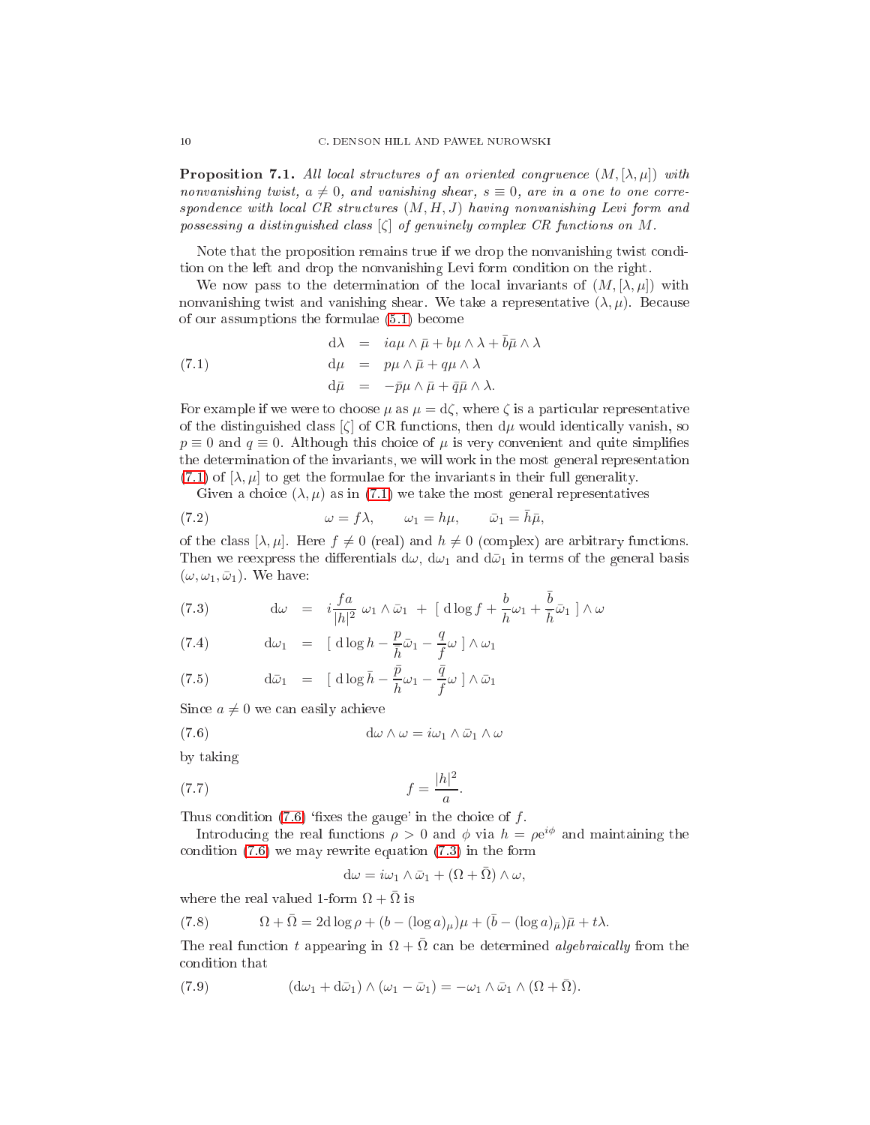**Proposition 7.1.** All local structures of an oriented congruence  $(M, [\lambda, \mu])$  with nonvanishing twist,  $a \neq 0$ , and vanishing shear,  $s \equiv 0$ , are in a one to one correspondence with local CR structures  $(M, H, J)$  having nonvanishing Levi form and possessing a distinguished class  $[\zeta]$  of genuinely complex CR functions on M.

Note that the proposition remains true if we drop the nonvanishing twist ondition on the left and drop the nonvanishing Levi form ondition on the right.

We now pass to the determination of the local invariants of  $(M, [\lambda, \mu])$  with nonvanishing twist and vanishing shear. We take a representative  $(\lambda, \mu)$ . Because of our assumptions the formulae [\(5.1\)](#page-6-2) be
ome

<span id="page-9-0"></span>(7.1) 
$$
d\lambda = i a \mu \wedge \bar{\mu} + b \mu \wedge \lambda + \bar{b} \bar{\mu} \wedge \lambda \nd\mu = p \mu \wedge \bar{\mu} + q \mu \wedge \lambda \nd\bar{\mu} = -\bar{p} \mu \wedge \bar{\mu} + \bar{q} \bar{\mu} \wedge \lambda.
$$

For example if we were to choose  $\mu$  as  $\mu = d\zeta$ , where  $\zeta$  is a particular representative of the distinguished class  $[\zeta]$  of CR functions, then  $d\mu$  would identically vanish, so  $p \equiv 0$  and  $q \equiv 0$ . Although this choice of  $\mu$  is very convenient and quite simplifies the determination of the invariants, we will work in the most general representation [\(7.1\)](#page-9-0) of  $[\lambda, \mu]$  to get the formulae for the invariants in their full generality.

<span id="page-9-5"></span>Given a choice  $(\lambda, \mu)$  as in [\(7.1\)](#page-9-0) we take the most general representatives

(7.2) 
$$
\omega = f\lambda, \qquad \omega_1 = h\mu, \qquad \bar{\omega}_1 = \bar{h}\bar{\mu},
$$

of the class  $[\lambda, \mu]$ . Here  $f \neq 0$  (real) and  $h \neq 0$  (complex) are arbitrary functions. Then we reexpress the differentials  $d\omega$ ,  $d\omega_1$  and  $d\bar{\omega}_1$  in terms of the general basis  $(\omega, \omega_1, \bar{\omega}_1)$ . We have:

<span id="page-9-2"></span>(7.3) 
$$
d\omega = i \frac{fa}{|h|^2} \omega_1 \wedge \bar{\omega}_1 + \left[ d \log f + \frac{b}{h} \omega_1 + \frac{\bar{b}}{\bar{h}} \bar{\omega}_1 \right] \wedge \omega
$$

(7.4) 
$$
d\omega_1 = [\text{d}\log h - \frac{p}{\bar{h}}\bar{\omega}_1 - \frac{q}{f}\omega] \wedge \omega_1
$$

(7.5) 
$$
\mathrm{d}\bar{\omega}_1 = [\mathrm{d}\log\bar{h} - \frac{\bar{p}}{h}\omega_1 - \frac{\bar{q}}{f}\omega \,\,\mathrm{d}\bar{\omega}_1
$$

Since  $a \neq 0$  we can easily achieve

(7.6) 
$$
d\omega \wedge \omega = i\omega_1 \wedge \bar{\omega}_1 \wedge \omega
$$

by taking

$$
(7.7) \t\t f = \frac{|h|^2}{a}.
$$

Thus condition  $(7.6)$  'fixes the gauge' in the choice of f.

Introducing the real functions  $\rho > 0$  and  $\phi$  via  $h = \rho e^{i\phi}$  and maintaining the condition  $(7.6)$  we may rewrite equation  $(7.3)$  in the form

<span id="page-9-3"></span><span id="page-9-1"></span>
$$
d\omega = i\omega_1 \wedge \bar{\omega}_1 + (\Omega + \bar{\Omega}) \wedge \omega,
$$

where the real valued 1-form  $\Omega + \overline{\Omega}$  is

<span id="page-9-6"></span>(7.8) 
$$
\Omega + \overline{\Omega} = 2d \log \rho + (b - (\log a)_{\mu})\mu + (\overline{b} - (\log a)_{\overline{\mu}})\overline{\mu} + t\lambda.
$$

The real function t appearing in  $\Omega + \overline{\Omega}$  can be determined *algebraically* from the ondition that

<span id="page-9-4"></span>(7.9) 
$$
(\mathrm{d}\omega_1 + \mathrm{d}\bar{\omega}_1) \wedge (\omega_1 - \bar{\omega}_1) = -\omega_1 \wedge \bar{\omega}_1 \wedge (\Omega + \bar{\Omega}).
$$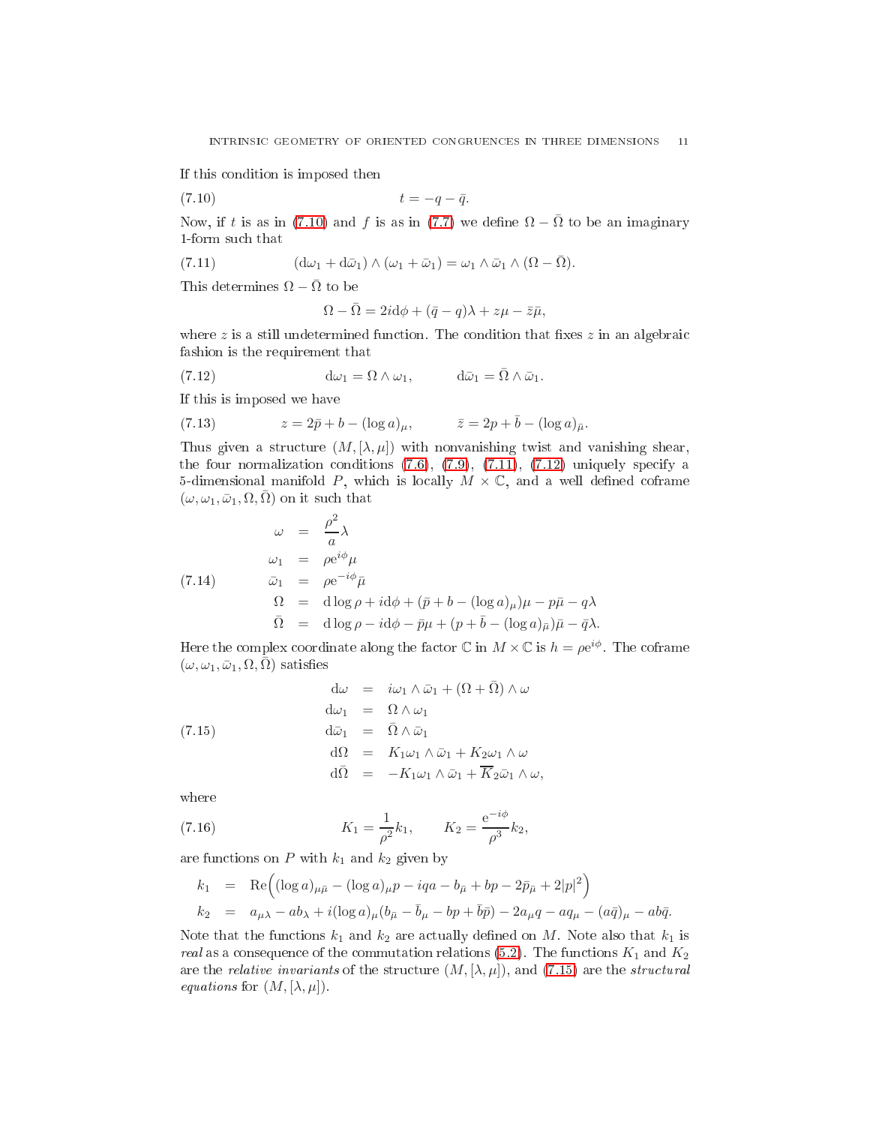If this ondition is imposed then

$$
(7.10) \t\t t = -q - \bar{q}.
$$

Now, if t is as in [\(7.10\)](#page-10-0) and f is as in [\(7.7\)](#page-9-3) we define  $\Omega - \overline{\Omega}$  to be an imaginary 1-form su
h that

(7.11) 
$$
(\mathrm{d}\omega_1 + \mathrm{d}\bar{\omega}_1) \wedge (\omega_1 + \bar{\omega}_1) = \omega_1 \wedge \bar{\omega}_1 \wedge (\Omega - \bar{\Omega}).
$$

This determines  $\Omega - \bar{\Omega}$  to be

<span id="page-10-2"></span><span id="page-10-1"></span><span id="page-10-0"></span>
$$
\Omega - \bar{\Omega} = 2i d\phi + (\bar{q} - q)\lambda + z\mu - \bar{z}\bar{\mu},
$$

where  $z$  is a still undetermined function. The condition that fixes  $z$  in an algebraic fashion is the requirement that

(7.12) 
$$
d\omega_1 = \Omega \wedge \omega_1, \qquad d\bar{\omega}_1 = \bar{\Omega} \wedge \bar{\omega}_1.
$$

If this is imposed we have

(7.13) 
$$
z = 2\bar{p} + b - (\log a)_{\mu}, \qquad \bar{z} = 2p + \bar{b} - (\log a)_{\bar{\mu}}.
$$

Thus given a structure  $(M, [\lambda, \mu])$  with nonvanishing twist and vanishing shear, the four normalization conditions  $(7.6)$ ,  $(7.9)$ ,  $(7.11)$ ,  $(7.12)$  uniquely specify a 5-dimensional manifold P, which is locally  $M \times \mathbb{C}$ , and a well defined coframe  $(\omega, \omega_1, \bar{\omega}_1, \Omega, \bar{\Omega})$  on it such that

<span id="page-10-4"></span>
$$
\omega = \frac{\rho^2}{a} \lambda
$$
  
\n
$$
\omega_1 = \rho e^{i\phi} \mu
$$
  
\n(7.14)  
\n
$$
\bar{\omega}_1 = \rho e^{-i\phi} \bar{\mu}
$$
  
\n
$$
\Omega = d \log \rho + i d\phi + (\bar{p} + b - (\log a)_{\mu}) \mu - p\bar{\mu} - q\lambda
$$
  
\n
$$
\bar{\Omega} = d \log \rho - i d\phi - \bar{p}\mu + (p + \bar{b} - (\log a)_{\bar{\mu}}) \bar{\mu} - \bar{q}\lambda.
$$

Here the complex coordinate along the factor  $\mathbb C$  in  $M\times\mathbb C$  is  $h=\rho e^{i\phi}$ . The coframe  $(\omega, \omega_1, \bar{\omega}_1, \Omega, \bar{\Omega})$  satisfies

<span id="page-10-3"></span>(7.15)  
\n
$$
\begin{array}{rcl}\n\mathrm{d}\omega & = & i\omega_1 \wedge \bar{\omega}_1 + (\Omega + \bar{\Omega}) \wedge \omega \\
\mathrm{d}\omega_1 & = & \Omega \wedge \omega_1 \\
\mathrm{d}\bar{\omega}_1 & = & \bar{\Omega} \wedge \bar{\omega}_1 \\
\mathrm{d}\Omega & = & K_1 \omega_1 \wedge \bar{\omega}_1 + K_2 \omega_1 \wedge \omega \\
\mathrm{d}\bar{\Omega} & = & -K_1 \omega_1 \wedge \bar{\omega}_1 + \overline{K}_2 \bar{\omega}_1 \wedge \omega,\n\end{array}
$$

where

(7.16) 
$$
K_1 = \frac{1}{\rho^2} k_1, \qquad K_2 = \frac{e^{-i\phi}}{\rho^3} k_2,
$$

are functions on  $P$  with  $k_1$  and  $k_2$  given by

<span id="page-10-5"></span>
$$
k_1 = \text{Re}((\log a)_{\mu\bar{\mu}} - (\log a)_{\mu}p - iqa - b_{\bar{\mu}} + bp - 2\bar{p}_{\bar{\mu}} + 2|p|^2) k_2 = a_{\mu\lambda} - ab_{\lambda} + i(\log a)_{\mu}(b_{\bar{\mu}} - \bar{b}_{\mu} - bp + \bar{b}\bar{p}) - 2a_{\mu}q - aq_{\mu} - (a\bar{q})_{\mu} - ab\bar{q}.
$$

Note that the functions  $k_1$  and  $k_2$  are actually defined on M. Note also that  $k_1$  is real as a consequence of the commutation relations [\(5.2\)](#page-7-4). The functions  $K_1$  and  $K_2$ are the *relative invariants* of the structure  $(M, [\lambda, \mu])$ , and [\(7.15\)](#page-10-3) are the *structural equations* for  $(M, [\lambda, \mu]).$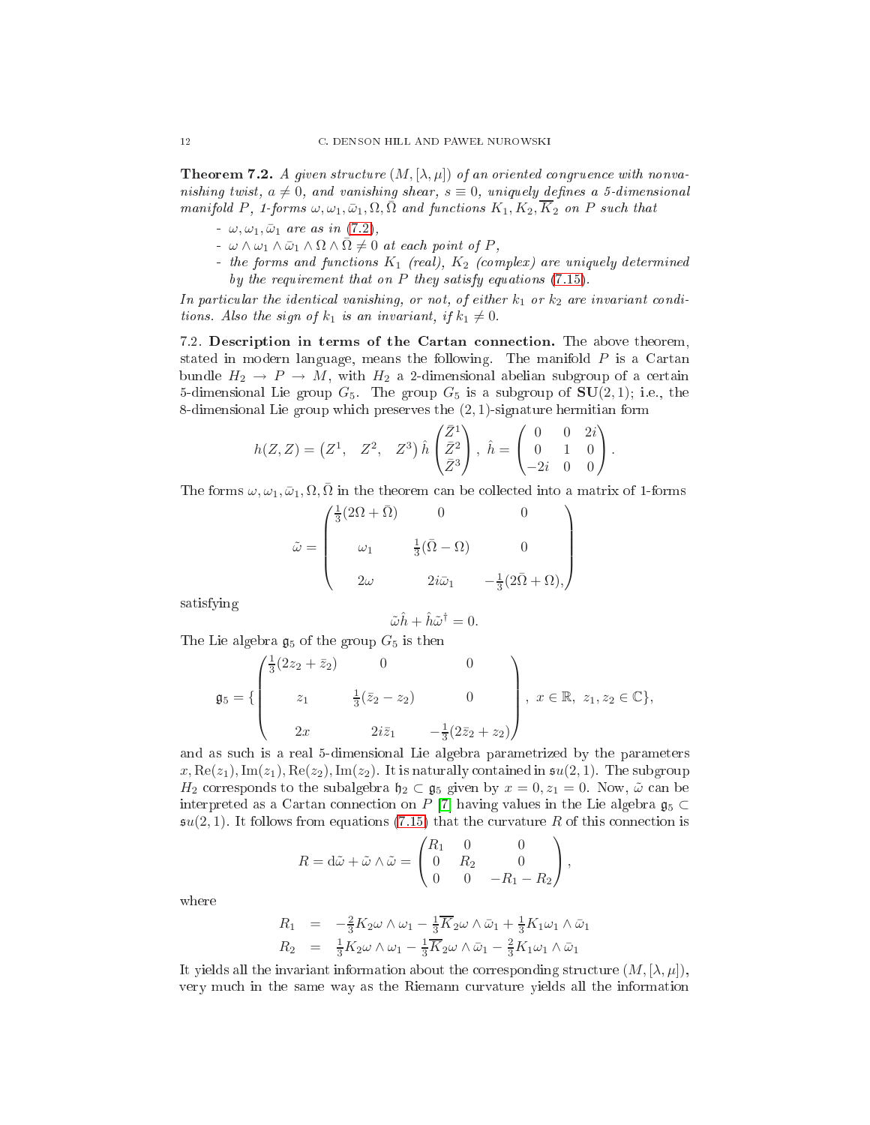**Theorem 7.2.** A given structure  $(M, [\lambda, \mu])$  of an oriented congruence with nonvanishing twist,  $a \neq 0$ , and vanishing shear,  $s \equiv 0$ , uniquely defines a 5-dimensional manifold P, 1-forms  $\omega, \omega_1, \bar{\omega}_1, \Omega, \bar{\Omega}$  and functions  $K_1, K_2, \overline{K}_2$  on P such that

- $-\omega, \omega_1, \bar{\omega}_1$  are as in [\(7.2\)](#page-9-5),
- $-\omega \wedge \omega_1 \wedge \bar{\omega}_1 \wedge \Omega \wedge \Omega \neq 0$  at each point of P,
- the forms and functions  $K_1$  (real),  $K_2$  (complex) are uniquely determined by the requirement that on P they satisfy equations [\(7.15\)](#page-10-3).

In particular the identical vanishing, or not, of either  $k_1$  or  $k_2$  are invariant conditions. Also the sign of  $k_1$  is an invariant, if  $k_1 \neq 0$ .

<span id="page-11-0"></span>7.2. Description in terms of the Cartan connection. The above theorem, stated in modern language, means the following. The manifold  $P$  is a Cartan bundle  $H_2 \rightarrow P \rightarrow M$ , with  $H_2$  a 2-dimensional abelian subgroup of a certain 5-dimensional Lie group  $G_5$ . The group  $G_5$  is a subgroup of  $SU(2,1)$ ; i.e., the 8-dimensional Lie group whi
h preserves the (2, 1)-signature hermitian form

$$
h(Z,Z) = \begin{pmatrix} Z^1, & Z^2, & Z^3 \end{pmatrix} \hat{h} \begin{pmatrix} \bar{Z}^1 \\ \bar{Z}^2 \\ \bar{Z}^3 \end{pmatrix}, \ \hat{h} = \begin{pmatrix} 0 & 0 & 2i \\ 0 & 1 & 0 \\ -2i & 0 & 0 \end{pmatrix}.
$$

The forms  $\omega, \omega_1, \bar{\omega}_1, \Omega, \bar{\Omega}$  in the theorem can be collected into a matrix of 1-forms

$$
\tilde{\omega} = \begin{pmatrix}\n\frac{1}{3}(2\Omega + \bar{\Omega}) & 0 & 0 \\
\omega_1 & \frac{1}{3}(\bar{\Omega} - \Omega) & 0 \\
2\omega & 2i\bar{\omega}_1 & -\frac{1}{3}(2\bar{\Omega} + \Omega),\n\end{pmatrix}
$$

satisfying

$$
\tilde{\omega}\hat{h} + \hat{h}\tilde{\omega}^{\dagger} = 0.
$$

The Lie algebra  $\mathfrak{g}_5$  of the group  $G_5$  is then

$$
\mathfrak{g}_5 = \left\{ \begin{pmatrix} \frac{1}{3}(2z_2 + \bar{z}_2) & 0 & 0 \\ z_1 & \frac{1}{3}(\bar{z}_2 - z_2) & 0 \\ 2x & 2i\bar{z}_1 & -\frac{1}{3}(2\bar{z}_2 + z_2) \end{pmatrix}, x \in \mathbb{R}, z_1, z_2 \in \mathbb{C} \right\},\
$$

and as su
h is a real 5-dimensional Lie algebra parametrized by the parameters  $x, \text{Re}(z_1), \text{Im}(z_1), \text{Re}(z_2), \text{Im}(z_2)$ . It is naturally contained in  $\mathfrak{su}(2,1)$ . The subgroup  $H_2$  corresponds to the subalgebra  $\mathfrak{h}_2 \subset \mathfrak{g}_5$  given by  $x = 0, z_1 = 0$ . Now,  $\tilde{\omega}$  can be interpreted as a Cartan connection on P [7] having values in the Lie algebra  $\mathfrak{g}_5 \subset$  $\mathfrak{su}(2,1)$ . It follows from equations [\(7.15\)](#page-10-3) that the curvature R of this connection is

$$
R = d\tilde{\omega} + \tilde{\omega} \wedge \tilde{\omega} = \begin{pmatrix} R_1 & 0 & 0 \\ 0 & R_2 & 0 \\ 0 & 0 & -R_1 - R_2 \end{pmatrix},
$$

where

$$
R_1 = -\frac{2}{3}K_2\omega \wedge \omega_1 - \frac{1}{3}\overline{K}_2\omega \wedge \overline{\omega}_1 + \frac{1}{3}K_1\omega_1 \wedge \overline{\omega}_1
$$
  

$$
R_2 = \frac{1}{3}K_2\omega \wedge \omega_1 - \frac{1}{3}\overline{K}_2\omega \wedge \overline{\omega}_1 - \frac{2}{3}K_1\omega_1 \wedge \overline{\omega}_1
$$

It yields all the invariant information about the corresponding structure  $(M, \lambda, \mu)$ , very mu
h in the same way as the Riemann urvature yields all the information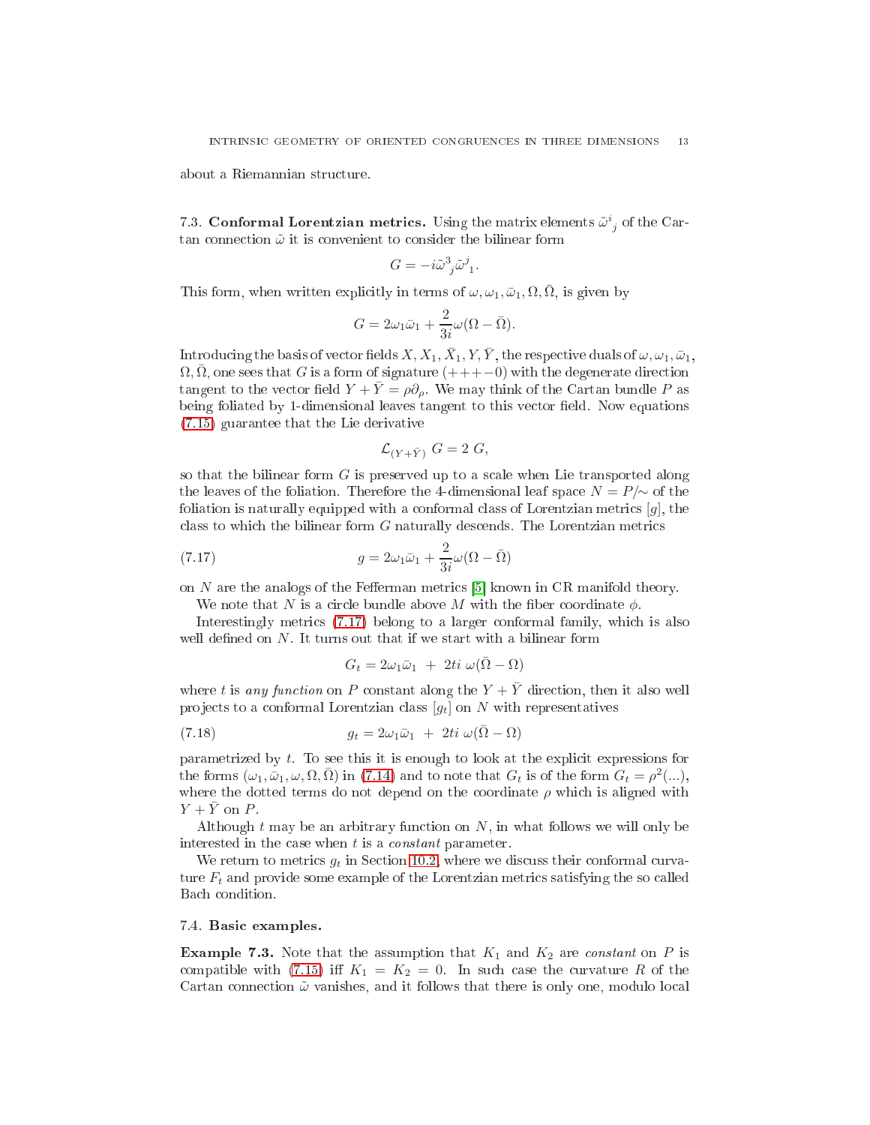about a Riemannian stru
ture.

<span id="page-12-0"></span>7.3. Conformal Lorentzian metrics. Using the matrix elements  $\tilde{\omega}_{j}^{i}$  of the Cartan connection  $\tilde{\omega}$  it is convenient to consider the bilinear form

$$
G=-i\tilde{\omega}^3_{\ j}\tilde{\omega}^j_{\ 1}.
$$

This form, when written explicitly in terms of  $\omega, \omega_1, \bar{\omega}_1, \Omega, \bar{\Omega}$ , is given by

$$
G = 2\omega_1 \bar{\omega}_1 + \frac{2}{3i}\omega(\Omega - \bar{\Omega}).
$$

Introducing the basis of vector fields  $X,X_1,\bar{X}_1,Y,\bar{Y},$  the respective duals of  $\omega,\omega_1,\bar{\omega}_1,$  $\Omega, \overline{\Omega}$ , one sees that G is a form of signature  $(++-0)$  with the degenerate direction tangent to the vector field  $Y + \overline{Y} = \rho \partial_{\rho}$ . We may think of the Cartan bundle P as being foliated by 1-dimensional leaves tangent to this vector field. Now equations [\(7.15\)](#page-10-3) guarantee that the Lie derivative

$$
\mathcal{L}_{(Y+\bar{Y})} G = 2 G,
$$

so that the bilinear form  $G$  is preserved up to a scale when Lie transported along the leaves of the foliation. Therefore the 4-dimensional leaf space  $N = P/\sim$  of the foliation is naturally equipped with a conformal class of Lorentzian metrics  $[g]$ , the class to which the bilinear form  $G$  naturally descends. The Lorentzian metrics

(7.17) 
$$
g = 2\omega_1 \bar{\omega}_1 + \frac{2}{3i}\omega(\Omega - \bar{\Omega})
$$

on N are the analogs of the Fefferman metrics  $[5]$  known in CR manifold theory.

We note that N is a circle bundle above M with the fiber coordinate  $\phi$ .

Interestingly metri
s [\(7.17\)](#page-12-2) belong to a larger onformal family, whi
h is also well defined on  $N$ . It turns out that if we start with a bilinear form

<span id="page-12-4"></span><span id="page-12-2"></span>
$$
G_t = 2\omega_1 \bar{\omega}_1 + 2ti \ \omega(\bar{\Omega} - \Omega)
$$

where t is any function on P constant along the  $Y + \overline{Y}$  direction, then it also well projects to a conformal Lorentzian class  $[g_t]$  on N with representatives

(7.18) 
$$
g_t = 2\omega_1 \bar{\omega}_1 + 2ti \ \omega (\bar{\Omega} - \Omega)
$$

parametrized by t. To see this it is enough to look at the expli
it expressions for the forms  $(\omega_1, \bar{\omega}_1, \omega, \Omega, \bar{\Omega})$  in [\(7.14\)](#page-10-4) and to note that  $G_t$  is of the form  $G_t = \rho^2(...)$ , where the dotted terms do not depend on the coordinate  $\rho$  which is aligned with  $Y + \bar{Y}$  on P.

Although  $t$  may be an arbitrary function on  $N$ , in what follows we will only be interested in the case when  $t$  is a *constant* parameter.

We return to metrics  $g_t$  in Section [10.2,](#page-40-0) where we discuss their conformal curvature  $F_t$  and provide some example of the Lorentzian metrics satisfying the so called Ba
h ondition.

## <span id="page-12-3"></span><span id="page-12-1"></span>7.4. Basi examples.

**Example 7.3.** Note that the assumption that  $K_1$  and  $K_2$  are constant on P is compatible with [\(7.15\)](#page-10-3) iff  $K_1 = K_2 = 0$ . In such case the curvature R of the Cartan connection  $\tilde{\omega}$  vanishes, and it follows that there is only one, modulo local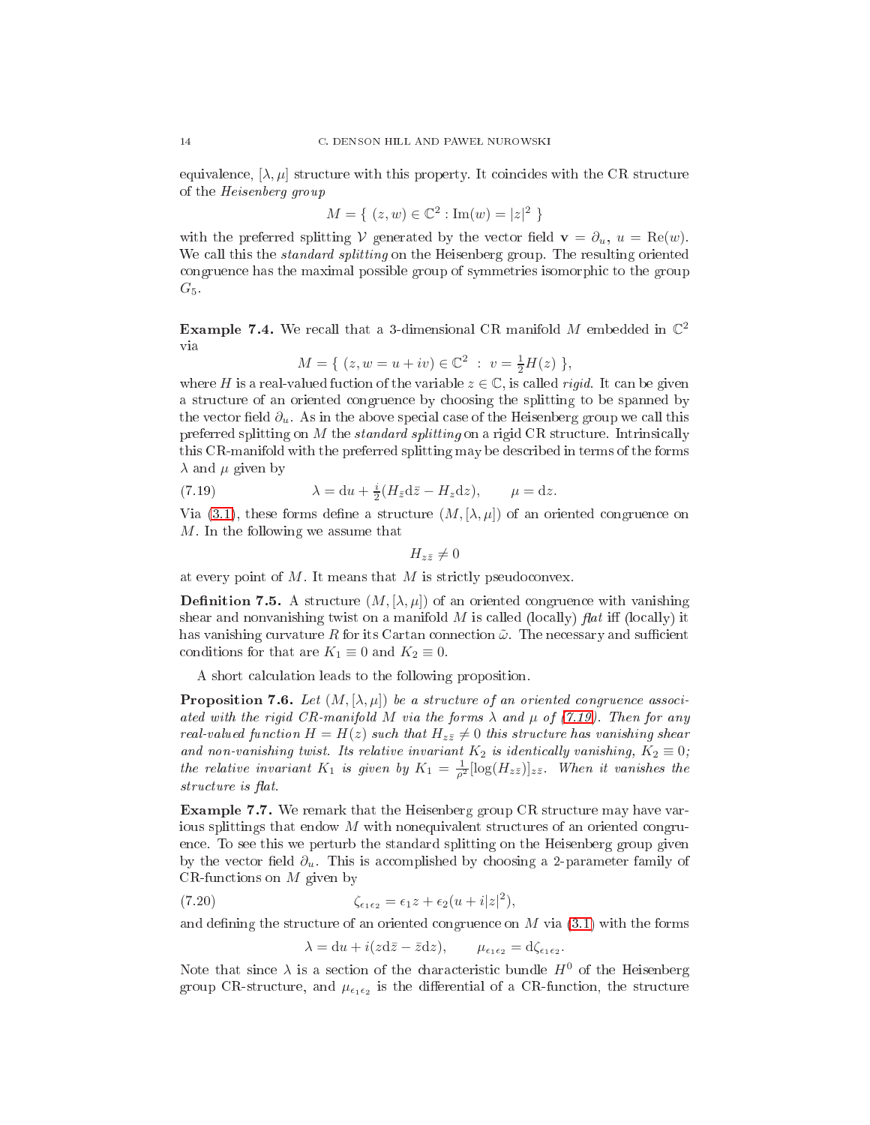equivalence,  $[\lambda, \mu]$  structure with this property. It coincides with the CR structure of the Heisenberg group

$$
M = \{ (z, w) \in \mathbb{C}^2 : \text{Im}(w) = |z|^2 \}
$$

with the preferred splitting V generated by the vector field  $\mathbf{v} = \partial_u, u = \text{Re}(w)$ . We call this the *standard splitting* on the Heisenberg group. The resulting oriented ongruen
e has the maximal possible group of symmetries isomorphi to the group  $G_5$ .

<span id="page-13-3"></span>Example 7.4. We recall that a 3-dimensional CR manifold M embedded in  $\mathbb{C}^2$ via

$$
M = \{ (z, w = u + iv) \in \mathbb{C}^2 : v = \frac{1}{2}H(z) \},
$$

where H is a real-valued fuction of the variable  $z \in \mathbb{C}$ , is called *rigid*. It can be given a stru
ture of an oriented ongruen
e by hoosing the splitting to be spanned by the vector field  $\partial_u$ . As in the above special case of the Heisenberg group we call this preferred splitting on  $M$  the *standard splitting* on a rigid CR structure. Intrinsically this CR-manifold with the preferred splitting may be des
ribed in terms of the forms  $\lambda$  and  $\mu$  given by

(7.19) 
$$
\lambda = du + \frac{i}{2}(H_{\bar{z}}d\bar{z} - H_zdz), \qquad \mu = dz.
$$

Via [\(3.1\)](#page-4-2), these forms define a structure  $(M, [\lambda, \mu])$  of an oriented congruence on  $M$ . In the following we assume that

<span id="page-13-0"></span>
$$
H_{z\bar{z}}\neq 0
$$

at every point of  $M$ . It means that  $M$  is strictly pseudoconvex.

**Definition 7.5.** A structure  $(M, [\lambda, \mu])$  of an oriented congruence with vanishing shear and nonvanishing twist on a manifold  $M$  is called (locally)  $flat$  iff (locally) it has vanishing curvature R for its Cartan connection  $\tilde{\omega}$ . The necessary and sufficient conditions for that are  $K_1 \equiv 0$  and  $K_2 \equiv 0$ .

A short al
ulation leads to the following proposition.

**Proposition 7.6.** Let  $(M, [\lambda, \mu])$  be a structure of an oriented congruence associated with the rigid CR-manifold M via the forms  $\lambda$  and  $\mu$  of [\(7.19\)](#page-13-0). Then for any real-valued function  $H = H(z)$  such that  $H_{z\bar{z}} \neq 0$  this structure has vanishing shear and non-vanishing twist. Its relative invariant  $K_2$  is identically vanishing,  $K_2 \equiv 0$ ; the relative invariant  $K_1$  is given by  $K_1 = \frac{1}{\rho^2} [\log(H_{z\bar{z}})]_{z\bar{z}}$ . When it vanishes the structure is flat.

<span id="page-13-1"></span>Example 7.7. We remark that the Heisenberg group CR stru
ture may have various splittings that endow  $M$  with nonequivalent structures of an oriented congruence. To see this we perturb the standard splitting on the Heisenberg group given by the vector field  $\partial_u$ . This is accomplished by choosing a 2-parameter family of CR-functions on  $M$  given by

(7.20) 
$$
\zeta_{\epsilon_1 \epsilon_2} = \epsilon_1 z + \epsilon_2 (u + i|z|^2),
$$

and defining the structure of an oriented congruence on  $M$  via  $(3.1)$  with the forms

<span id="page-13-2"></span>
$$
\lambda = du + i(zd\overline{z} - \overline{z}dz), \qquad \mu_{\epsilon_1 \epsilon_2} = d\zeta_{\epsilon_1 \epsilon_2}.
$$

Note that since  $\lambda$  is a section of the characteristic bundle  $H^0$  of the Heisenberg group CR-structure, and  $\mu_{\epsilon_1 \epsilon_2}$  is the differential of a CR-function, the structure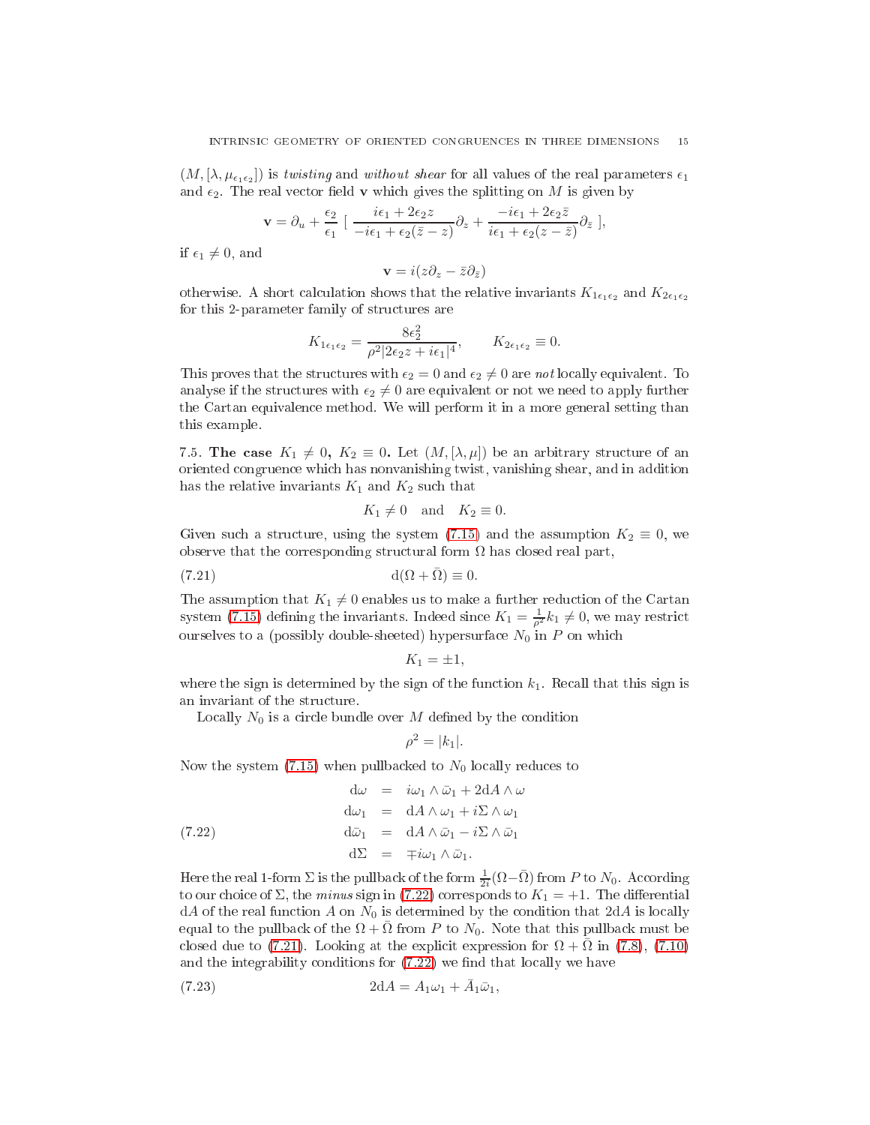$(M,[\lambda,\mu_{\epsilon_1\epsilon_2}])$  is twisting and without shear for all values of the real parameters  $\epsilon_1$ and  $\epsilon_2$ . The real vector field **v** which gives the splitting on M is given by

$$
\mathbf{v} = \partial_u + \frac{\epsilon_2}{\epsilon_1} \left[ \frac{i\epsilon_1 + 2\epsilon_2 z}{-i\epsilon_1 + \epsilon_2(\bar{z} - z)} \partial_z + \frac{-i\epsilon_1 + 2\epsilon_2 \bar{z}}{i\epsilon_1 + \epsilon_2(z - \bar{z})} \partial_{\bar{z}} \right],
$$

if  $\epsilon_1 \neq 0$ , and

$$
\mathbf{v}=i(z\partial_z-\bar{z}\partial_{\bar{z}})
$$

otherwise. A short calculation shows that the relative invariants  $K_{1\epsilon_1\epsilon_2}$  and  $K_{2\epsilon_1\epsilon_2}$ for this 2-parameter family of stru
tures are

$$
K_{1\epsilon_1\epsilon_2} = \frac{8\epsilon_2^2}{\rho^2 |2\epsilon_2 z + i\epsilon_1|^4}, \qquad K_{2\epsilon_1\epsilon_2} \equiv 0.
$$

This proves that the structures with  $\epsilon_2 = 0$  and  $\epsilon_2 \neq 0$  are not locally equivalent. To analyse if the structures with  $\epsilon_2 \neq 0$  are equivalent or not we need to apply further the Cartan equivalen
e method. We will perform it in a more general setting than this example.

<span id="page-14-0"></span>7.5. The case  $K_1 \neq 0, K_2 \equiv 0$ . Let  $(M, [\lambda, \mu])$  be an arbitrary structure of an oriented ongruen
e whi
h has nonvanishing twist, vanishing shear, and in addition has the relative invariants  $K_1$  and  $K_2$  such that

<span id="page-14-2"></span>
$$
K_1 \neq 0 \quad \text{and} \quad K_2 \equiv 0.
$$

Given such a structure, using the system [\(7.15\)](#page-10-3) and the assumption  $K_2 \equiv 0$ , we observe that the corresponding structural form  $\Omega$  has closed real part,

$$
d(\Omega + \bar{\Omega}) \equiv 0.
$$

The assumption that  $K_1 \neq 0$  enables us to make a further reduction of the Cartan system [\(7.15\)](#page-10-3) defining the invariants. Indeed since  $K_1 = \frac{1}{\rho^2} k_1 \neq 0$ , we may restrict ourselves to a (possibly double-sheeted) hypersurface  $N_0$  in P on which

$$
K_1 = \pm 1,
$$

where the sign is determined by the sign of the function  $k_1$ . Recall that this sign is an invariant of the stru
ture.

Locally  $N_0$  is a circle bundle over M defined by the condition

<span id="page-14-1"></span>
$$
\rho^2 = |k_1|.
$$

Now the system  $(7.15)$  when pullbacked to  $N_0$  locally reduces to

(7.22) 
$$
\begin{array}{rcl}\n\mathrm{d}\omega & = & i\omega_1 \wedge \bar{\omega}_1 + 2\mathrm{d}A \wedge \omega \\
\mathrm{d}\omega_1 & = & \mathrm{d}A \wedge \omega_1 + i\Sigma \wedge \omega_1 \\
\mathrm{d}\bar{\omega}_1 & = & \mathrm{d}A \wedge \bar{\omega}_1 - i\Sigma \wedge \bar{\omega}_1 \\
\mathrm{d}\Sigma & = & \mp i\omega_1 \wedge \bar{\omega}_1.\n\end{array}
$$

Here the real 1-form  $\Sigma$  is the pullback of the form  $\frac{1}{2i}(\Omega-\bar{\Omega})$  from P to  $N_0$ . According to our choice of  $\Sigma$ , the minus sign in [\(7.22\)](#page-14-1) corresponds to  $K_1 = +1$ . The differential  $dA$  of the real function A on  $N_0$  is determined by the condition that  $2dA$  is locally equal to the pullback of the  $\Omega + \overline{\Omega}$  from P to  $N_0$ . Note that this pullback must be closed due to [\(7.21\)](#page-14-2). Looking at the explicit expression for  $\Omega + \Omega$  in [\(7.8\)](#page-9-6), [\(7.10\)](#page-10-0) and the integrability conditions for  $(7.22)$  we find that locally we have

<span id="page-14-3"></span>(7.23) 
$$
2dA = A_1 \omega_1 + \bar{A}_1 \bar{\omega}_1,
$$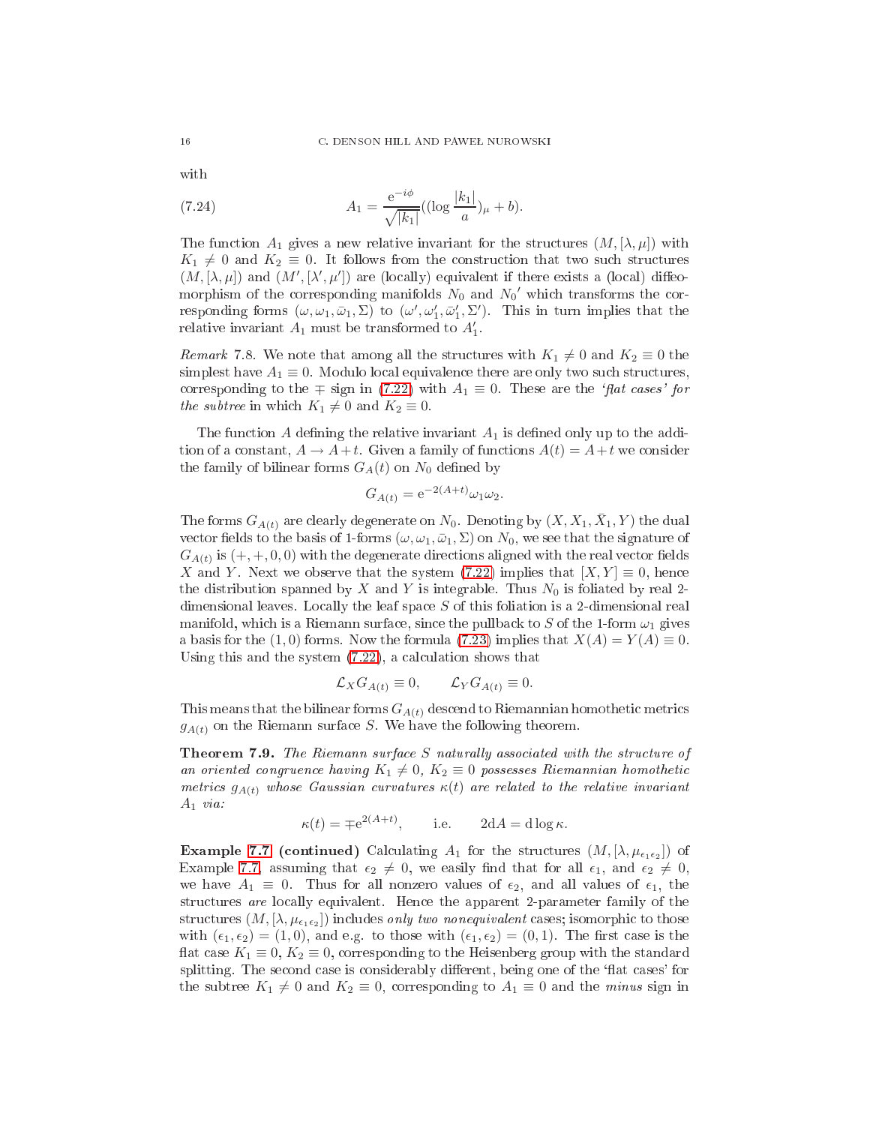with

<span id="page-15-2"></span>(7.24) 
$$
A_1 = \frac{e^{-i\phi}}{\sqrt{|k_1|}} ((\log \frac{|k_1|}{a})_{\mu} + b).
$$

The function  $A_1$  gives a new relative invariant for the structures  $(M, [\lambda, \mu])$  with  $K_1 \neq 0$  and  $K_2 \equiv 0$ . It follows from the construction that two such structures  $(M, [\lambda, \mu])$  and  $(M', [\lambda', \mu'])$  are (locally) equivalent if there exists a (local) diffeomorphism of the corresponding manifolds  $N_0$  and  $N_0'$  which transforms the corresponding forms  $(\omega, \omega_1, \bar{\omega}_1, \Sigma)$  to  $(\omega', \omega'_1, \bar{\omega}'_1, \Sigma')$ . This in turn implies that the relative invariant  $A_1$  must be transformed to  $A'_1$ .

<span id="page-15-0"></span>*Remark* 7.8. We note that among all the structures with  $K_1 \neq 0$  and  $K_2 \equiv 0$  the simplest have  $A_1 \equiv 0$ . Modulo local equivalence there are only two such structures, corresponding to the  $\mp$  sign in [\(7.22\)](#page-14-1) with  $A_1 \equiv 0$ . These are the 'flat cases' for the subtree in which  $K_1 \neq 0$  and  $K_2 \equiv 0$ .

The function A defining the relative invariant  $A_1$  is defined only up to the addition of a constant,  $A \to A + t$ . Given a family of functions  $A(t) = A + t$  we consider the family of bilinear forms  $G_A(t)$  on  $N_0$  defined by

$$
G_{A(t)} = e^{-2(A+t)} \omega_1 \omega_2.
$$

The forms  $G_{A(t)}$  are clearly degenerate on  $N_0$ . Denoting by  $(X, X_1, \bar{X}_1, Y)$  the dual vector fields to the basis of 1-forms  $(\omega, \omega_1, \bar{\omega}_1, \Sigma)$  on  $N_0$ , we see that the signature of  $G_{A(t)}$  is  $(+,+,0,0)$  with the degenerate directions aligned with the real vector fields X and Y. Next we observe that the system  $(7.22)$  implies that  $[X, Y] \equiv 0$ , hence the distribution spanned by X and Y is integrable. Thus  $N_0$  is foliated by real 2dimensional leaves. Locally the leaf space S of this foliation is a 2-dimensional real manifold, which is a Riemann surface, since the pullback to S of the 1-form  $\omega_1$  gives a basis for the (1,0) forms. Now the formula [\(7.23\)](#page-14-3) implies that  $X(A) = Y(A) \equiv 0$ . Using this and the system  $(7.22)$ , a calculation shows that

$$
\mathcal{L}_X G_{A(t)} \equiv 0, \qquad \mathcal{L}_Y G_{A(t)} \equiv 0.
$$

<span id="page-15-1"></span>This means that the bilinear forms  $G_{A(t)}$  descend to Riemannian homothetic metrics  $g_{A(t)}$  on the Riemann surface S. We have the following theorem.

**Theorem 7.9.** The Riemann surface  $S$  naturally associated with the structure of an oriented congruence having  $K_1 \neq 0, K_2 \equiv 0$  possesses Riemannian homothetic metrics  $g_{A(t)}$  whose Gaussian curvatures  $\kappa(t)$  are related to the relative invariant  $A_1$  via:

$$
\kappa(t) = \mp e^{2(A+t)},
$$
 i.e.  $2dA = d \log \kappa.$ 

**Example [7.7](#page-13-1) (continued)** Calculating  $A_1$  for the structures  $(M, [\lambda, \mu_{\epsilon_1 \epsilon_2}])$  of Example [7.7,](#page-13-1) assuming that  $\epsilon_2 \neq 0$ , we easily find that for all  $\epsilon_1$ , and  $\epsilon_2 \neq 0$ , we have  $A_1 \equiv 0$ . Thus for all nonzero values of  $\epsilon_2$ , and all values of  $\epsilon_1$ , the structures are locally equivalent. Hence the apparent 2-parameter family of the  $\text{structures } (M,[\lambda,\mu_{\epsilon_1\epsilon_2}]) \text{ includes } \textit{only two nonequivalent cases; isomorphic to those}$ with  $(\epsilon_1, \epsilon_2) = (1, 0)$ , and e.g. to those with  $(\epsilon_1, \epsilon_2) = (0, 1)$ . The first case is the flat case  $K_1 \equiv 0, K_2 \equiv 0$ , corresponding to the Heisenberg group with the standard splitting. The second case is considerably different, being one of the 'flat cases' for the subtree  $K_1 \neq 0$  and  $K_2 \equiv 0$ , corresponding to  $A_1 \equiv 0$  and the minus sign in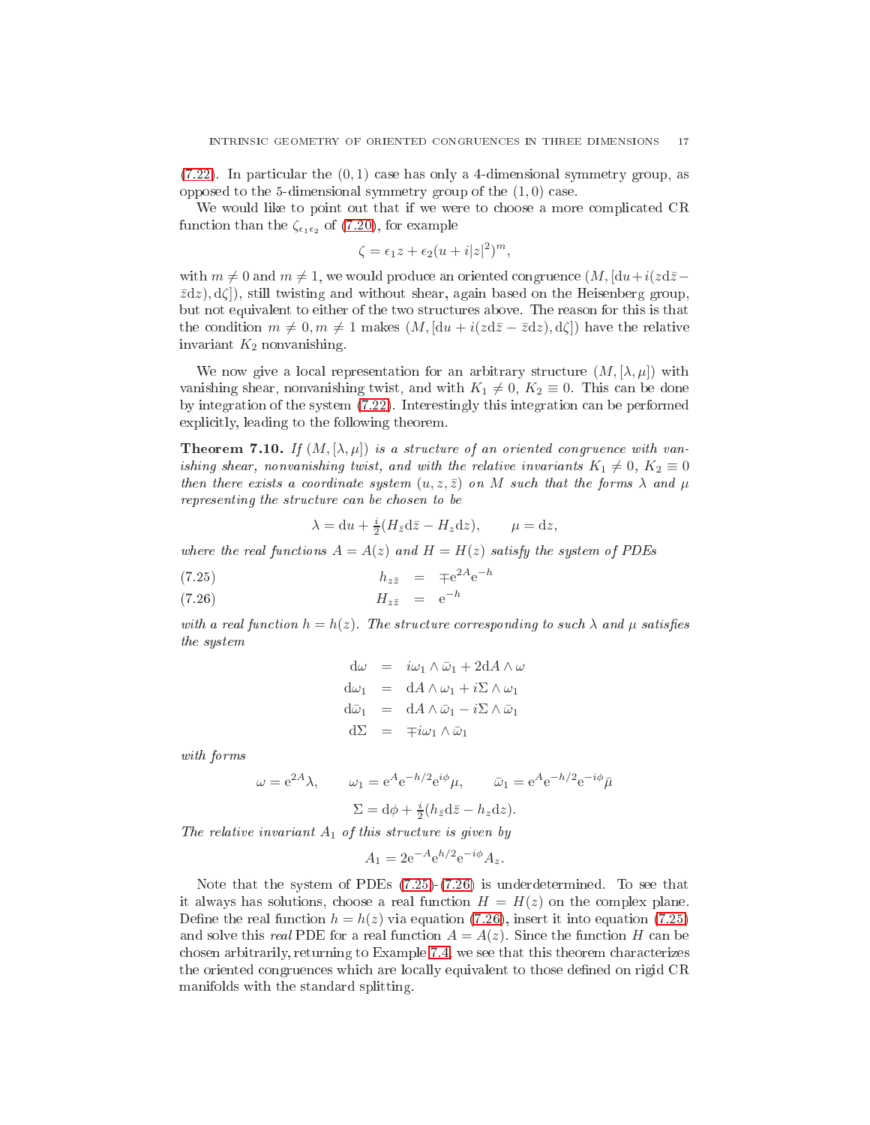$(7.22)$ . In particular the  $(0, 1)$  case has only a 4-dimensional symmetry group, as opposed to the 5-dimensional symmetry group of the  $(1,0)$  case.

We would like to point out that if we were to choose a more complicated CR function than the  $\zeta_{\epsilon_1\epsilon_2}$  of [\(7.20\)](#page-13-2), for example

$$
\zeta = \epsilon_1 z + \epsilon_2 (u + i|z|^2)^m,
$$

with  $m \neq 0$  and  $m \neq 1$ , we would produce an oriented congruence  $(M, [du + i(zd\overline{z} \bar{z}dz$ ,  $d\zeta$ , still twisting and without shear, again based on the Heisenberg group, but not equivalent to either of the two stru
tures above. The reason for this is that the condition  $m \neq 0, m \neq 1$  makes  $(M, [du + i(zd\overline{z} - \overline{z}dz), d\zeta])$  have the relative invariant  $K_2$  nonvanishing.

We now give a local representation for an arbitrary structure  $(M, [\lambda, \mu])$  with vanishing shear, nonvanishing twist, and with  $K_1 \neq 0, K_2 \equiv 0$ . This can be done by integration of the system [\(7.22\)](#page-14-1). Interestingly this integration an be performed expli
itly, leading to the following theorem.

<span id="page-16-1"></span>**Theorem 7.10.** If  $(M, [\lambda, \mu])$  is a structure of an oriented congruence with vanishing shear, nonvanishing twist, and with the relative invariants  $K_1 \neq 0, K_2 \equiv 0$ then there exists a coordinate system  $(u, z, \bar{z})$  on M such that the forms  $\lambda$  and  $\mu$ representing the structure can be chosen to be

<span id="page-16-0"></span>
$$
\lambda = du + \frac{i}{2}(H_{\bar{z}}d\bar{z} - H_z dz), \qquad \mu = dz,
$$

where the real functions  $A = A(z)$  and  $H = H(z)$  satisfy the system of PDEs

hzz¯ = ∓e <sup>2</sup><sup>A</sup>e −h (7.25)

$$
(7.26) \t\t H_{z\bar{z}} = e^{-h}
$$

with a real function  $h = h(z)$ . The structure corresponding to such  $\lambda$  and  $\mu$  satisfies the system

$$
d\omega = i\omega_1 \wedge \bar{\omega}_1 + 2dA \wedge \omega
$$
  
\n
$$
d\omega_1 = dA \wedge \omega_1 + i\Sigma \wedge \omega_1
$$
  
\n
$$
d\bar{\omega}_1 = dA \wedge \bar{\omega}_1 - i\Sigma \wedge \bar{\omega}_1
$$
  
\n
$$
d\Sigma = \mp i\omega_1 \wedge \bar{\omega}_1
$$

with forms

$$
\omega = e^{2A}\lambda, \qquad \omega_1 = e^A e^{-h/2} e^{i\phi} \mu, \qquad \bar{\omega}_1 = e^A e^{-h/2} e^{-i\phi} \bar{\mu}
$$

$$
\Sigma = d\phi + \frac{i}{2} (h_{\bar{z}} d\bar{z} - h_z dz).
$$

The relative invariant  $A_1$  of this structure is given by

$$
A_1 = 2e^{-A}e^{h/2}e^{-i\phi}A_z.
$$

<span id="page-16-2"></span>Note that the system of PDEs [\(7.25\)](#page-16-0)-[\(7.26\)](#page-16-0) is underdetermined. To see that it always has solutions, choose a real function  $H = H(z)$  on the complex plane. Define the real function  $h = h(z)$  via equation [\(7.26\)](#page-16-0), insert it into equation [\(7.25\)](#page-16-0) and solve this *real* PDE for a real function  $A = A(z)$ . Since the function H can be chosen arbitrarily, returning to Example [7.4,](#page-13-3) we see that this theorem characterizes the oriented congruences which are locally equivalent to those defined on rigid CR manifolds with the standard splitting.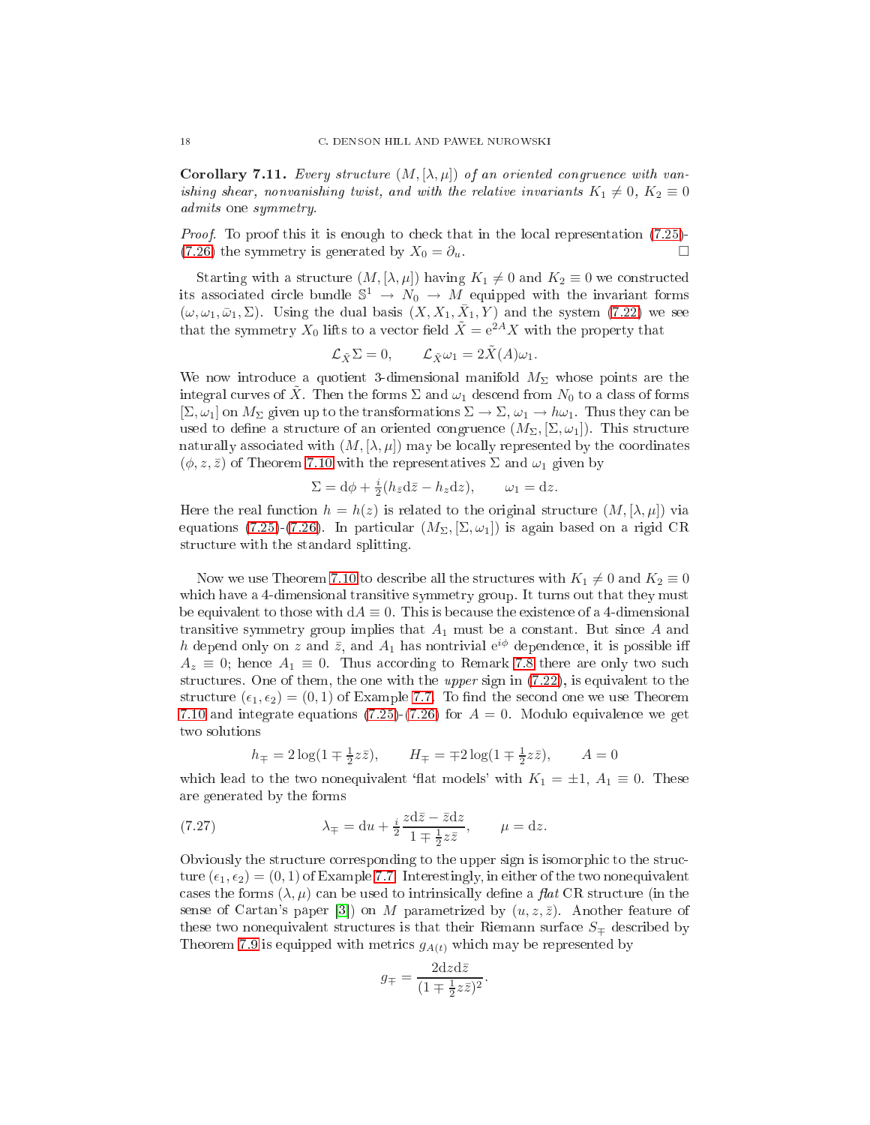**Corollary 7.11.** Every structure  $(M, [\lambda, \mu])$  of an oriented congruence with vanishing shear, nonvanishing twist, and with the relative invariants  $K_1 \neq 0, K_2 \equiv 0$ admits one symmetry.

Proof. To proof this it is enough to check that in the local representation [\(7.25\)](#page-16-0)-[\(7.26\)](#page-16-0) the symmetry is generated by  $X_0 = \partial_u$ .

Starting with a structure  $(M, [\lambda, \mu])$  having  $K_1 \neq 0$  and  $K_2 \equiv 0$  we constructed its associated circle bundle  $\mathbb{S}^1 \to N_0 \to M$  equipped with the invariant forms  $(\omega, \omega_1, \bar{\omega}_1, \Sigma)$ . Using the dual basis  $(X, X_1, \bar{X}_1, Y)$  and the system [\(7.22\)](#page-14-1) we see that the symmetry  $X_0$  lifts to a vector field  $\tilde{X} = e^{2A}X$  with the property that

$$
\mathcal{L}_{\tilde{X}} \Sigma = 0, \qquad \mathcal{L}_{\tilde{X}} \omega_1 = 2\tilde{X}(A)\omega_1.
$$

We now introduce a quotient 3-dimensional manifold  $M_{\Sigma}$  whose points are the integral curves of X. Then the forms  $\Sigma$  and  $\omega_1$  descend from  $N_0$  to a class of forms  $[\Sigma, \omega_1]$  on  $M_{\Sigma}$  given up to the transformations  $\Sigma \to \Sigma$ ,  $\omega_1 \to h\omega_1$ . Thus they can be used to define a structure of an oriented congruence  $(M_{\Sigma}, [\Sigma, \omega_1])$ . This structure naturally associated with  $(M, [\lambda, \mu])$  may be locally represented by the coordinates  $(\phi, z, \bar{z})$  of Theorem [7.10](#page-16-1) with the representatives  $\Sigma$  and  $\omega_1$  given by

$$
\Sigma = d\phi + \frac{i}{2}(h_{\bar{z}}d\bar{z} - h_z dz), \qquad \omega_1 = dz.
$$

Here the real function  $h = h(z)$  is related to the original structure  $(M, [\lambda, \mu])$  via equations [\(7.25\)](#page-16-0)-[\(7.26\)](#page-16-0). In particular  $(M_{\Sigma}, \Sigma, \omega_1)$  is again based on a rigid CR structure with the standard splitting.

Now we use Theorem [7.10](#page-16-1) to describe all the structures with  $K_1 \neq 0$  and  $K_2 \equiv 0$ which have a 4-dimensional transitive symmetry group. It turns out that they must be equivalent to those with  $dA \equiv 0$ . This is because the existence of a 4-dimensional transitive symmetry group implies that  $A_1$  must be a constant. But since  $A$  and h depend only on z and  $\bar{z}$ , and  $A_1$  has nontrivial  $e^{i\phi}$  dependence, it is possible iff  $A_z \equiv 0$ ; hence  $A_1 \equiv 0$ . Thus according to Remark [7.8](#page-15-0) there are only two such structures. One of them, the one with the upper sign in  $(7.22)$ , is equivalent to the structure  $(\epsilon_1, \epsilon_2) = (0, 1)$  of Example [7.7.](#page-13-1) To find the second one we use Theorem [7.10](#page-16-1) and integrate equations [\(7.25\)](#page-16-0)-[\(7.26\)](#page-16-0) for  $A = 0$ . Modulo equivalence we get two solutions

<span id="page-17-0"></span>
$$
h_{\mp} = 2\log(1 \mp \frac{1}{2}z\overline{z}),
$$
  $H_{\mp} = \mp 2\log(1 \mp \frac{1}{2}z\overline{z}),$   $A = 0$ 

which lead to the two nonequivalent 'flat models' with  $K_1 = \pm 1$ ,  $A_1 \equiv 0$ . These are generated by the forms

(7.27) 
$$
\lambda_{\mp} = du + \frac{i}{2} \frac{z d\bar{z} - \bar{z} dz}{1 \mp \frac{1}{2} z \bar{z}}, \qquad \mu = dz.
$$

Obviously the structure corresponding to the upper sign is isomorphic to the structure  $(\epsilon_1, \epsilon_2) = (0, 1)$  of Example [7.7.](#page-13-1) Interestingly, in either of the two nonequivalent cases the forms  $(\lambda, \mu)$  can be used to intrinsically define a flat CR structure (in the sense of Cartan's paper [3]) on M parametrized by  $(u, z, \overline{z})$ . Another feature of these two nonequivalent structures is that their Riemann surface  $S_{\pm}$  described by Theorem [7.9](#page-15-1) is equipped with metrics  $g_{A(t)}$  which may be represented by

$$
g_{\mp} = \frac{2dzd\bar{z}}{(1 \mp \frac{1}{2}z\bar{z})^2}.
$$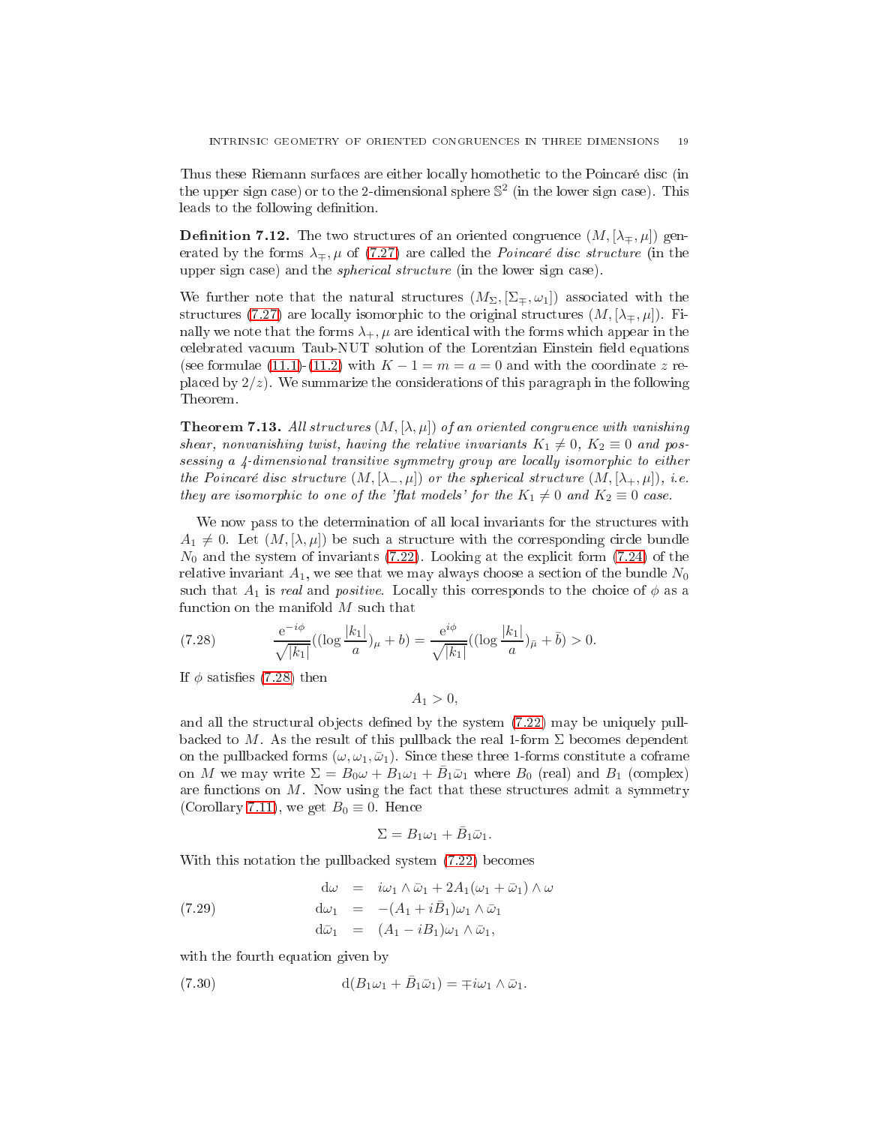Thus these Riemann surfa
es are either lo
ally homotheti to the Poin
aré dis (in the upper sign case) or to the 2-dimensional sphere  $\mathbb{S}^2$  (in the lower sign case). This leads to the following definition.

**Definition 7.12.** The two structures of an oriented congruence  $(M, [\lambda_{\mp}, \mu])$  generated by the forms  $\lambda_{\pm}, \mu$  of [\(7.27\)](#page-17-0) are called the *Poincaré disc structure* (in the upper sign case) and the *spherical structure* (in the lower sign case).

We further note that the natural structures  $(M_{\Sigma},[\Sigma_{\mp},\omega_1])$  associated with the structures [\(7.27\)](#page-17-0) are locally isomorphic to the original structures  $(M, [\lambda_{\mp}, \mu])$ . Finally we note that the forms  $\lambda_+$ ,  $\mu$  are identical with the forms which appear in the celebrated vacuum Taub-NUT solution of the Lorentzian Einstein field equations (see formulae [\(11.1\)](#page-45-1)-[\(11.2\)](#page-45-2) with  $K-1=m=a=0$  and with the coordinate z replaced by  $2/z$ ). We summarize the considerations of this paragraph in the following Theorem.

<span id="page-18-3"></span>**Theorem 7.13.** All structures  $(M, [\lambda, \mu])$  of an oriented congruence with vanishing shear, nonvanishing twist, having the relative invariants  $K_1 \neq 0$ ,  $K_2 \equiv 0$  and possessing a 4-dimensional transitive symmetry group are locally isomorphic to either the Poincaré disc structure  $(M, [\lambda_-, \mu])$  or the spherical structure  $(M, [\lambda_+, \mu])$ , i.e. they are isomorphic to one of the 'flat models' for the  $K_1 \neq 0$  and  $K_2 \equiv 0$  case.

We now pass to the determination of all local invariants for the structures with  $A_1 \neq 0$ . Let  $(M, [\lambda, \mu])$  be such a structure with the corresponding circle bundle  $N_0$  and the system of invariants [\(7.22\)](#page-14-1). Looking at the explicit form [\(7.24\)](#page-15-2) of the relative invariant  $A_1$ , we see that we may always choose a section of the bundle  $N_0$ such that  $A_1$  is real and positive. Locally this corresponds to the choice of  $\phi$  as a function on the manifold  $M$  such that

<span id="page-18-0"></span>(7.28) 
$$
\frac{e^{-i\phi}}{\sqrt{|k_1|}}((\log \frac{|k_1|}{a})_{\mu} + b) = \frac{e^{i\phi}}{\sqrt{|k_1|}}((\log \frac{|k_1|}{a})_{\bar{\mu}} + \bar{b}) > 0.
$$

If  $\phi$  satisfies [\(7.28\)](#page-18-0) then

$$
A_1>0,
$$

and all the structural objects defined by the system  $(7.22)$  may be uniquely pullbacked to M. As the result of this pullback the real 1-form  $\Sigma$  becomes dependent on the pullbacked forms  $(\omega, \omega_1, \bar{\omega}_1)$ . Since these three 1-forms constitute a coframe on M we may write  $\Sigma = B_0 \omega + B_1 \omega_1 + \overline{B}_1 \overline{\omega}_1$  where  $B_0$  (real) and  $B_1$  (complex) are functions on  $M$ . Now using the fact that these structures admit a symmetry (Corollary [7.11\)](#page-16-2), we get  $B_0 \equiv 0$ . Hence

<span id="page-18-2"></span><span id="page-18-1"></span>
$$
\Sigma=B_1\omega_1+\bar{B}_1\bar{\omega}_1.
$$

With this notation the pullbacked system [\(7.22\)](#page-14-1) becomes

(7.29) 
$$
\begin{aligned}\n\mathbf{d}\omega &= i\omega_1 \wedge \bar{\omega}_1 + 2A_1(\omega_1 + \bar{\omega}_1) \wedge \omega \\
\mathbf{d}\omega_1 &= -(A_1 + i\bar{B}_1)\omega_1 \wedge \bar{\omega}_1 \\
\mathbf{d}\bar{\omega}_1 &= (A_1 - iB_1)\omega_1 \wedge \bar{\omega}_1,\n\end{aligned}
$$

with the fourth equation given by

(7.30) 
$$
d(B_1\omega_1 + \bar{B}_1\bar{\omega}_1) = \mp i\omega_1 \wedge \bar{\omega}_1.
$$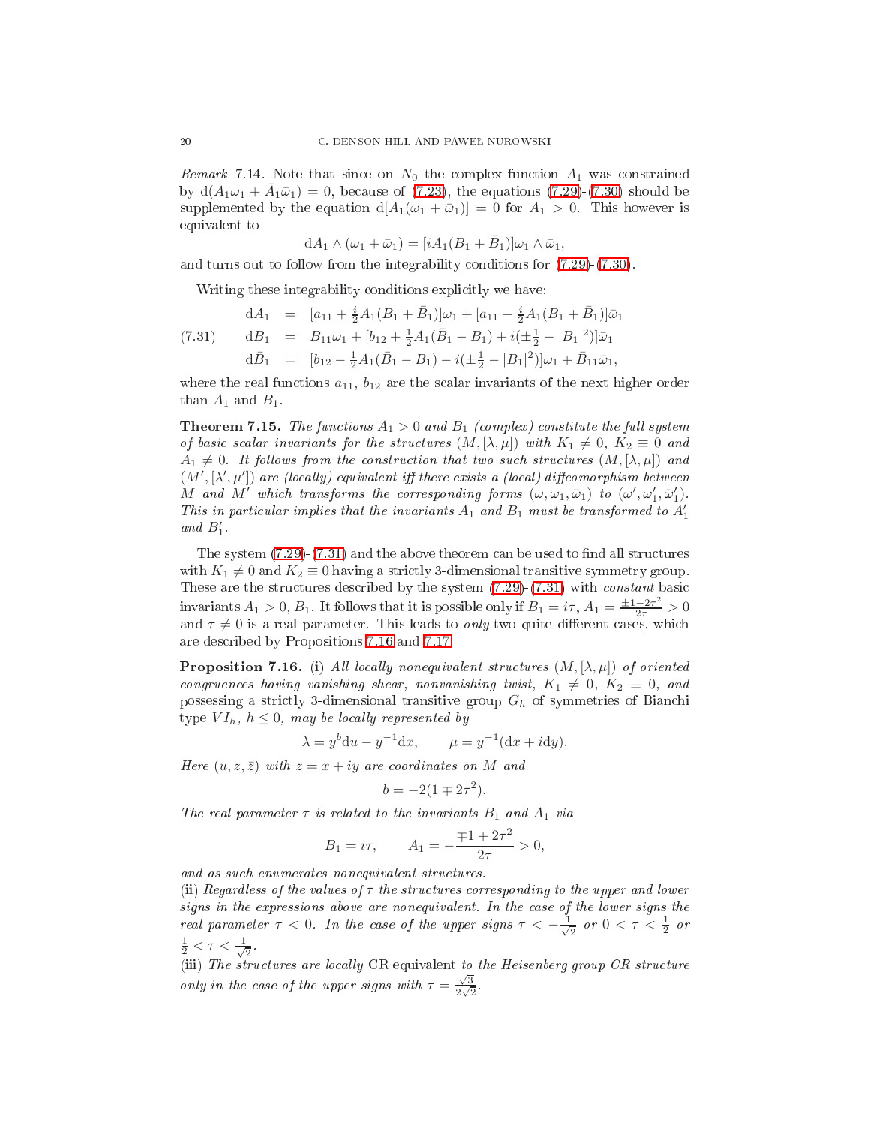*Remark* 7.14. Note that since on  $N_0$  the complex function  $A_1$  was constrained by  $d(A_1\omega_1 + \bar{A}_1\bar{\omega}_1) = 0$ , because of [\(7.23\)](#page-14-3), the equations [\(7.29\)](#page-18-1)-[\(7.30\)](#page-18-2) should be supplemented by the equation  $d[A_1(\omega_1 + \bar{\omega}_1)] = 0$  for  $A_1 > 0$ . This however is equivalent to

$$
dA_1 \wedge (\omega_1 + \bar{\omega}_1) = [iA_1(B_1 + \bar{B}_1)]\omega_1 \wedge \bar{\omega}_1,
$$

and turns out to follow from the integrability onditions for [\(7.29\)](#page-18-1)-[\(7.30\)](#page-18-2).

<span id="page-19-0"></span>Writing these integrability conditions explicitly we have:

(7.31) 
$$
dA_1 = [a_{11} + \frac{i}{2}A_1(B_1 + \bar{B}_1)]\omega_1 + [a_{11} - \frac{i}{2}A_1(B_1 + \bar{B}_1)]\bar{\omega}_1
$$

$$
dB_1 = B_{11}\omega_1 + [b_{12} + \frac{1}{2}A_1(\bar{B}_1 - B_1) + i(\pm \frac{1}{2} - |B_1|^2)]\bar{\omega}_1
$$

$$
d\bar{B}_1 = [b_{12} - \frac{1}{2}A_1(\bar{B}_1 - B_1) - i(\pm \frac{1}{2} - |B_1|^2)]\omega_1 + \bar{B}_{11}\bar{\omega}_1,
$$

where the real functions  $a_{11}$ ,  $b_{12}$  are the scalar invariants of the next higher order than  $A_1$  and  $B_1$ .

**Theorem 7.15.** The functions  $A_1 > 0$  and  $B_1$  (complex) constitute the full system of basic scalar invariants for the structures  $(M, [\lambda, \mu])$  with  $K_1 \neq 0$ ,  $K_2 \equiv 0$  and  $A_1 \neq 0$ . It follows from the construction that two such structures  $(M, [\lambda, \mu])$  and  $(M', [\lambda', \mu'])$  are (locally) equivalent iff there exists a (local) diffeomorphism between M and M' which transforms the corresponding forms  $(\omega, \omega_1, \bar{\omega}_1)$  to  $(\omega', \omega'_1, \bar{\omega}'_1)$ . This in particular implies that the invariants  $A_1$  and  $B_1$  must be transformed to  $A'_1$ and  $B'_1$ .

The system  $(7.29)-(7.31)$  $(7.29)-(7.31)$  $(7.29)-(7.31)$  and the above theorem can be used to find all structures with  $K_1 \neq 0$  and  $K_2 \equiv 0$  having a strictly 3-dimensional transitive symmetry group. These are the structures described by the system  $(7.29)-(7.31)$  $(7.29)-(7.31)$  $(7.29)-(7.31)$  with *constant* basic invariants  $A_1 > 0$ ,  $B_1$ . It follows that it is possible only if  $B_1 = i\tau$ ,  $A_1 = \frac{\pm 1 - 2\tau^2}{2\tau} > 0$ and  $\tau \neq 0$  is a real parameter. This leads to *only* two quite different cases, which are des
ribed by Propositions [7.16](#page-19-1) and [7.17.](#page-20-1)

<span id="page-19-1"></span>**Proposition 7.16.** (i) All locally nonequivalent structures  $(M, [\lambda, \mu])$  of oriented congruences having vanishing shear, nonvanishing twist,  $K_1 \neq 0$ ,  $K_2 \equiv 0$ , and possessing a strictly 3-dimensional transitive group  $G_h$  of symmetries of Bianchi type  $VI_h$ ,  $h \leq 0$ , may be locally represented by

$$
\lambda = y^b \mathrm{d}u - y^{-1} \mathrm{d}x, \qquad \mu = y^{-1}(\mathrm{d}x + i \mathrm{d}y).
$$

Here  $(u, z, \bar{z})$  with  $z = x + iy$  are coordinates on M and

$$
b = -2(1 \mp 2\tau^2).
$$

The real parameter  $\tau$  is related to the invariants  $B_1$  and  $A_1$  via

$$
B_1 = i\tau
$$
,  $A_1 = -\frac{\mp 1 + 2\tau^2}{2\tau} > 0$ ,

and as such enumerates nonequivalent structures.

(ii) Regardless of the values of  $\tau$  the structures corresponding to the upper and lower signs in the expressions above are nonequivalent. In the ase of the lower signs the real parameter  $\tau < 0$ . In the case of the upper signs  $\tau < -\frac{1}{\sqrt{2}}$  $\frac{1}{2}$  or  $0 < \tau < \frac{1}{2}$  or  $\frac{1}{2} < \tau < \frac{1}{\sqrt{2}}$ 2 .

(iii) The structures are locally CR equivalent to the Heisenberg group CR structure only in the case of the upper signs with  $\tau = \frac{\sqrt{3}}{2\sqrt{3}}$  $\frac{1}{2\sqrt{2}}$ .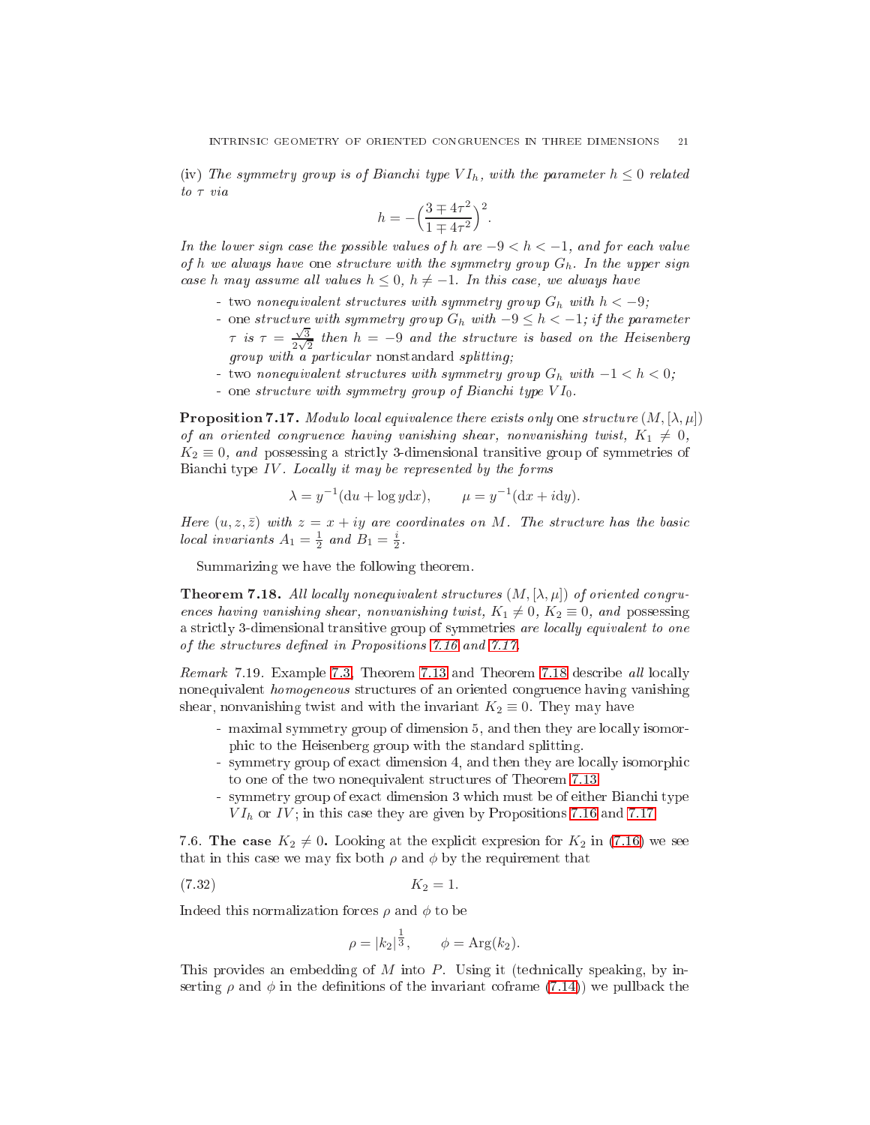(iv) The symmetry group is of Bianchi type  $VI_h$ , with the parameter  $h \leq 0$  related to τ via

$$
h = -\left(\frac{3 \mp 4\tau^2}{1 \mp 4\tau^2}\right)^2.
$$

In the lower sign case the possible values of h are  $-9 < h < -1$ , and for each value of h we always have one structure with the symmetry group  $G_h$ . In the upper sign case h may assume all values  $h \leq 0$ ,  $h \neq -1$ . In this case, we always have

- two nonequivalent structures with symmetry group  $G_h$  with  $h < -9$ ;
- one structure with symmetry group  $G_h$  with  $-9 \leq h < -1$ ; if the parameter  $\tau$  is  $\tau = \frac{\sqrt{3}}{2\sqrt{3}}$  $\frac{\sqrt{3}}{2\sqrt{2}}$  then  $h = -9$  and the structure is based on the Heisenberg ular nonstandard splitting; with a particle splitting; with the splitting; with the splitting; with the splitting; with the splitting; with the splitting; with the splitting; with the splitting; with the splitting; with th
- two nonequivalent structures with symmetry group  $G_h$  with  $-1 < h < 0$ ;
- one structure with symmetry group of Bianchi type  $VI_0$ .

<span id="page-20-1"></span>**Proposition 7.17.** Modulo local equivalence there exists only one structure  $(M, [\lambda, \mu])$ of an oriented congruence having vanishing shear, nonvanishing twist,  $K_1 \neq 0$ ,  $K_2 \equiv 0$ , and possessing a strictly 3-dimensional transitive group of symmetries of Bianchi type  $IV$ . Locally it may be represented by the forms

$$
\lambda = y^{-1}(\mathrm{d}u + \log y \mathrm{d}x), \qquad \mu = y^{-1}(\mathrm{d}x + i\mathrm{d}y).
$$

Here  $(u, z, \bar{z})$  with  $z = x + iy$  are coordinates on M. The structure has the basic local invariants  $A_1 = \frac{1}{2}$  and  $B_1 = \frac{i}{2}$ .

<span id="page-20-2"></span>Summarizing we have the following theorem.

**Theorem 7.18.** All locally nonequivalent structures  $(M, [\lambda, \mu])$  of oriented congruences having vanishing shear, nonvanishing twist,  $K_1 \neq 0$ ,  $K_2 \equiv 0$ , and possessing a strictly 3-dimensional transitive group of symmetries are locally equivalent to one of the structures defined in Propositions [7.16](#page-19-1) and [7.17.](#page-20-1)

Remark 7.19. Example [7.3,](#page-12-3) Theorem [7.13](#page-18-3) and Theorem [7.18](#page-20-2) describe all locally nonequivalent homogeneous stru
tures of an oriented ongruen
e having vanishing shear, nonvanishing twist and with the invariant  $K_2 \equiv 0$ . They may have

- maximal symmetry group of dimension 5, and then they are locally isomorphi to the Heisenberg group with the standard splitting.
- symmetry group of exact dimension 4, and then they are locally isomorphic to one of the two nonequivalent stru
tures of Theorem [7.13.](#page-18-3)
- symmetry group of exact dimension 3 which must be of either Bianchi type  $VI<sub>h</sub>$  or IV; in this case they are given by Propositions [7.16](#page-19-1) and [7.17.](#page-20-1)

<span id="page-20-0"></span>7.6. The case  $K_2 \neq 0$ . Looking at the explicit expresion for  $K_2$  in [\(7.16\)](#page-10-5) we see that in this case we may fix both  $\rho$  and  $\phi$  by the requirement that

$$
(7.32) \t\t K_2 = 1.
$$

Indeed this normalization forces  $\rho$  and  $\phi$  to be

$$
\rho = |k_2|^{\frac{1}{3}}, \quad \phi = \text{Arg}(k_2).
$$

This provides an embedding of  $M$  into  $P$ . Using it (technically speaking, by inserting  $\rho$  and  $\phi$  in the definitions of the invariant coframe [\(7.14\)](#page-10-4)) we pullback the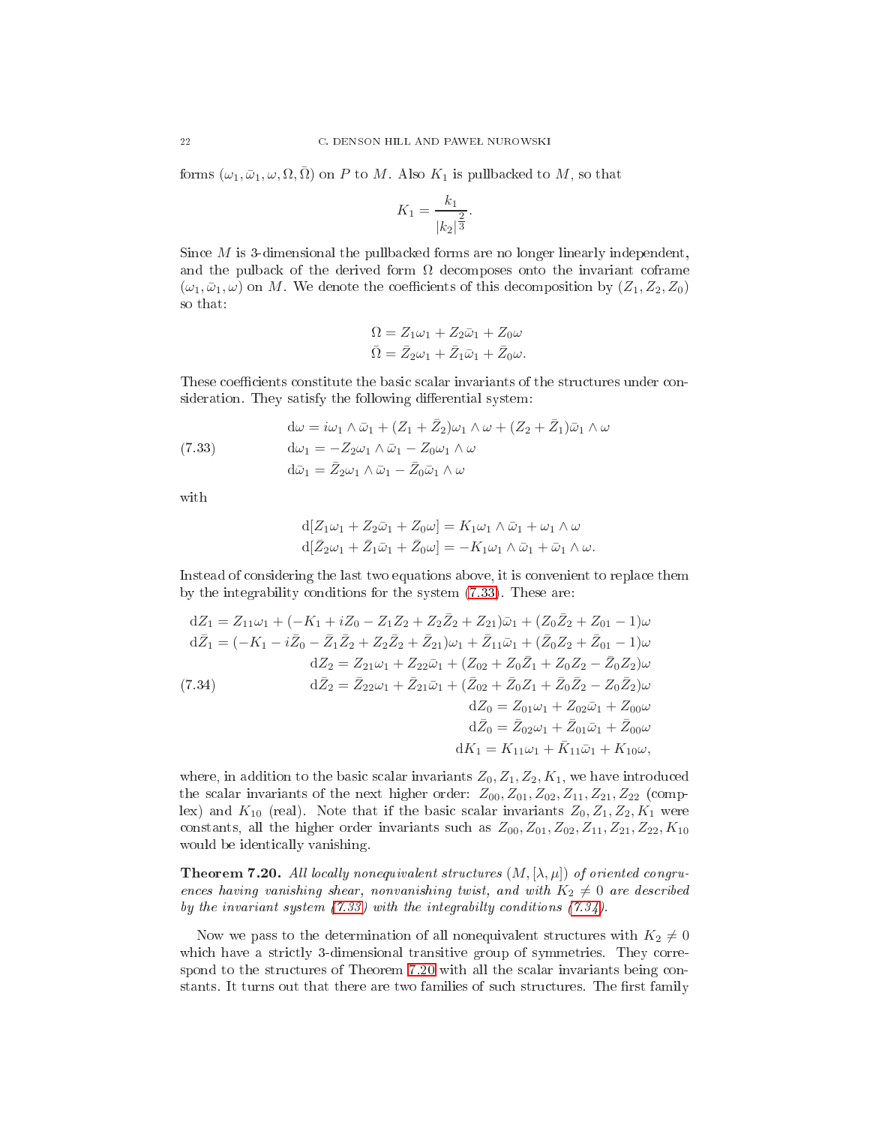forms  $(\omega_1, \bar{\omega}_1, \omega, \Omega, \bar{\Omega})$  on P to M. Also  $K_1$  is pullbacked to M, so that

$$
K_1 = \frac{k_1}{|k_2|^{\frac{2}{3}}}.
$$

Sin
e M is 3-dimensional the pullba
ked forms are no longer linearly independent, and the pulback of the derived form  $\Omega$  decomposes onto the invariant coframe  $(\omega_1, \bar{\omega}_1, \omega)$  on M. We denote the coefficients of this decomposition by  $(Z_1, Z_2, Z_0)$ so that:

$$
\Omega = Z_1 \omega_1 + Z_2 \bar{\omega}_1 + Z_0 \omega
$$
  

$$
\bar{\Omega} = \bar{Z}_2 \omega_1 + \bar{Z}_1 \bar{\omega}_1 + \bar{Z}_0 \omega.
$$

These coefficients constitute the basic scalar invariants of the structures under consideration. They satisfy the following differential system:

<span id="page-21-0"></span>(7.33) 
$$
d\omega = i\omega_1 \wedge \bar{\omega}_1 + (Z_1 + \bar{Z}_2)\omega_1 \wedge \omega + (Z_2 + \bar{Z}_1)\bar{\omega}_1 \wedge \omega
$$

$$
d\omega_1 = -Z_2\omega_1 \wedge \bar{\omega}_1 - Z_0\omega_1 \wedge \omega
$$

$$
d\bar{\omega}_1 = \bar{Z}_2\omega_1 \wedge \bar{\omega}_1 - \bar{Z}_0\bar{\omega}_1 \wedge \omega
$$

with

$$
d[Z_1\omega_1 + Z_2\bar{\omega}_1 + Z_0\omega] = K_1\omega_1 \wedge \bar{\omega}_1 + \omega_1 \wedge \omega
$$
  

$$
d[\bar{Z}_2\omega_1 + \bar{Z}_1\bar{\omega}_1 + \bar{Z}_0\omega] = -K_1\omega_1 \wedge \bar{\omega}_1 + \bar{\omega}_1 \wedge \omega.
$$

Instead of considering the last two equations above, it is convenient to replace them by the integrability onditions for the system [\(7.33\)](#page-21-0). These are:

<span id="page-21-1"></span>(7.34)  
\n
$$
dZ_1 = Z_{11}\omega_1 + (-K_1 + iZ_0 - Z_1Z_2 + Z_2\bar{Z}_2 + Z_{21})\bar{\omega}_1 + (Z_0\bar{Z}_2 + Z_{01} - 1)\omega
$$
\n
$$
d\bar{Z}_1 = (-K_1 - i\bar{Z}_0 - \bar{Z}_1\bar{Z}_2 + Z_2\bar{Z}_2 + \bar{Z}_{21})\omega_1 + \bar{Z}_{11}\bar{\omega}_1 + (\bar{Z}_0Z_2 + \bar{Z}_{01} - 1)\omega
$$
\n
$$
dZ_2 = Z_{21}\omega_1 + Z_{22}\bar{\omega}_1 + (Z_{02} + Z_0\bar{Z}_1 + Z_0Z_2 - \bar{Z}_0Z_2)\omega
$$
\n
$$
d\bar{Z}_2 = \bar{Z}_{22}\omega_1 + \bar{Z}_{21}\bar{\omega}_1 + (\bar{Z}_{02} + \bar{Z}_0Z_1 + \bar{Z}_0\bar{Z}_2 - Z_0\bar{Z}_2)\omega
$$
\n
$$
dZ_0 = Z_{01}\omega_1 + Z_{02}\bar{\omega}_1 + Z_{00}\omega
$$
\n
$$
d\bar{Z}_0 = \bar{Z}_{02}\omega_1 + \bar{Z}_{01}\bar{\omega}_1 + \bar{Z}_{00}\omega
$$
\n
$$
dK_1 = K_{11}\omega_1 + \bar{K}_{11}\bar{\omega}_1 + K_{10}\omega,
$$

where, in addition to the basic scalar invariants  $Z_0, Z_1, Z_2, K_1$ , we have introduced the scalar invariants of the next higher order:  $Z_{00}$ ,  $Z_{01}$ ,  $Z_{02}$ ,  $Z_{11}$ ,  $Z_{21}$ ,  $Z_{22}$  (complex) and  $K_{10}$  (real). Note that if the basic scalar invariants  $Z_0, Z_1, Z_2, K_1$  were constants, all the higher order invariants such as  $Z_{00}$ ,  $Z_{01}$ ,  $Z_{02}$ ,  $Z_{11}$ ,  $Z_{21}$ ,  $Z_{22}$ ,  $K_{10}$ would be identi
ally vanishing.

<span id="page-21-2"></span>**Theorem 7.20.** All locally nonequivalent structures  $(M, [\lambda, \mu])$  of oriented congruences having vanishing shear, nonvanishing twist, and with  $K_2 \neq 0$  are described by the invariant system  $(7.33)$  with the integrabilty conditions  $(7.34)$ .

Now we pass to the determination of all nonequivalent structures with  $K_2 \neq 0$ which have a strictly 3-dimensional transitive group of symmetries. They corre-spond to the structures of Theorem [7.20](#page-21-2) with all the scalar invariants being constants. It turns out that there are two families of such structures. The first family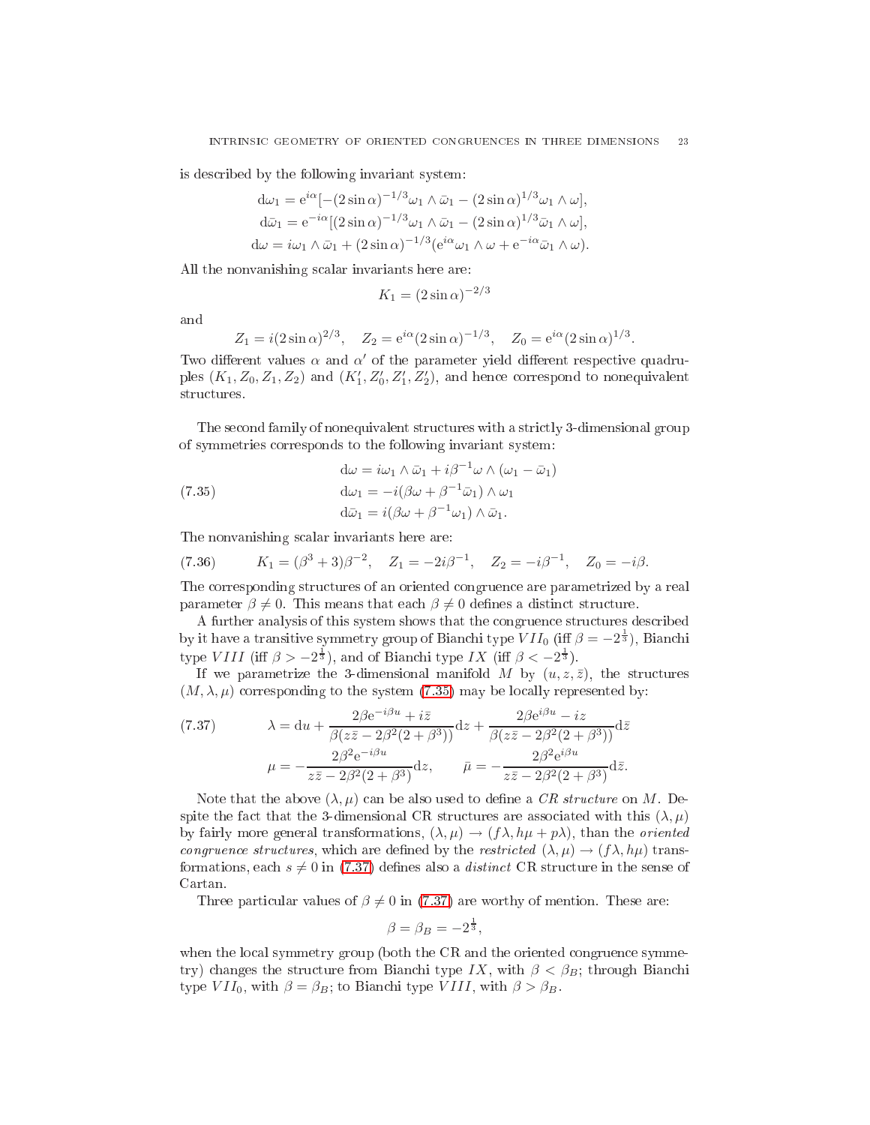is des
ribed by the following invariant system:

$$
d\omega_1 = e^{i\alpha} [-(2\sin\alpha)^{-1/3}\omega_1 \wedge \bar{\omega}_1 - (2\sin\alpha)^{1/3}\omega_1 \wedge \omega],
$$
  
\n
$$
d\bar{\omega}_1 = e^{-i\alpha} [(2\sin\alpha)^{-1/3}\omega_1 \wedge \bar{\omega}_1 - (2\sin\alpha)^{1/3}\bar{\omega}_1 \wedge \omega],
$$
  
\n
$$
d\omega = i\omega_1 \wedge \bar{\omega}_1 + (2\sin\alpha)^{-1/3} (e^{i\alpha}\omega_1 \wedge \omega + e^{-i\alpha}\bar{\omega}_1 \wedge \omega).
$$

All the nonvanishing s
alar invariants here are:

$$
K_1 = (2\sin\alpha)^{-2/3}
$$

and

$$
Z_1 = i(2\sin\alpha)^{2/3}, \quad Z_2 = e^{i\alpha}(2\sin\alpha)^{-1/3}, \quad Z_0 = e^{i\alpha}(2\sin\alpha)^{1/3}.
$$

Two different values  $\alpha$  and  $\alpha'$  of the parameter yield different respective quadruples  $(K_1, Z_0, Z_1, Z_2)$  and  $(K'_1, Z'_0, Z'_1, Z'_2)$ , and hence correspond to nonequivalent structures.

The second family of nonequivalent structures with a strictly 3-dimensional group of symmetries orresponds to the following invariant system:

<span id="page-22-0"></span>(7.35)  
\n
$$
\begin{aligned}\n\mathbf{d}\omega &= i\omega_1 \wedge \bar{\omega}_1 + i\beta^{-1}\omega \wedge (\omega_1 - \bar{\omega}_1) \\
\mathbf{d}\omega_1 &= -i(\beta\omega + \beta^{-1}\bar{\omega}_1) \wedge \omega_1 \\
\mathbf{d}\bar{\omega}_1 &= i(\beta\omega + \beta^{-1}\omega_1) \wedge \bar{\omega}_1.\n\end{aligned}
$$

The nonvanishing s
alar invariants here are:

<span id="page-22-2"></span>(7.36) 
$$
K_1 = (\beta^3 + 3)\beta^{-2}
$$
,  $Z_1 = -2i\beta^{-1}$ ,  $Z_2 = -i\beta^{-1}$ ,  $Z_0 = -i\beta$ .

The corresponding structures of an oriented congruence are parametrized by a real parameter  $\beta \neq 0$ . This means that each  $\beta \neq 0$  defines a distinct structure.

A further analysis of this system shows that the congruence structures described by it have a transitive symmetry group of Bianchi type  $VII_0$  (iff  $\beta = -2^{\frac{1}{3}}$ ), Bianchi type VIII (iff  $\beta > -2^{\frac{1}{3}}$ ), and of Bianchi type IX (iff  $\beta < -2^{\frac{1}{3}}$ ).

If we parametrize the 3-dimensional manifold M by  $(u, z, \bar{z})$ , the structures  $(M, \lambda, \mu)$  corresponding to the system [\(7.35\)](#page-22-0) may be locally represented by:

<span id="page-22-1"></span>(7.37) 
$$
\lambda = du + \frac{2\beta e^{-i\beta u} + i\bar{z}}{\beta(z\bar{z} - 2\beta^2(2 + \beta^3))} dz + \frac{2\beta e^{i\beta u} - iz}{\beta(z\bar{z} - 2\beta^2(2 + \beta^3))} d\bar{z}
$$

$$
\mu = -\frac{2\beta^2 e^{-i\beta u}}{z\bar{z} - 2\beta^2(2 + \beta^3)} dz, \qquad \bar{\mu} = -\frac{2\beta^2 e^{i\beta u}}{z\bar{z} - 2\beta^2(2 + \beta^3)} d\bar{z}.
$$

Note that the above  $(\lambda, \mu)$  can be also used to define a CR structure on M. Despite the fact that the 3-dimensional CR structures are associated with this  $(\lambda, \mu)$ by fairly more general transformations,  $(\lambda, \mu) \rightarrow (f\lambda, h\mu + p\lambda)$ , than the *oriented* congruence structures, which are defined by the restricted  $(\lambda, \mu) \rightarrow (f \lambda, h \mu)$  transformations, each  $s \neq 0$  in [\(7.37\)](#page-22-1) defines also a *distinct* CR structure in the sense of Cartan.

Three particular values of  $\beta \neq 0$  in [\(7.37\)](#page-22-1) are worthy of mention. These are:

$$
\beta = \beta_B = -2^{\frac{1}{3}},
$$

when the local symmetry group (both the CR and the oriented congruence symmetry) changes the structure from Bianchi type IX, with  $\beta < \beta_B$ ; through Bianchi type  $VII_0$ , with  $\beta = \beta_B$ ; to Bianchi type  $VIII$ , with  $\beta > \beta_B$ .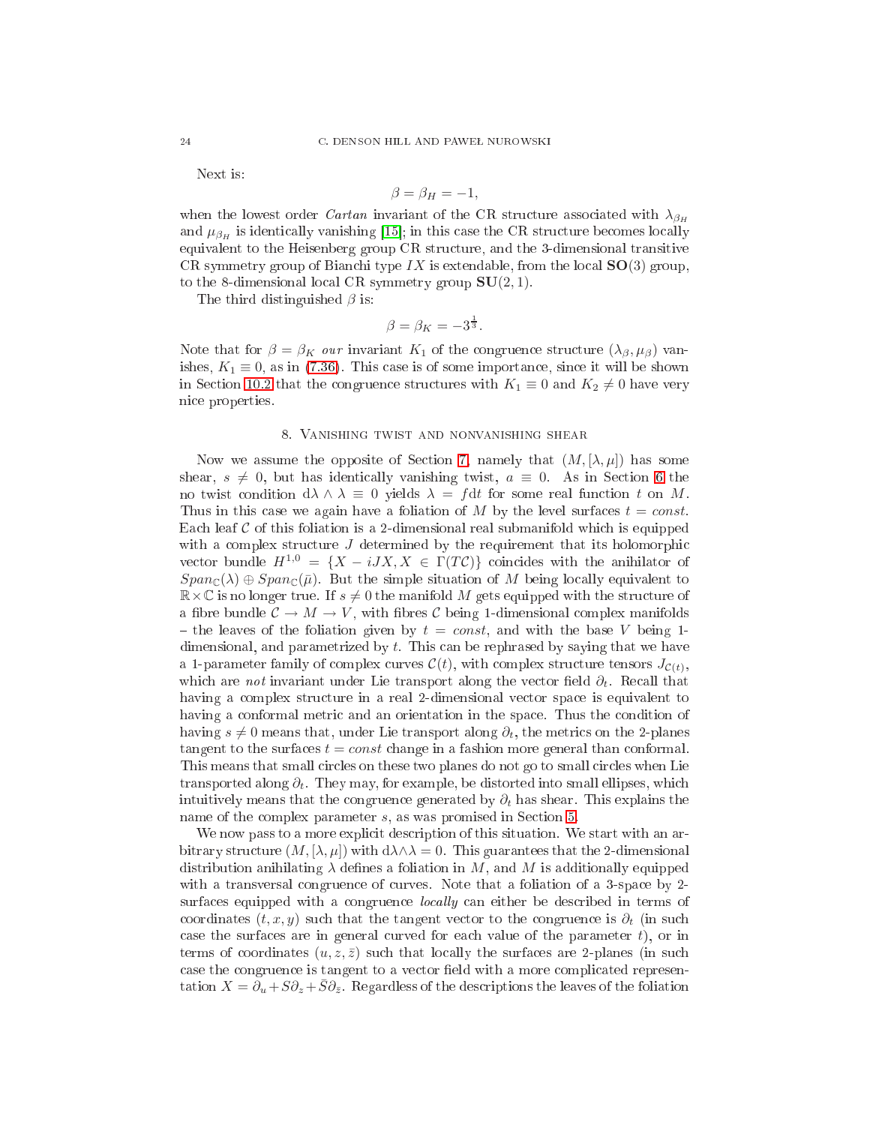Next is:

$$
\beta = \beta_H = -1,
$$

when the lowest order *Cartan* invariant of the CR structure associated with  $\lambda_{\beta_H}$ and  $\mu_{\beta_H}$  is identically vanishing [15]; in this case the CR structure becomes locally equivalent to the Heisenberg group CR stru
ture, and the 3-dimensional transitive CR symmetry group of Bianchi type  $IX$  is extendable, from the local  $SO(3)$  group, to the 8-dimensional local CR symmetry group  $SU(2,1)$ .

The third distinguished  $\beta$  is:

$$
\beta = \beta_K = -3^{\frac{1}{3}}.
$$

Note that for  $\beta = \beta_K$  our invariant  $K_1$  of the congruence structure  $(\lambda_{\beta}, \mu_{\beta})$  vanishes,  $K_1 \equiv 0$ , as in [\(7.36\)](#page-22-2). This case is of some importance, since it will be shown in Section 10.2 that the congruence structures with  $K_1 \equiv 0$  and  $K_2 \neq 0$  have very ni
e properties.

## 8. Vanishing twist and nonvanishing shear

<span id="page-23-0"></span>Now we assume the opposite of Section [7,](#page-8-1) namely that  $(M, [\lambda, \mu])$  has some shear,  $s \neq 0$ , but has identically vanishing twist,  $a \equiv 0$ . As in Section [6](#page-8-0) the no twist condition  $d\lambda \wedge \lambda \equiv 0$  yields  $\lambda = f dt$  for some real function t on M. Thus in this case we again have a foliation of M by the level surfaces  $t = const$ . Each leaf  $\mathcal C$  of this foliation is a 2-dimensional real submanifold which is equipped with a complex structure  $J$  determined by the requirement that its holomorphic vector bundle  $H^{1,0} = \{X - iJX, X \in \Gamma(T\mathcal{C})\}$  coincides with the anihilator of  $Span_{\mathbb{C}}(\lambda) \oplus Span_{\mathbb{C}}(\overline{\mu})$ . But the simple situation of M being locally equivalent to  $\mathbb{R}\times\mathbb{C}$  is no longer true. If  $s\neq 0$  the manifold M gets equipped with the structure of a fibre bundle  $C \to M \to V$ , with fibres C being 1-dimensional complex manifolds - the leaves of the foliation given by  $t = const$ , and with the base V being 1dimensional, and parametrized by t. This an be rephrased by saying that we have a 1-parameter family of complex curves  $\mathcal{C}(t)$ , with complex structure tensors  $J_{\mathcal{C}(t)}$ , which are *not* invariant under Lie transport along the vector field  $\partial_t$ . Recall that having a complex structure in a real 2-dimensional vector space is equivalent to having a conformal metric and an orientation in the space. Thus the condition of having  $s \neq 0$  means that, under Lie transport along  $\partial_t$ , the metrics on the 2-planes tangent to the surfaces  $t = const$  change in a fashion more general than conformal. This means that small circles on these two planes do not go to small circles when Lie transported along  $\partial_t$ . They may, for example, be distorted into small ellipses, which intuitively means that the congruence generated by  $\partial_t$  has shear. This explains the name of the complex parameter s, as was promised in Section [5.](#page-6-1)

We now pass to a more explicit description of this situation. We start with an arbitrary structure  $(M, [\lambda, \mu])$  with  $d\lambda \wedge \lambda = 0$ . This guarantees that the 2-dimensional distribution anihilating  $\lambda$  defines a foliation in M, and M is additionally equipped with a transversal congruence of curves. Note that a foliation of a 3-space by 2surfaces equipped with a congruence *locally* can either be described in terms of coordinates  $(t, x, y)$  such that the tangent vector to the congruence is  $\partial_t$  (in such case the surfaces are in general curved for each value of the parameter  $t$ , or in terms of coordinates  $(u, z, \bar{z})$  such that locally the surfaces are 2-planes (in such case the congruence is tangent to a vector field with a more complicated representation  $X=\partial_u+S\partial_z+\bar{S}\partial_{\bar{z}}$ . Regardless of the descriptions the leaves of the foliation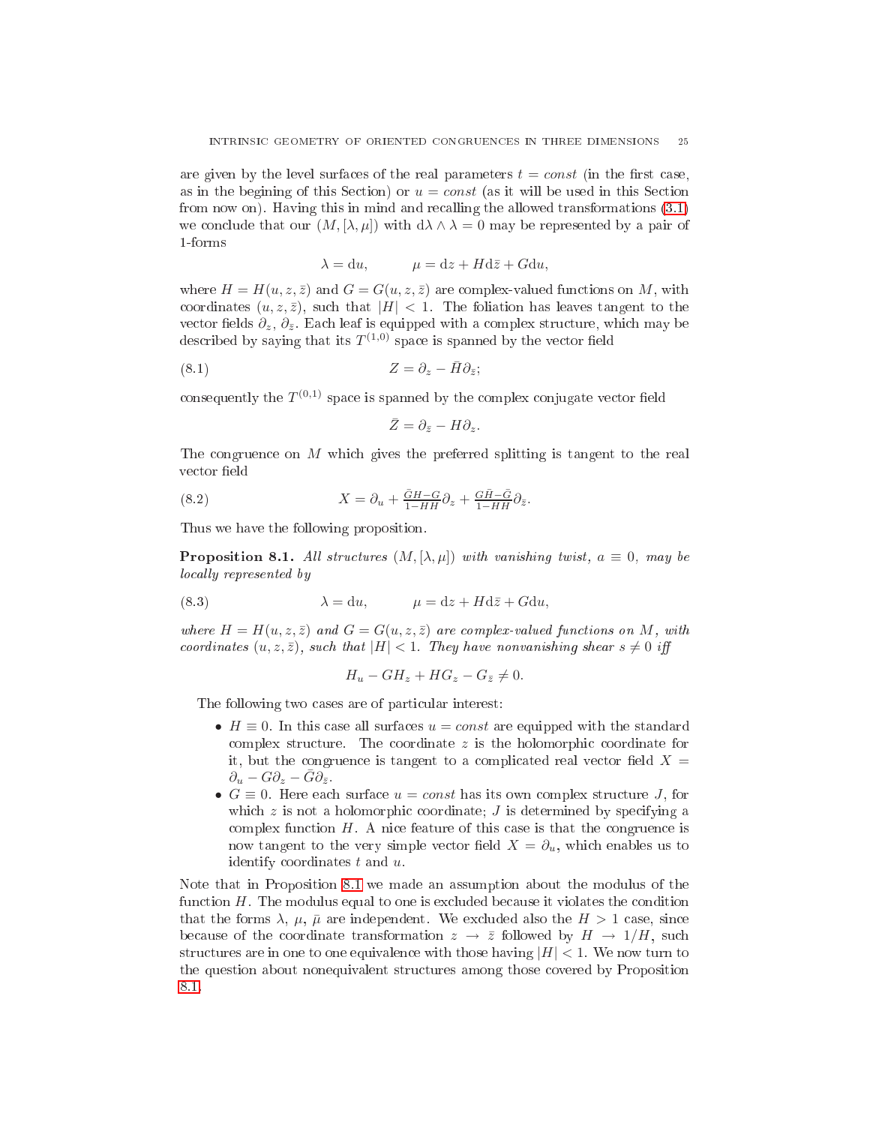are given by the level surfaces of the real parameters  $t = const$  (in the first case, as in the begining of this Section) or  $u = const$  (as it will be used in this Section from now on). Having this in mind and re
alling the allowed transformations [\(3.1\)](#page-4-2) we conclude that our  $(M, [\lambda, \mu])$  with  $d\lambda \wedge \lambda = 0$  may be represented by a pair of 1-forms

$$
\lambda = \mathrm{d}u, \qquad \mu = \mathrm{d}z + H\mathrm{d}\bar{z} + G\mathrm{d}u,
$$

where  $H = H(u, z, \bar{z})$  and  $G = G(u, z, \bar{z})$  are complex-valued functions on M, with coordinates  $(u, z, \overline{z})$ , such that  $|H| < 1$ . The foliation has leaves tangent to the vector fields  $\partial_z$ ,  $\partial_{\bar{z}}$ . Each leaf is equipped with a complex structure, which may be described by saying that its  $T^{(1,0)}$  space is spanned by the vector field

$$
(8.1) \t\t Z = \partial_z - \bar{H} \partial_{\bar{z}};
$$

consequently the  $T^{(0,1)}$  space is spanned by the complex conjugate vector field

$$
\bar{Z}=\partial_{\bar{z}}-H\partial_z.
$$

The ongruen
e on M whi
h gives the preferred splitting is tangent to the real vector field

(8.2) 
$$
X = \partial_u + \frac{GH-G}{1-HH} \partial_z + \frac{GH-G}{1-HH} \partial_{\bar{z}}.
$$

<span id="page-24-0"></span>Thus we have the following proposition.

**Proposition 8.1.** All structures  $(M, [\lambda, \mu])$  with vanishing twist,  $a \equiv 0$ , may be locally represented by

(8.3) 
$$
\lambda = du, \qquad \mu = dz + Hd\bar{z} + Gdu,
$$

where  $H = H(u, z, \bar{z})$  and  $G = G(u, z, \bar{z})$  are complex-valued functions on M, with coordinates  $(u, z, \bar{z})$ , such that  $|H| < 1$ . They have nonvanishing shear  $s \neq 0$  iff

$$
H_u - GH_z + HG_z - G_{\bar{z}} \neq 0.
$$

The following two cases are of particular interest:

- $H \equiv 0$ . In this case all surfaces  $u = const$  are equipped with the standard complex structure. The coordinate  $z$  is the holomorphic coordinate for it, but the congruence is tangent to a complicated real vector field  $X =$  $\partial_u - G \partial_z - \bar{G} \partial_{\bar{z}}.$
- $G \equiv 0$ . Here each surface  $u = const$  has its own complex structure J, for which  $z$  is not a holomorphic coordinate;  $J$  is determined by specifying a complex function  $H$ . A nice feature of this case is that the congruence is now tangent to the very simple vector field  $X = \partial_u$ , which enables us to identify oordinates t and u.

Note that in Proposition [8.1](#page-24-0) we made an assumption about the modulus of the function  $H$ . The modulus equal to one is excluded because it violates the condition that the forms  $\lambda$ ,  $\mu$ ,  $\bar{\mu}$  are independent. We excluded also the  $H > 1$  case, since because of the coordinate transformation  $z \to \overline{z}$  followed by  $H \to 1/H$ , such structures are in one to one equivalence with those having  $|H| < 1$ . We now turn to the question about nonequivalent stru
tures among those overed by Proposition [8.1.](#page-24-0)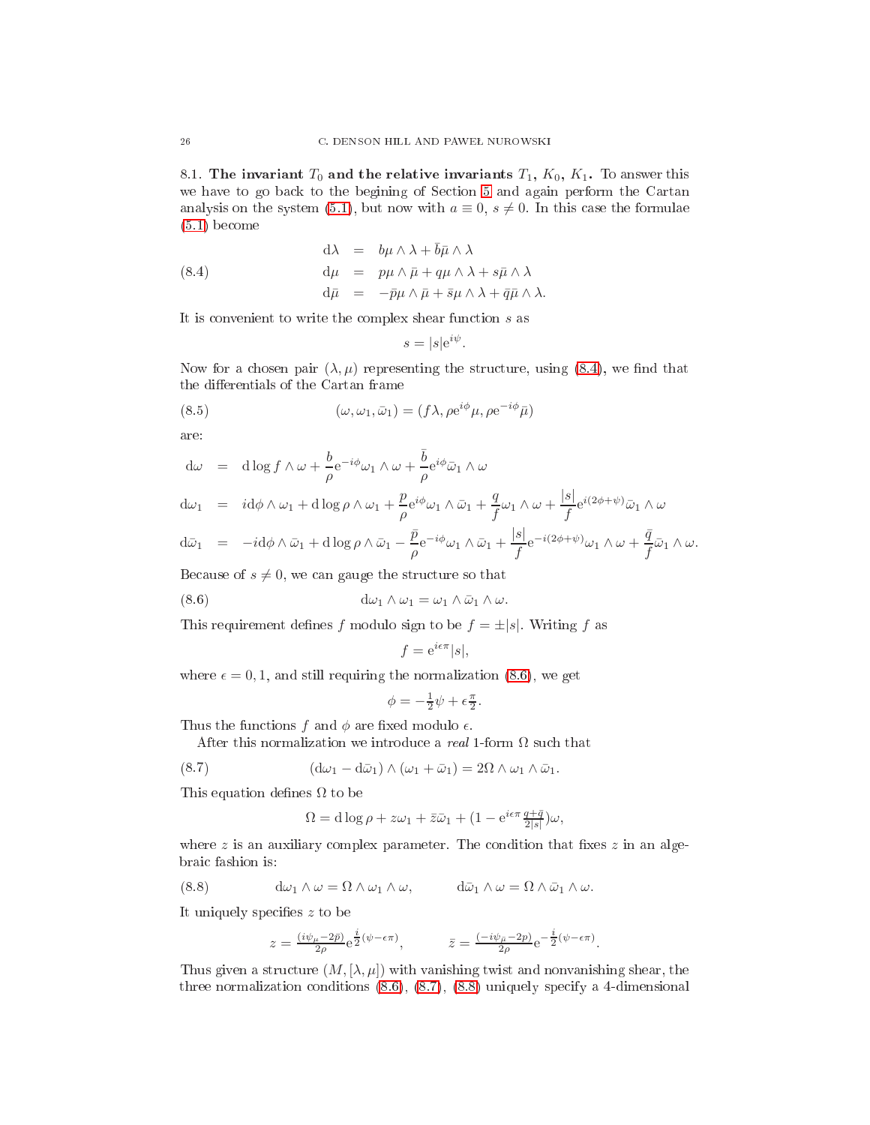<span id="page-25-0"></span>8.1. The invariant  $T_0$  and the relative invariants  $T_1$ ,  $K_0$ ,  $K_1$ . To answer this we have to go ba
k to the begining of Se
tion [5](#page-6-1) and again perform the Cartan analysis on the system  $(5.1)$ , but now with  $a \equiv 0, s \neq 0$ . In this case the formulae [\(5.1\)](#page-6-2) be
ome

(8.4) 
$$
d\lambda = b\mu \wedge \lambda + \bar{b}\bar{\mu} \wedge \lambda \nd\mu = p\mu \wedge \bar{\mu} + q\mu \wedge \lambda + s\bar{\mu} \wedge \lambda \nd\bar{\mu} = -\bar{p}\mu \wedge \bar{\mu} + \bar{s}\mu \wedge \lambda + \bar{q}\bar{\mu} \wedge \lambda.
$$

It is convenient to write the complex shear function  $s$  as

<span id="page-25-1"></span>
$$
s = |s|e^{i\psi}.
$$

Now for a chosen pair  $(\lambda, \mu)$  representing the structure, using [\(8.4\)](#page-25-1), we find that the differentials of the Cartan frame

(8.5) 
$$
(\omega, \omega_1, \bar{\omega}_1) = (f\lambda, \rho e^{i\phi}\mu, \rho e^{-i\phi}\bar{\mu})
$$

are:

$$
d\omega = d\log f \wedge \omega + \frac{b}{\rho} e^{-i\phi} \omega_1 \wedge \omega + \frac{\overline{b}}{\rho} e^{i\phi} \overline{\omega}_1 \wedge \omega
$$

$$
d\omega_1 = i d\phi \wedge \omega_1 + d \log \rho \wedge \omega_1 + \frac{p}{\rho} e^{i\phi} \omega_1 \wedge \bar{\omega}_1 + \frac{q}{f} \omega_1 \wedge \omega + \frac{|s|}{f} e^{i(2\phi + \psi)} \bar{\omega}_1 \wedge \omega
$$

$$
\mathrm{d}\bar\omega_1\ =\ -i\mathrm{d}\phi\wedge\bar\omega_1+\mathrm{d}\log\rho\wedge\bar\omega_1-\frac{\bar p}{\rho}\mathrm{e}^{-i\phi}\omega_1\wedge\bar\omega_1+\frac{|s|}{f}\mathrm{e}^{-i(2\phi+\psi)}\omega_1\wedge\omega+\frac{\bar q}{f}\bar\omega_1\wedge\omega.
$$

Because of  $s \neq 0$ , we can gauge the structure so that

(8.6) 
$$
d\omega_1 \wedge \omega_1 = \omega_1 \wedge \bar{\omega}_1 \wedge \omega.
$$

This requirement defines f modulo sign to be  $f = \pm |s|$ . Writing f as

<span id="page-25-2"></span>
$$
f = e^{i\epsilon \pi} |s|,
$$

where  $\epsilon = 0, 1$ , and still requiring the normalization [\(8.6\)](#page-25-2), we get

$$
\phi = -\frac{1}{2}\psi + \epsilon \frac{\pi}{2}.
$$

Thus the functions f and  $\phi$  are fixed modulo  $\epsilon$ .

After this normalization we introduce a *real* 1-form  $\Omega$  such that

(8.7) 
$$
(\mathrm{d}\omega_1 - \mathrm{d}\bar{\omega}_1) \wedge (\omega_1 + \bar{\omega}_1) = 2\Omega \wedge \omega_1 \wedge \bar{\omega}_1.
$$

This equation defines  $\Omega$  to be

<span id="page-25-3"></span>
$$
\Omega = \mathrm{d}\log\rho + z\omega_1 + \bar{z}\bar{\omega}_1 + (1 - \mathrm{e}^{i\epsilon\pi} \frac{q + \bar{q}}{2|s|})\omega,
$$

where  $z$  is an auxiliary complex parameter. The condition that fixes  $z$  in an algebrai fashion is:

(8.8) 
$$
d\omega_1 \wedge \omega = \Omega \wedge \omega_1 \wedge \omega, \qquad d\bar{\omega}_1 \wedge \omega = \Omega \wedge \bar{\omega}_1 \wedge \omega.
$$

It uniquely specifies  $z$  to be

<span id="page-25-4"></span>
$$
z = \frac{(i\psi_{\mu} - 2\bar{p})}{2\rho} e^{\frac{i}{2}(\psi - \epsilon\pi)}, \qquad \bar{z} = \frac{(-i\psi_{\mu} - 2p)}{2\rho} e^{-\frac{i}{2}(\psi - \epsilon\pi)}.
$$

Thus given a structure  $(M, [\lambda, \mu])$  with vanishing twist and nonvanishing shear, the three normalization conditions  $(8.6)$ ,  $(8.7)$ ,  $(8.8)$  uniquely specify a 4-dimensional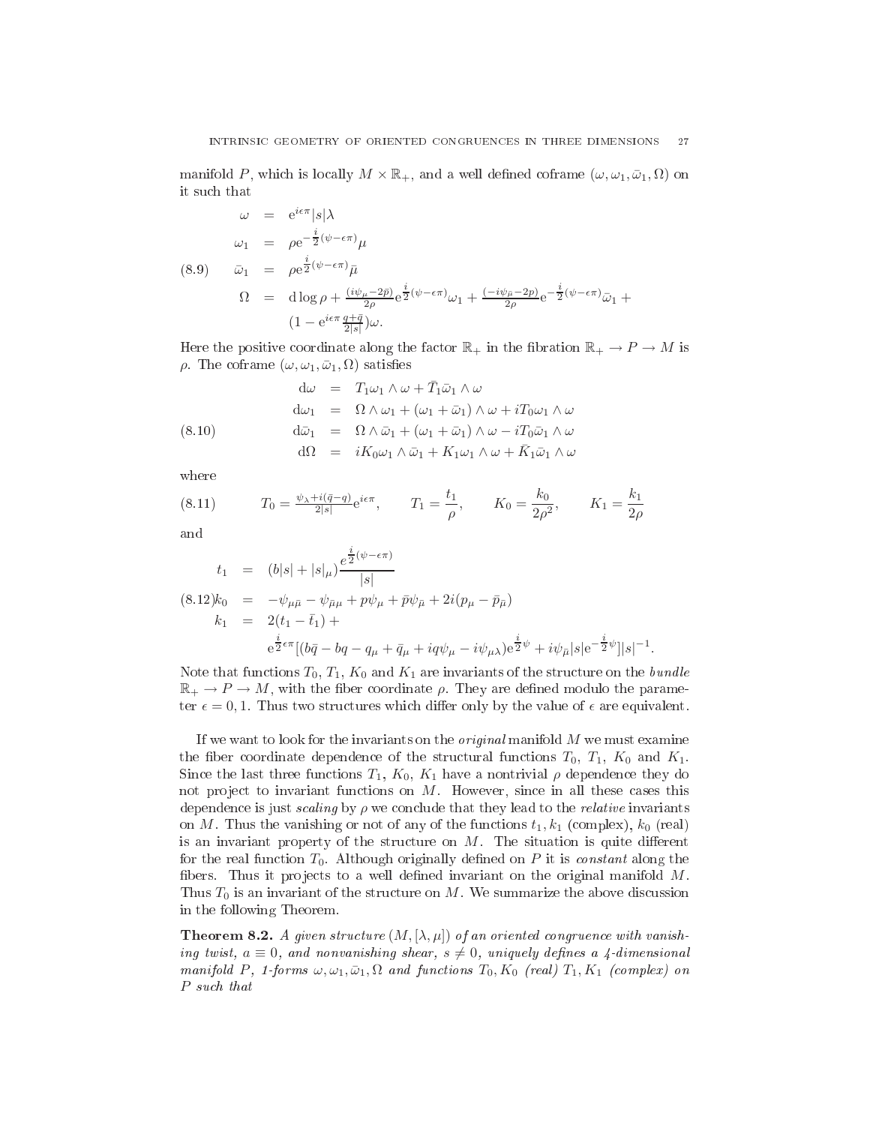manifold P, which is locally  $M \times \mathbb{R}_+$ , and a well defined coframe  $(\omega, \omega_1, \bar{\omega}_1, \Omega)$  on<br>it such that

<span id="page-26-0"></span>
$$
\omega = e^{i\epsilon \pi} |s| \lambda
$$
  
\n
$$
\omega_1 = \rho e^{-\frac{i}{2}(\psi - \epsilon \pi)} \mu
$$
  
\n(8.9) 
$$
\bar{\omega}_1 = \rho e^{\frac{i}{2}(\psi - \epsilon \pi)} \bar{\mu}
$$
  
\n
$$
\Omega = d \log \rho + \frac{(i\psi_{\mu} - 2\bar{p})}{2\rho} e^{\frac{i}{2}(\psi - \epsilon \pi)} \omega_1 + \frac{(-i\psi_{\mu} - 2p)}{2\rho} e^{-\frac{i}{2}(\psi - \epsilon \pi)} \bar{\omega}_1 +
$$
  
\n
$$
(1 - e^{i\epsilon \pi} \frac{q + \bar{q}}{2|s|}) \omega.
$$

Here the positive coordinate along the factor  $\mathbb{R}_+$  in the fibration  $\mathbb{R}_+ \to P \to M$  is ρ. The coframe  $(ω, ω<sub>1</sub>, ω<sub>1</sub>, Ω)$  satisfies

<span id="page-26-1"></span>(8.10)  
\n
$$
\begin{array}{rcl}\n\mathrm{d}\omega & = & T_1\omega_1 \wedge \omega + \bar{T}_1\bar{\omega}_1 \wedge \omega \\
\mathrm{d}\omega_1 & = & \Omega \wedge \omega_1 + (\omega_1 + \bar{\omega}_1) \wedge \omega + i T_0\omega_1 \wedge \omega \\
\mathrm{d}\bar{\omega}_1 & = & \Omega \wedge \bar{\omega}_1 + (\omega_1 + \bar{\omega}_1) \wedge \omega - i T_0\bar{\omega}_1 \wedge \omega \\
\mathrm{d}\Omega & = & iK_0\omega_1 \wedge \bar{\omega}_1 + K_1\omega_1 \wedge \omega + \bar{K}_1\bar{\omega}_1 \wedge \omega\n\end{array}
$$

where

<span id="page-26-4"></span>(8.11) 
$$
T_0 = \frac{\psi_\lambda + i(\bar{q} - q)}{2|s|} e^{i\epsilon \pi}, \qquad T_1 = \frac{t_1}{\rho}, \qquad K_0 = \frac{k_0}{2\rho^2}, \qquad K_1 = \frac{k_1}{2\rho}
$$

and

<span id="page-26-2"></span>
$$
t_1 = (b|s| + |s|_{\mu}) \frac{e^{\frac{i}{2}(\psi - \epsilon \pi)}}{|s|}
$$
  
\n
$$
(8.12)k_0 = -\psi_{\mu\bar{\mu}} - \psi_{\bar{\mu}\mu} + p\psi_{\mu} + \bar{p}\psi_{\bar{\mu}} + 2i(p_{\mu} - \bar{p}_{\bar{\mu}})
$$
  
\n
$$
k_1 = 2(t_1 - \bar{t}_1) +
$$
  
\n
$$
e^{\frac{i}{2}\epsilon\pi}[(b\bar{q} - bq - q_{\mu} + \bar{q}_{\mu} + iq\psi_{\mu} - i\psi_{\mu})e^{\frac{i}{2}\psi} + i\psi_{\bar{\mu}}|s|e^{-\frac{i}{2}\psi}]|s|^{-1}.
$$

Note that functions  $T_0$ ,  $T_1$ ,  $K_0$  and  $K_1$  are invariants of the structure on the *bundle*  $\mathbb{R}_+ \to P \to M$ , with the fiber coordinate  $\rho$ . They are defined modulo the parameter  $\epsilon = 0, 1$ . Thus two structures which differ only by the value of  $\epsilon$  are equivalent.

If we want to look for the invariants on the *original* manifold  $M$  we must examine the fiber coordinate dependence of the structural functions  $T_0$ ,  $T_1$ ,  $K_0$  and  $K_1$ . Since the last three functions  $T_1, K_0, K_1$  have a nontrivial  $\rho$  dependence they do not project to invariant functions on  $M$ . However, since in all these cases this dependence is just *scaling* by  $\rho$  we conclude that they lead to the *relative* invariants on M. Thus the vanishing or not of any of the functions  $t_1, k_1$  (complex),  $k_0$  (real) is an invariant property of the structure on  $M$ . The situation is quite different for the real function  $T_0$ . Although originally defined on P it is *constant* along the fibers. Thus it projects to a well defined invariant on the original manifold  $M$ . Thus  $T_0$  is an invariant of the structure on M. We summarize the above discussion in the following Theorem.

<span id="page-26-3"></span>**Theorem 8.2.** A given structure  $(M, [\lambda, \mu])$  of an oriented congruence with vanishing twist,  $a \equiv 0$ , and nonvanishing shear,  $s \neq 0$ , uniquely defines a 4-dimensional manifold P, 1-forms  $\omega, \omega_1, \bar{\omega}_1, \Omega$  and functions  $T_0, K_0$  (real)  $T_1, K_1$  (complex) on P such that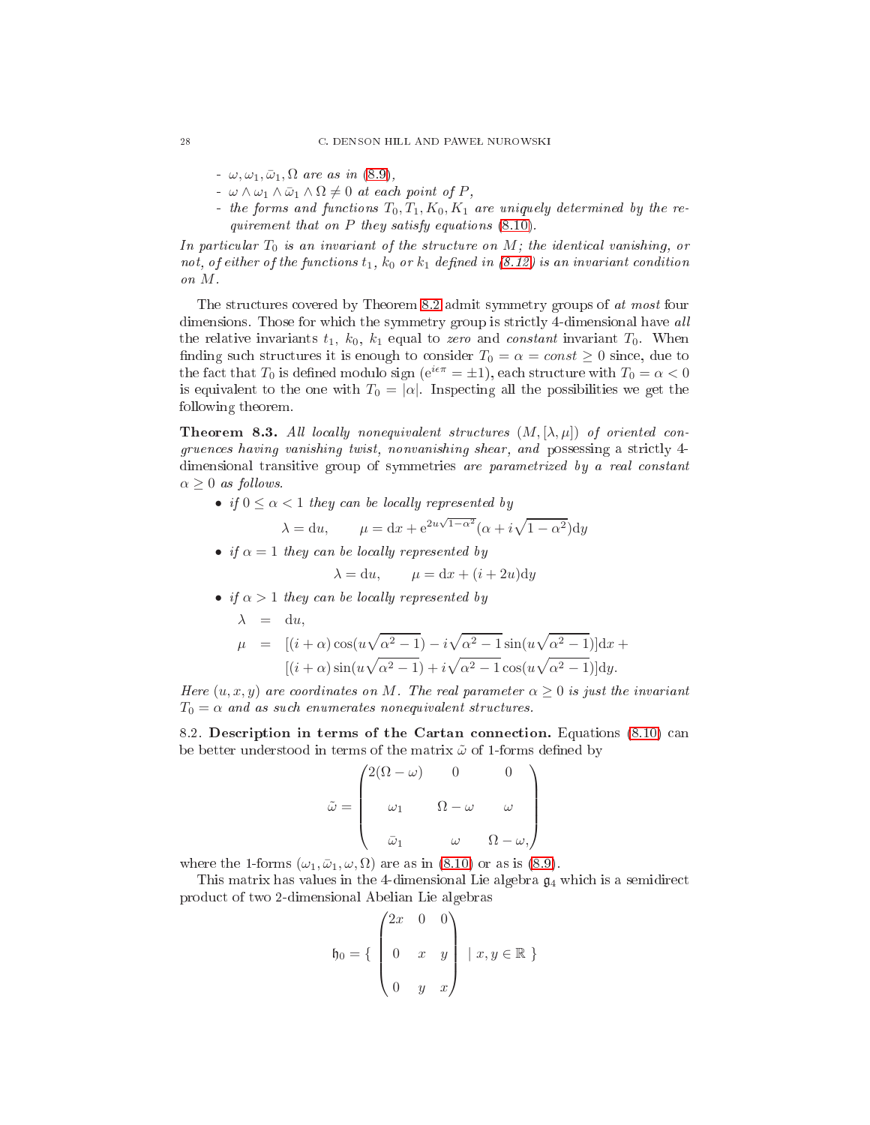- $-\omega, \omega_1, \bar{\omega}_1, \Omega$  are as in [\(8.9\)](#page-26-0),
- $-\omega \wedge \omega_1 \wedge \bar{\omega}_1 \wedge \Omega \neq 0$  at each point of P,
- the forms and functions  $T_0, T_1, K_0, K_1$  are uniquely determined by the requirement that on  $P$  they satisfy equations  $(8.10)$ .

In particular  $T_0$  is an invariant of the structure on M; the identical vanishing, or not, of either of the functions  $t_1$ ,  $k_0$  or  $k_1$  defined in [\(8.12\)](#page-26-2) is an invariant condition on M.

The structures covered by Theorem [8.2](#page-26-3) admit symmetry groups of at most four dimensions. Those for which the symmetry group is strictly 4-dimensional have all the relative invariants  $t_1$ ,  $k_0$ ,  $k_1$  equal to zero and constant invariant  $T_0$ . When finding such structures it is enough to consider  $T_0 = \alpha = const \geq 0$  since, due to the fact that  $T_0$  is defined modulo sign ( $e^{i\epsilon\pi} = \pm 1$ ), each structure with  $T_0 = \alpha < 0$ is equivalent to the one with  $T_0 = |\alpha|$ . Inspecting all the possibilities we get the following theorem.

<span id="page-27-1"></span>**Theorem 8.3.** All locally nonequivalent structures  $(M, [\lambda, \mu])$  of oriented congruences having vanishing twist, nonvanishing shear, and possessing a strictly 4dimensional transitive group of symmetries are parametrized by a real onstant  $\alpha \geq 0$  as follows.

• if  $0 \leq \alpha < 1$  they can be locally represented by

$$
\lambda = du, \qquad \mu = dx + e^{2u\sqrt{1-\alpha^2}}(\alpha + i\sqrt{1-\alpha^2})dy
$$

• if  $\alpha = 1$  they can be locally represented by

$$
\lambda = du, \qquad \mu = dx + (i + 2u)dy
$$

• if  $\alpha > 1$  they can be locally represented by

$$
\lambda = du,
$$
  
\n
$$
\mu = [(i + \alpha)\cos(u\sqrt{\alpha^2 - 1}) - i\sqrt{\alpha^2 - 1}\sin(u\sqrt{\alpha^2 - 1})]dx + [(i + \alpha)\sin(u\sqrt{\alpha^2 - 1}) + i\sqrt{\alpha^2 - 1}\cos(u\sqrt{\alpha^2 - 1})]dy.
$$

Here  $(u, x, y)$  are coordinates on M. The real parameter  $\alpha \geq 0$  is just the invariant  $T_0 = \alpha$  and as such enumerates nonequivalent structures.

<span id="page-27-0"></span>8.2. Description in terms of the Cartan connection. Equations [\(8.10\)](#page-26-1) can be better understood in terms of the matrix  $\tilde{\omega}$  of 1-forms defined by

$$
\tilde{\omega} = \begin{pmatrix}\n2(\Omega - \omega) & 0 & 0 \\
\omega_1 & \Omega - \omega & \omega \\
\bar{\omega}_1 & \omega & \Omega - \omega\n\end{pmatrix}
$$

where the 1-forms  $(\omega_1, \bar{\omega}_1, \omega, \Omega)$  are as in [\(8.10\)](#page-26-1) or as is [\(8.9\)](#page-26-0).

This matrix has values in the 4-dimensional Lie algebra  $\mathfrak{g}_4$  which is a semidirect produ
t of two 2-dimensional Abelian Lie algebras

$$
\mathfrak{h}_0 = \left\{ \begin{pmatrix} 2x & 0 & 0 \\ 0 & x & y \\ 0 & y & x \end{pmatrix} \middle| x, y \in \mathbb{R} \right\}
$$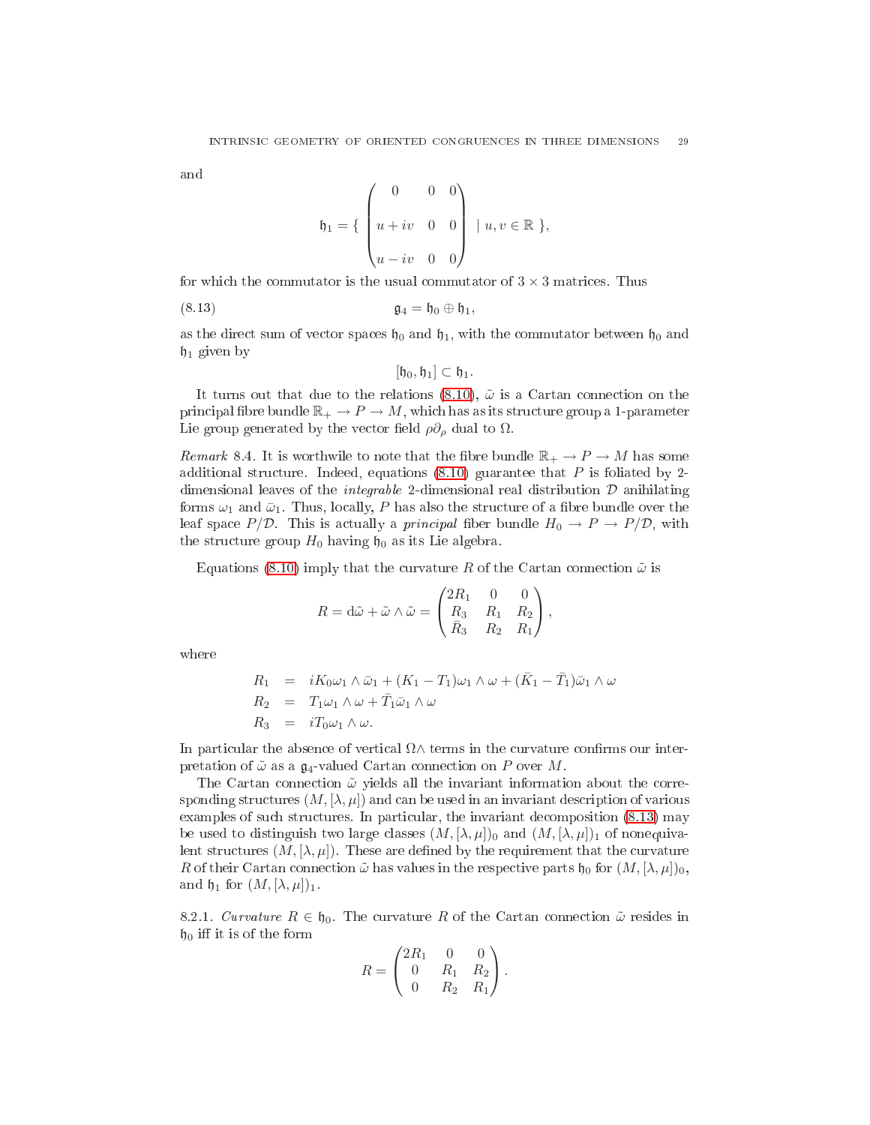and

$$
\mathfrak{h}_1 = \left\{ \begin{pmatrix} 0 & 0 & 0 \\ u + iv & 0 & 0 \\ u - iv & 0 & 0 \end{pmatrix} \middle| u, v \in \mathbb{R} \right\},\
$$

for which the commutator is the usual commutator of  $3 \times 3$  matrices. Thus

(8.13) g<sup>4</sup> = h<sup>0</sup> ⊕ h1,

as the direct sum of vector spaces  $\mathfrak{h}_0$  and  $\mathfrak{h}_1$ , with the commutator between  $\mathfrak{h}_0$  and  $\mathfrak{h}_1$  given by

<span id="page-28-0"></span>
$$
[\mathfrak{h}_0,\mathfrak{h}_1]\subset\mathfrak{h}_1.
$$

It turns out that due to the relations [\(8.10\)](#page-26-1),  $\tilde{\omega}$  is a Cartan connection on the principal fibre bundle  $\mathbb{R}_+ \to P \to M$ , which has as its structure group a 1-parameter Lie group generated by the vector field  $\rho \partial_{\rho}$  dual to  $\Omega$ .

<span id="page-28-2"></span>Remark 8.4. It is worthwile to note that the fibre bundle  $\mathbb{R}_+ \to P \to M$  has some additional structure. Indeed, equations  $(8.10)$  guarantee that P is foliated by 2dimensional leaves of the *integrable* 2-dimensional real distribution  $D$  anihilating forms  $\omega_1$  and  $\bar{\omega}_1$ . Thus, locally, P has also the structure of a fibre bundle over the leaf space  $P/D$ . This is actually a *principal* fiber bundle  $H_0 \to P \to P/D$ , with the structure group  $H_0$  having  $\mathfrak{h}_0$  as its Lie algebra.

Equations [\(8.10\)](#page-26-1) imply that the curvature R of the Cartan connection  $\tilde{\omega}$  is

$$
R = d\tilde{\omega} + \tilde{\omega} \wedge \tilde{\omega} = \begin{pmatrix} 2R_1 & 0 & 0 \\ R_3 & R_1 & R_2 \\ \bar{R}_3 & R_2 & R_1 \end{pmatrix},
$$

where

$$
R_1 = iK_0\omega_1 \wedge \bar{\omega}_1 + (K_1 - T_1)\omega_1 \wedge \omega + (\bar{K}_1 - \bar{T}_1)\bar{\omega}_1 \wedge \omega
$$
  
\n
$$
R_2 = T_1\omega_1 \wedge \omega + \bar{T}_1\bar{\omega}_1 \wedge \omega
$$
  
\n
$$
R_3 = iT_0\omega_1 \wedge \omega.
$$

In particular the absence of vertical  $\Omega \wedge$  terms in the curvature confirms our interpretation of  $\tilde{\omega}$  as a  $\mathfrak{g}_4$ -valued Cartan connection on P over M.

The Cartan connection  $\tilde{\omega}$  yields all the invariant information about the corresponding structures  $(M, [\lambda, \mu])$  and can be used in an invariant description of various examples of such structures. In particular, the invariant decomposition  $(8.13)$  may be used to distinguish two large classes  $(M, [\lambda, \mu])_0$  and  $(M, [\lambda, \mu])_1$  of nonequivalent structures  $(M, [\lambda, \mu])$ . These are defined by the requirement that the curvature R of their Cartan connection  $\tilde{\omega}$  has values in the respective parts  $\mathfrak{h}_0$  for  $(M, [\lambda, \mu])_0$ , and  $\mathfrak{h}_1$  for  $(M, [\lambda, \mu])_1$ .

<span id="page-28-1"></span>8.2.1. Curvature  $R \in \mathfrak{h}_0$ . The curvature R of the Cartan connection  $\tilde{\omega}$  resides in  $\mathfrak{h}_0$  iff it is of the form

$$
R = \begin{pmatrix} 2R_1 & 0 & 0 \\ 0 & R_1 & R_2 \\ 0 & R_2 & R_1 \end{pmatrix}.
$$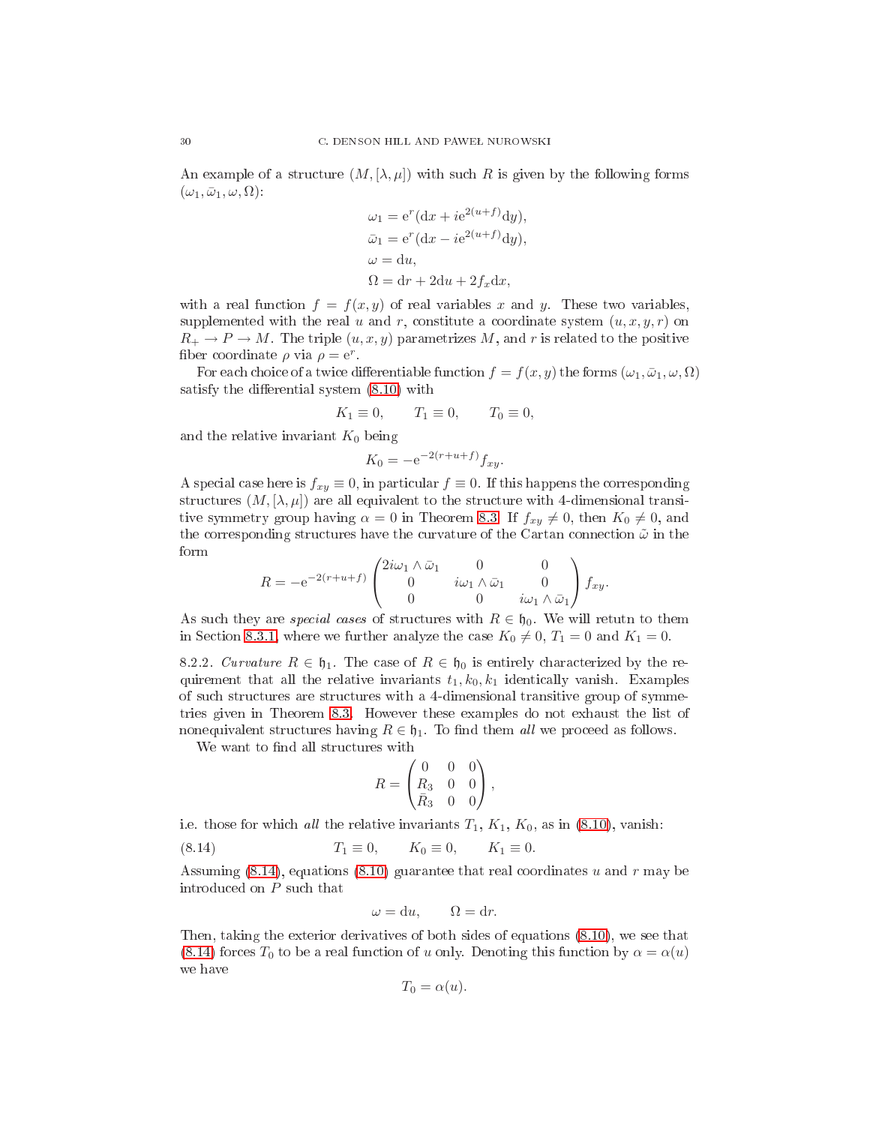An example of a structure  $(M, [\lambda, \mu])$  with such R is given by the following forms  $(\omega_1, \bar{\omega}_1, \omega, \Omega)$ :

$$
\omega_1 = e^r (dx + ie^{2(u+f)} dy),
$$
  
\n
$$
\bar{\omega}_1 = e^r (dx - ie^{2(u+f)} dy),
$$
  
\n
$$
\omega = du,
$$
  
\n
$$
\Omega = dr + 2du + 2f_x dx,
$$

with a real function  $f = f(x, y)$  of real variables x and y. These two variables, supplemented with the real u and r, constitute a coordinate system  $(u, x, y, r)$  on  $R_+ \to P \to M$ . The triple  $(u, x, y)$  parametrizes M, and r is related to the positive fiber coordinate  $\rho$  via  $\rho = e^r$ .

For each choice of a twice differentiable function  $f = f(x, y)$  the forms  $(\omega_1, \bar{\omega}_1, \omega, \Omega)$ satisfy the differential system  $(8.10)$  with

$$
K_1 \equiv 0, \qquad T_1 \equiv 0, \qquad T_0 \equiv 0,
$$

and the relative invariant  $K_0$  being

$$
K_0 = -e^{-2(r+u+f)} f_{xy}.
$$

A special case here is  $f_{xy} \equiv 0$ , in particular  $f \equiv 0$ . If this happens the corresponding structures  $(M, [\lambda, \mu])$  are all equivalent to the structure with 4-dimensional transitive symmetry group having  $\alpha = 0$  in Theorem [8.3.](#page-27-1) If  $f_{xy} \neq 0$ , then  $K_0 \neq 0$ , and the corresponding structures have the curvature of the Cartan connection  $\tilde{\omega}$  in the

$$
R = -e^{-2(r+u+f)} \begin{pmatrix} 2i\omega_1 \wedge \bar{\omega}_1 & 0 & 0 \\ 0 & i\omega_1 \wedge \bar{\omega}_1 & 0 \\ 0 & 0 & i\omega_1 \wedge \bar{\omega}_1 \end{pmatrix} f_{xy}.
$$

As such they are *special cases* of structures with  $R \in \mathfrak{h}_0$ . We will return to them in Section [8.3.1,](#page-30-1) where we further analyze the case  $K_0 \neq 0$ ,  $T_1 = 0$  and  $K_1 = 0$ .

<span id="page-29-1"></span>8.2.2. Curvature  $R \in \mathfrak{h}_1$ . The case of  $R \in \mathfrak{h}_0$  is entirely characterized by the requirement that all the relative invariants  $t_1, k_0, k_1$  identically vanish. Examples of su
h stru
tures are stru
tures with a 4-dimensional transitive group of symmetries given in Theorem [8.3.](#page-27-1) However these examples do not exhaust the list of nonequivalent structures having  $R \in \mathfrak{h}_1$ . To find them all we proceed as follows.

We want to find all structures with

$$
R = \begin{pmatrix} 0 & 0 & 0 \\ R_3 & 0 & 0 \\ \bar{R}_3 & 0 & 0 \end{pmatrix},
$$

i.e. those for which all the relative invariants  $T_1, K_1, K_0$ , as in [\(8.10\)](#page-26-1), vanish:

(8.14) 
$$
T_1 \equiv 0
$$
,  $K_0 \equiv 0$ ,  $K_1 \equiv 0$ .

Assuming  $(8.14)$ , equations  $(8.10)$  guarantee that real coordinates u and r may be introdu
ed on P su
h that

<span id="page-29-0"></span>
$$
\omega = \mathrm{d}u, \qquad \Omega = \mathrm{d}r.
$$

Then, taking the exterior derivatives of both sides of equations [\(8.10\)](#page-26-1), we see that [\(8.14\)](#page-29-0) forces  $T_0$  to be a real function of u only. Denoting this function by  $\alpha = \alpha(u)$ we have

$$
T_0 = \alpha(u).
$$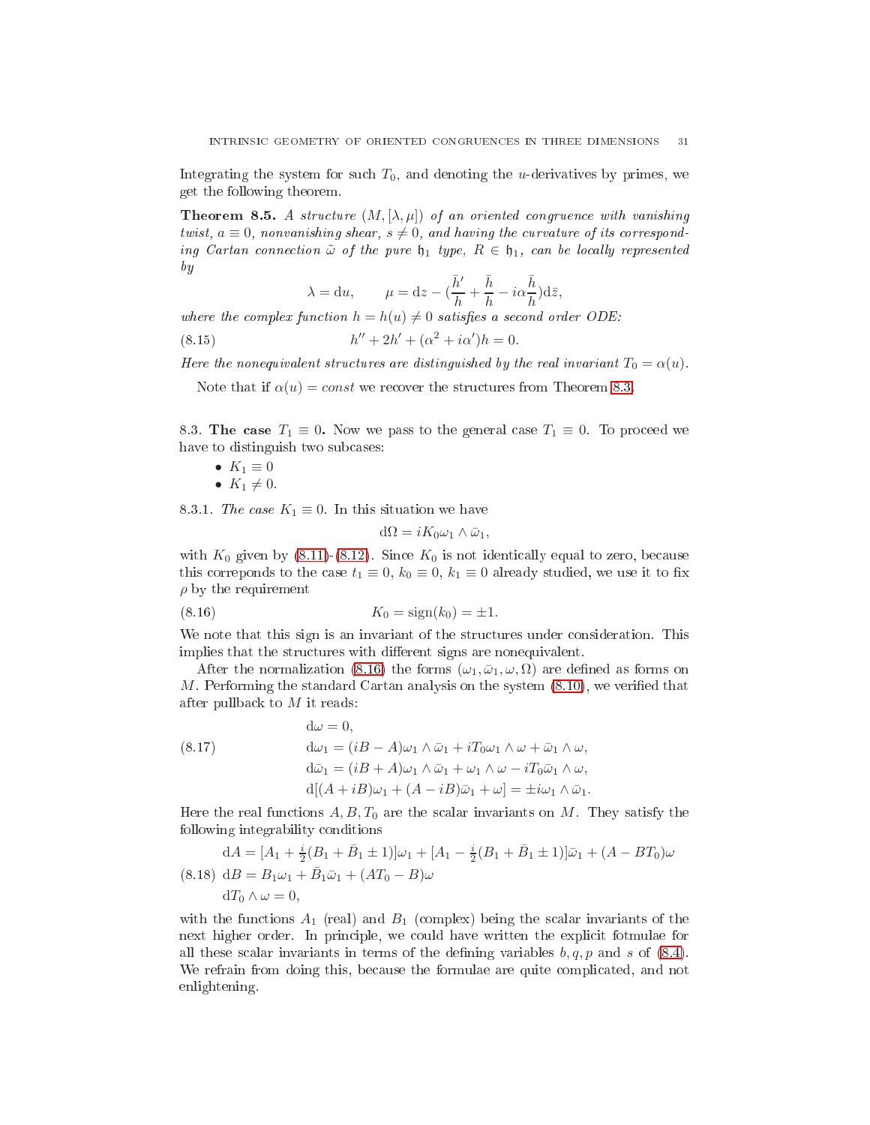<span id="page-30-5"></span>Integrating the system for such  $T_0$ , and denoting the *u*-derivatives by primes, we get the following theorem.

**Theorem 8.5.** A structure  $(M, [\lambda, \mu])$  of an oriented congruence with vanishing twist,  $a \equiv 0$ , nonvanishing shear,  $s \neq 0$ , and having the curvature of its corresponding Cartan connection  $\tilde{\omega}$  of the pure  $\mathfrak{h}_1$  type,  $R \in \mathfrak{h}_1$ , can be locally represented by

<span id="page-30-6"></span>
$$
\lambda = du
$$
,  $\mu = dz - (\frac{\bar{h}'}{h} + \frac{\bar{h}}{h} - i\alpha \frac{\bar{h}}{h})d\bar{z}$ ,

where the complex function  $h = h(u) \neq 0$  satisfies a second order ODE:

(8.15) 
$$
h'' + 2h' + (\alpha^2 + i\alpha')h = 0.
$$

Here the nonequivalent structures are distinguished by the real invariant  $T_0 = \alpha(u)$ .

Note that if  $\alpha(u) = const$  we recover the structures from Theorem [8.3.](#page-27-1)

<span id="page-30-0"></span>8.3. The case  $T_1 \equiv 0$ . Now we pass to the general case  $T_1 \equiv 0$ . To proceed we have to distinguish two subcases:

\n- $$
K_1 \equiv 0
$$
\n- $K_1 \neq 0$
\n

<span id="page-30-1"></span>8.3.1. The case  $K_1 \equiv 0$ . In this situation we have

<span id="page-30-2"></span>
$$
d\Omega = iK_0\omega_1 \wedge \bar{\omega}_1,
$$

with  $K_0$  given by [\(8.11\)](#page-26-4)-[\(8.12\)](#page-26-2). Since  $K_0$  is not identically equal to zero, because this correponds to the case  $t_1 \equiv 0$ ,  $k_0 \equiv 0$ ,  $k_1 \equiv 0$  already studied, we use it to fix  $\rho$  by the requirement

(8.16) 
$$
K_0 = sign(k_0) = \pm 1.
$$

We note that this sign is an invariant of the structures under consideration. This implies that the structures with different signs are nonequivalent.

After the normalization [\(8.16\)](#page-30-2) the forms  $(\omega_1, \bar{\omega}_1, \omega, \Omega)$  are defined as forms on M. Performing the standard Cartan analysis on the system  $(8.10)$ , we verified that after pullback to  $M$  it reads:

<span id="page-30-3"></span>(8.17) 
$$
d\omega = 0,
$$

$$
d\omega_1 = (iB - A)\omega_1 \wedge \bar{\omega}_1 + iT_0\omega_1 \wedge \omega + \bar{\omega}_1 \wedge \omega,
$$

$$
d\bar{\omega}_1 = (iB + A)\omega_1 \wedge \bar{\omega}_1 + \omega_1 \wedge \omega - iT_0\bar{\omega}_1 \wedge \omega,
$$

$$
d[(A + iB)\omega_1 + (A - iB)\bar{\omega}_1 + \omega] = \pm i\omega_1 \wedge \bar{\omega}_1.
$$

Here the real functions  $A, B, T_0$  are the scalar invariants on M. They satisfy the following integrability onditions

<span id="page-30-4"></span>
$$
dA = [A_1 + \frac{i}{2}(B_1 + \bar{B}_1 \pm 1)]\omega_1 + [A_1 - \frac{i}{2}(B_1 + \bar{B}_1 \pm 1)]\bar{\omega}_1 + (A - BT_0)\omega
$$
  
(8.18) 
$$
dB = B_1\omega_1 + \bar{B}_1\bar{\omega}_1 + (AT_0 - B)\omega
$$

$$
dT_0 \wedge \omega = 0,
$$

with the functions  $A_1$  (real) and  $B_1$  (complex) being the scalar invariants of the next higher order. In prin
iple, we ould have written the expli
it fotmulae for all these scalar invariants in terms of the defining variables  $b, q, p$  and s of  $(8.4)$ . We refrain from doing this, because the formulae are quite complicated, and not enlightening.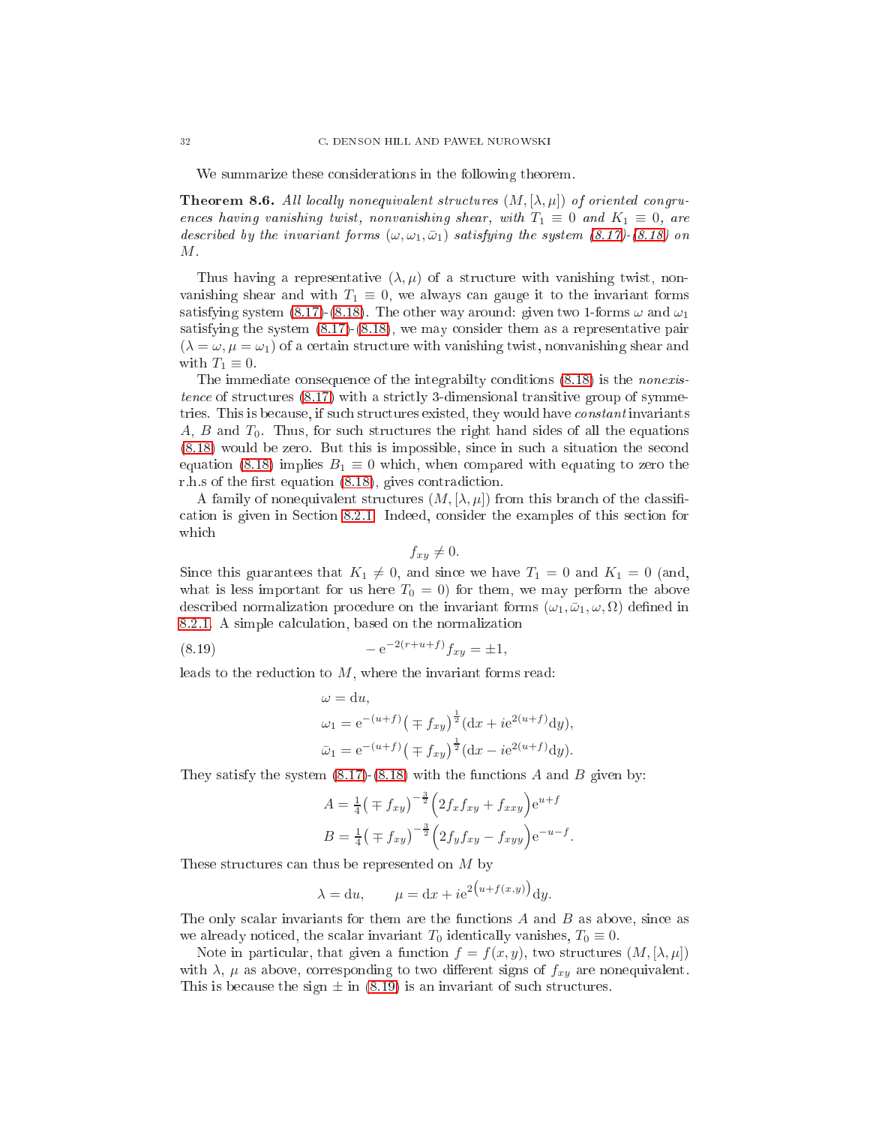We summarize these considerations in the following theorem.

**Theorem 8.6.** All locally nonequivalent structures  $(M, [\lambda, \mu])$  of oriented congruences having vanishing twist, nonvanishing shear, with  $T_1 \equiv 0$  and  $K_1 \equiv 0$ , are described by the invariant forms  $(\omega, \omega_1, \bar{\omega}_1)$  satisfying the system  $(8.17)$ - $(8.18)$  on  $M$  .

Thus having a representative  $(\lambda, \mu)$  of a structure with vanishing twist, nonvanishing shear and with  $T_1 \equiv 0$ , we always can gauge it to the invariant forms satisfying system [\(8.17\)](#page-30-3)-[\(8.18\)](#page-30-4). The other way around: given two 1-forms  $\omega$  and  $\omega_1$ satisfying the system [\(8.17\)](#page-30-3)-[\(8.18\)](#page-30-4), we may onsider them as a representative pair  $(\lambda = \omega, \mu = \omega_1)$  of a certain structure with vanishing twist, nonvanishing shear and with  $T_1 \equiv 0$ .

The immediate consequence of the integrability conditions  $(8.18)$  is the *nonexis*tence of structures  $(8.17)$  with a strictly 3-dimensional transitive group of symmetries. This is because, if such structures existed, they would have *constant* invariants  $A, B$  and  $T_0$ . Thus, for such structures the right hand sides of all the equations [\(8.18\)](#page-30-4) would be zero. But this is impossible, sin
e in su
h a situation the se
ond equation [\(8.18\)](#page-30-4) implies  $B_1 \equiv 0$  which, when compared with equating to zero the r.h.s of the first equation  $(8.18)$ , gives contradiction.

A family of nonequivalent structures  $(M, [\lambda, \mu])$  from this branch of the classifiation is given in Se
tion [8.2.1.](#page-28-1) Indeed, onsider the examples of this se
tion for whi
h

$$
f_{xy}\neq 0.
$$

Since this guarantees that  $K_1 \neq 0$ , and since we have  $T_1 = 0$  and  $K_1 = 0$  (and, what is less important for us here  $T_0 = 0$  for them, we may perform the above described normalization procedure on the invariant forms  $(\omega_1, \bar{\omega}_1, \omega, \Omega)$  defined in [8.2.1.](#page-28-1) A simple calculation, based on the normalization

(8.19) 
$$
-e^{-2(r+u+f)}f_{xy} = \pm 1,
$$

leads to the reduction to  $M$ , where the invariant forms read:

<span id="page-31-0"></span>
$$
\omega = du,
$$
  
\n
$$
\omega_1 = e^{-(u+f)} \left( \mp f_{xy} \right)^{\frac{1}{2}} (dx + i e^{2(u+f)} dy),
$$
  
\n
$$
\bar{\omega}_1 = e^{-(u+f)} \left( \mp f_{xy} \right)^{\frac{1}{2}} (dx - i e^{2(u+f)} dy).
$$

They satisfy the system  $(8.17)-(8.18)$  $(8.17)-(8.18)$  $(8.17)-(8.18)$  with the functions A and B given by:

$$
A = \frac{1}{4} \left( \mp f_{xy} \right)^{-\frac{3}{2}} \left( 2f_x f_{xy} + f_{xxy} \right) e^{u+f}
$$
  

$$
B = \frac{1}{4} \left( \mp f_{xy} \right)^{-\frac{3}{2}} \left( 2f_y f_{xy} - f_{xyy} \right) e^{-u-f}.
$$

These structures can thus be represented on  $M$  by

$$
\lambda = du, \qquad \mu = dx + ie^{2(u+f(x,y))}dy.
$$

The only scalar invariants for them are the functions  $A$  and  $B$  as above, since as we already noticed, the scalar invariant  $T_0$  identically vanishes,  $T_0 \equiv 0$ .

Note in particular, that given a function  $f = f(x, y)$ , two structures  $(M, [\lambda, \mu])$ with  $\lambda$ ,  $\mu$  as above, corresponding to two different signs of  $f_{xu}$  are nonequivalent. This is because the sign  $\pm$  in [\(8.19\)](#page-31-0) is an invariant of such structures.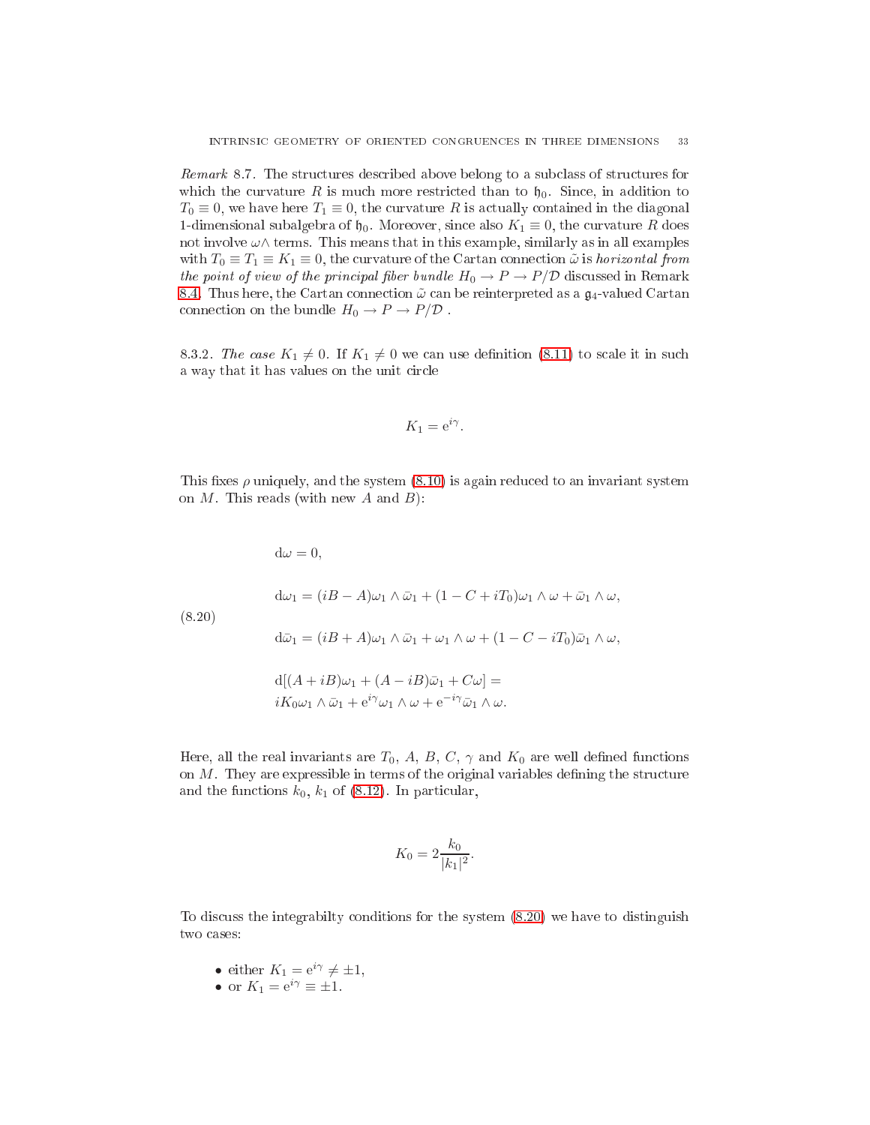Remark 8.7. The structures described above belong to a subclass of structures for which the curvature R is much more restricted than to  $\mathfrak{h}_0$ . Since, in addition to  $T_0 \equiv 0$ , we have here  $T_1 \equiv 0$ , the curvature R is actually contained in the diagonal 1-dimensional subalgebra of  $\mathfrak{h}_0$ . Moreover, since also  $K_1 \equiv 0$ , the curvature R does not involve  $\omega \wedge$  terms. This means that in this example, similarly as in all examples with  $T_0 \equiv T_1 \equiv K_1 \equiv 0$ , the curvature of the Cartan connection  $\tilde{\omega}$  is *horizontal from* the point of view of the principal fiber bundle  $H_0 \to P \to P/\mathcal{D}$  discussed in Remark [8.4.](#page-28-2) Thus here, the Cartan connection  $\tilde{\omega}$  can be reinterpreted as a  $\mathfrak{g}_4$ -valued Cartan connection on the bundle  $H_0 \to P \to P/\mathcal{D}$ .

8.3.2. The case  $K_1 \neq 0$ . If  $K_1 \neq 0$  we can use definition [\(8.11\)](#page-26-4) to scale it in such a way that it has values on the unit circle

$$
K_1 = \mathrm{e}^{i\gamma}.
$$

This fixes  $\rho$  uniquely, and the system  $(8.10)$  is again reduced to an invariant system on  $M$ . This reads (with new  $A$  and  $B$ ):

<span id="page-32-0"></span> $d\omega = 0$ ,  $d\omega_1 = (iB - A)\omega_1 \wedge \bar{\omega}_1 + (1 - C + iT_0)\omega_1 \wedge \omega + \bar{\omega}_1 \wedge \omega,$ (8.20)  $d\bar{\omega}_1 = (iB + A)\omega_1 \wedge \bar{\omega}_1 + \omega_1 \wedge \omega + (1 - C - iT_0)\bar{\omega}_1 \wedge \omega,$  $d[(A+iB)\omega_1 + (A-iB)\overline{\omega}_1 + C\omega] =$  $iK_0\omega_1 \wedge \bar{\omega}_1 + e^{i\gamma}\omega_1 \wedge \omega + e^{-i\gamma}\bar{\omega}_1 \wedge \omega.$ 

Here, all the real invariants are  $T_0$ , A, B, C,  $\gamma$  and  $K_0$  are well defined functions on  $M$ . They are expressible in terms of the original variables defining the structure and the functions  $k_0$ ,  $k_1$  of [\(8.12\)](#page-26-2). In particular,

$$
K_0 = 2 \frac{k_0}{|k_1|^2}.
$$

To discuss the integrability conditions for the system  $(8.20)$  we have to distinguish two ases:

- either  $K_1 = e^{i\gamma} \neq \pm 1$ ,
- or  $K_1 = e^{i\gamma} \equiv \pm 1$ .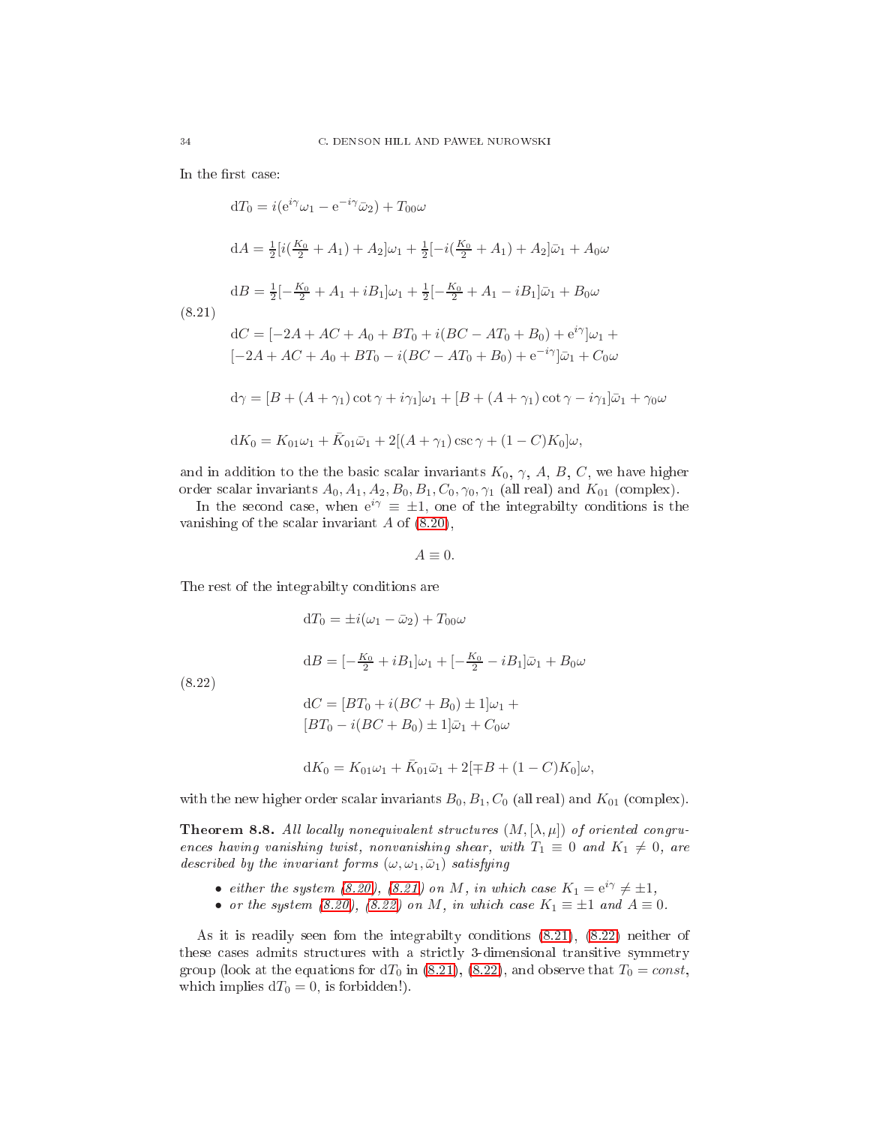In the first case:

<span id="page-33-0"></span>
$$
dT_0 = i(e^{i\gamma}\omega_1 - e^{-i\gamma}\bar{\omega}_2) + T_{00}\omega
$$
  
\n
$$
dA = \frac{1}{2}[i(\frac{K_0}{2} + A_1) + A_2]\omega_1 + \frac{1}{2}[-i(\frac{K_0}{2} + A_1) + A_2]\bar{\omega}_1 + A_0\omega
$$
  
\n
$$
dB = \frac{1}{2}[-\frac{K_0}{2} + A_1 + iB_1]\omega_1 + \frac{1}{2}[-\frac{K_0}{2} + A_1 - iB_1]\bar{\omega}_1 + B_0\omega
$$
  
\n(8.21)  
\n
$$
dC = [-2A + AC + A_0 + BT_0 + i(BC - AT_0 + B_0) + e^{i\gamma}]\omega_1 + [-2A + AC + A_0 + BT_0 - i(BC - AT_0 + B_0) + e^{-i\gamma}]\bar{\omega}_1 + C_0\omega
$$
  
\n
$$
d\gamma = [B + (A + \gamma_1)\cot\gamma + i\gamma_1]\omega_1 + [B + (A + \gamma_1)\cot\gamma - i\gamma_1]\bar{\omega}_1 + \gamma_0\omega
$$
  
\n
$$
dK_0 = K_{01}\omega_1 + \bar{K}_{01}\bar{\omega}_1 + 2[(A + \gamma_1)\csc\gamma + (1 - C)K_0]\omega,
$$

and in addition to the the basic scalar invariants  $K_0$ ,  $\gamma$ ,  $A$ ,  $B$ ,  $C$ , we have higher order scalar invariants  $A_0$ ,  $A_1$ ,  $A_2$ ,  $B_0$ ,  $B_1$ ,  $C_0$ ,  $\gamma_0$ ,  $\gamma_1$  (all real) and  $K_{01}$  (complex).

In the second case, when  $e^{i\gamma} \equiv \pm 1$ , one of the integrabilty conditions is the vanishing of the scalar invariant  $A$  of  $(8.20)$ ,

 $A \equiv 0.$ 

The rest of the integrabilty onditions are

<span id="page-33-1"></span> $dT_0 = \pm i(\omega_1 - \bar{\omega}_2) + T_{00}\omega$ 

 $dB = \left[-\frac{K_0}{2} + iB_1\right]\omega_1 + \left[-\frac{K_0}{2} - iB_1\right]\bar{\omega}_1 + B_0\omega$ 

(8.22)

$$
dC = [BT_0 + i(BC + B_0) \pm 1]\omega_1 +
$$
  

$$
[BT_0 - i(BC + B_0) \pm 1]\bar{\omega}_1 + C_0\omega
$$

$$
dK_0 = K_{01}\omega_1 + \bar{K}_{01}\bar{\omega}_1 + 2[\mp B + (1 - C)K_0]\omega,
$$

with the new higher order scalar invariants  $B_0, B_1, C_0$  (all real) and  $K_{01}$  (complex).

**Theorem 8.8.** All locally nonequivalent structures  $(M, [\lambda, \mu])$  of oriented congruences having vanishing twist, nonvanishing shear, with  $T_1 \equiv 0$  and  $K_1 \neq 0$ , are described by the invariant forms  $(\omega, \omega_1, \bar{\omega}_1)$  satisfying

- either the system [\(8.20\)](#page-32-0), [\(8.21\)](#page-33-0) on M, in which case  $K_1 = e^{i\gamma} \neq \pm 1$ ,
- or the system  $(8.20)$ ,  $(8.22)$  on M, in which case  $K_1 \equiv \pm 1$  and  $A \equiv 0$ .

As it is readily seen fom the integrabilty onditions [\(8.21\)](#page-33-0), [\(8.22\)](#page-33-1) neither of these cases admits structures with a strictly 3-dimensional transitive symmetry group (look at the equations for  $dT_0$  in [\(8.21\)](#page-33-0), [\(8.22\)](#page-33-1), and observe that  $T_0 = const$ , which implies  $dT_0 = 0$ , is forbidden!).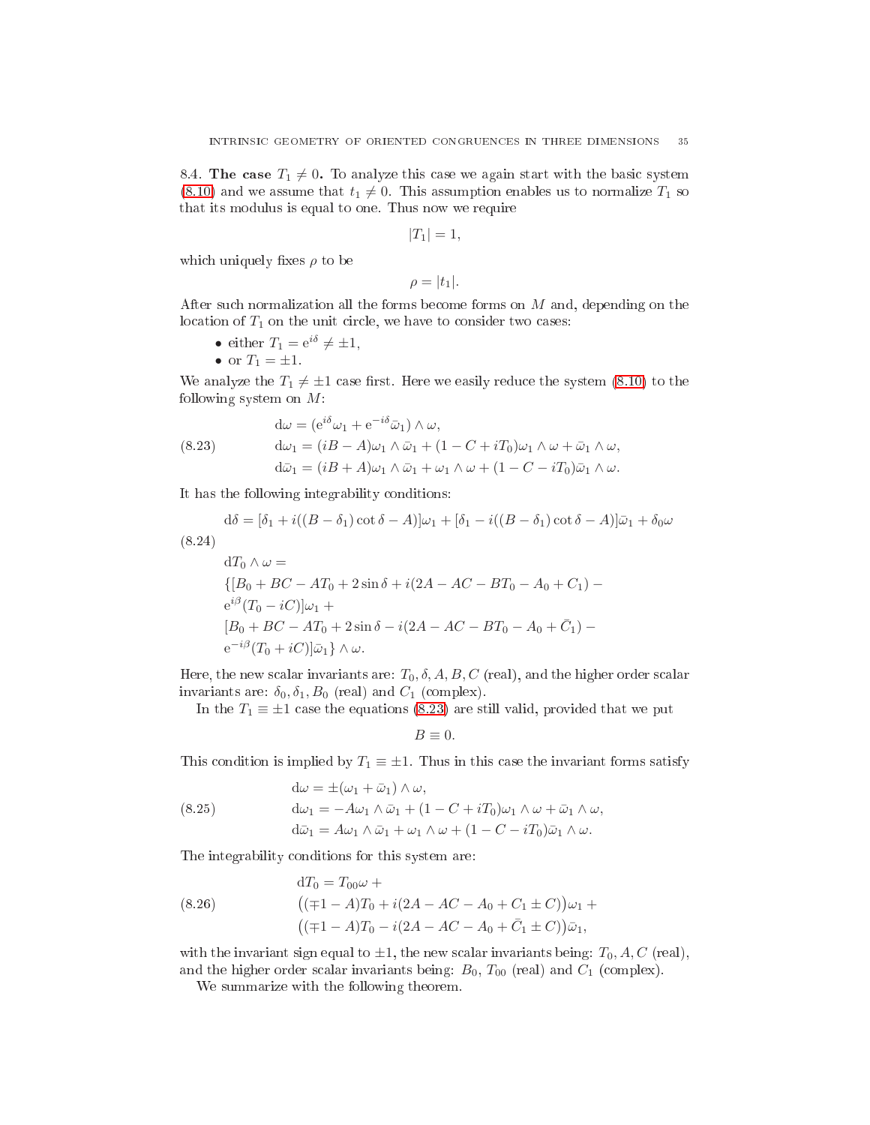<span id="page-34-0"></span>8.4. The case  $T_1 \neq 0$ . To analyze this case we again start with the basic system [\(8.10\)](#page-26-1) and we assume that  $t_1 \neq 0$ . This assumption enables us to normalize  $T_1$  so that its modulus is equal to one. Thus now we require

$$
|T_1|=1,
$$

which uniquely fixes  $\rho$  to be

$$
\rho=|t_1|.
$$

After su
h normalization all the forms be
ome forms on M and, depending on the location of  $T_1$  on the unit circle, we have to consider two cases:

- either  $T_1 = e^{i\delta} \neq \pm 1$ ,
- or  $T_1 = \pm 1$ .

We analyze the  $T_1 \neq \pm 1$  case first. Here we easily reduce the system [\(8.10\)](#page-26-1) to the following system on  $M$ :

<span id="page-34-1"></span>(8.23) 
$$
\begin{aligned}\n\mathrm{d}\omega &= (e^{i\delta}\omega_1 + e^{-i\delta}\bar{\omega}_1) \wedge \omega, \\
\mathrm{d}\omega_1 &= (iB - A)\omega_1 \wedge \bar{\omega}_1 + (1 - C + iT_0)\omega_1 \wedge \omega + \bar{\omega}_1 \wedge \omega, \\
\mathrm{d}\bar{\omega}_1 &= (iB + A)\omega_1 \wedge \bar{\omega}_1 + \omega_1 \wedge \omega + (1 - C - iT_0)\bar{\omega}_1 \wedge \omega.\n\end{aligned}
$$

It has the following integrability onditions:

<span id="page-34-2"></span>
$$
d\delta = [\delta_1 + i((B - \delta_1)\cot\delta - A)]\omega_1 + [\delta_1 - i((B - \delta_1)\cot\delta - A)]\bar{\omega}_1 + \delta_0\omega
$$
\n(8.24)

$$
dT_0 \wedge \omega =
$$
  
\n
$$
\{ [B_0 + BC - AT_0 + 2\sin \delta + i(2A - AC - BT_0 - A_0 + C_1) - e^{i\beta} (T_0 - iC)]\omega_1 +
$$
  
\n
$$
[B_0 + BC - AT_0 + 2\sin \delta - i(2A - AC - BT_0 - A_0 + C_1) -
$$
  
\n
$$
e^{-i\beta} (T_0 + iC)]\bar{\omega}_1 \} \wedge \omega.
$$

Here, the new scalar invariants are:  $T_0$ ,  $\delta$ ,  $A$ ,  $B$ ,  $C$  (real), and the higher order scalar invariants are:  $\delta_0$ ,  $\delta_1$ ,  $B_0$  (real) and  $C_1$  (complex).

In the  $T_1 \equiv \pm 1$  case the equations [\(8.23\)](#page-34-1) are still valid, provided that we put

$$
B\equiv 0.
$$

This condition is implied by  $T_1 \equiv \pm 1$ . Thus in this case the invariant forms satisfy

<span id="page-34-3"></span>(8.25) 
$$
d\omega = \pm (\omega_1 + \bar{\omega}_1) \wedge \omega,
$$

$$
d\omega_1 = -A\omega_1 \wedge \bar{\omega}_1 + (1 - C + iT_0)\omega_1 \wedge \omega + \bar{\omega}_1 \wedge \omega,
$$

$$
d\bar{\omega}_1 = A\omega_1 \wedge \bar{\omega}_1 + \omega_1 \wedge \omega + (1 - C - iT_0)\bar{\omega}_1 \wedge \omega.
$$

The integrability onditions for this system are:

<span id="page-34-4"></span>(8.26) 
$$
dT_0 = T_{00}\omega +
$$

$$
((\mp 1 - A)T_0 + i(2A - AC - A_0 + C_1 \pm C))\omega_1 +
$$

$$
((\mp 1 - A)T_0 - i(2A - AC - A_0 + \bar{C}_1 \pm C))\bar{\omega}_1,
$$

with the invariant sign equal to  $\pm 1$ , the new scalar invariants being:  $T_0$ , A, C (real), and the higher order scalar invariants being:  $B_0$ ,  $T_{00}$  (real) and  $C_1$  (complex).

We summarize with the following theorem.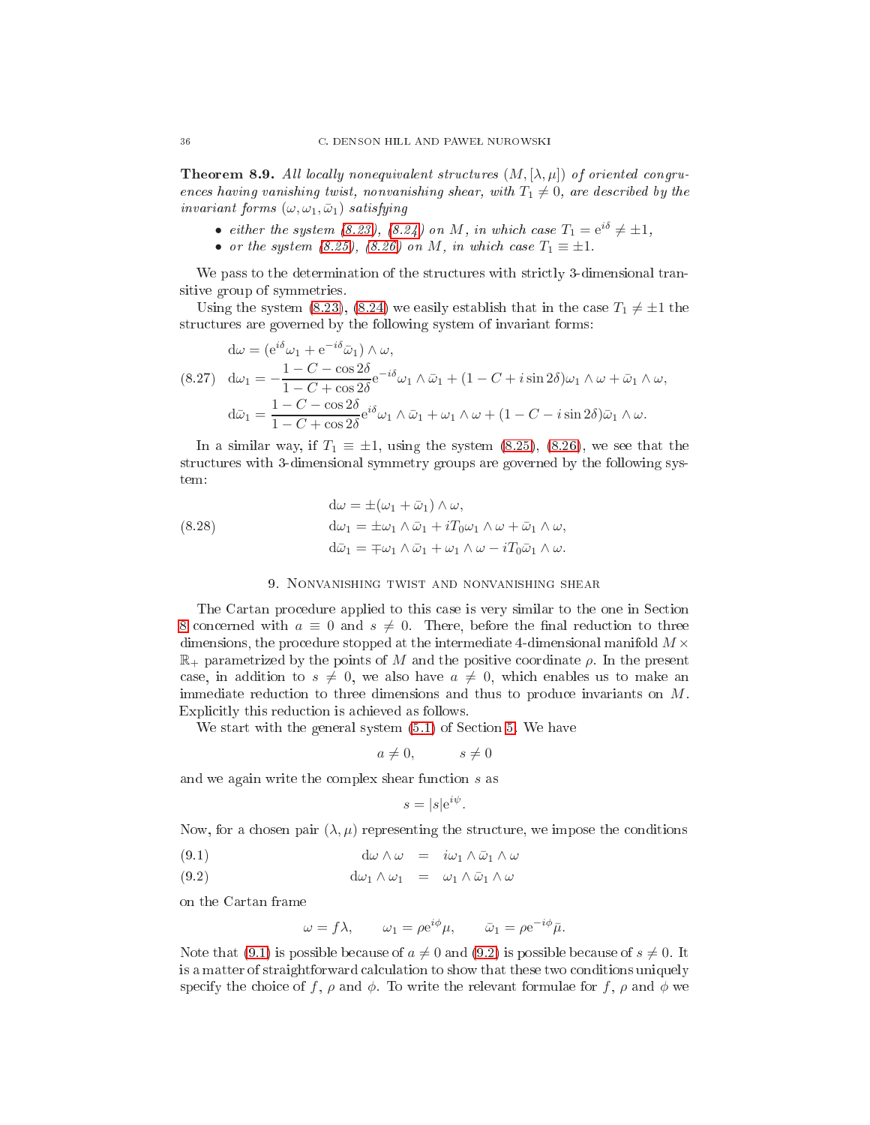**Theorem 8.9.** All locally nonequivalent structures  $(M, [\lambda, \mu])$  of oriented congruences having vanishing twist, nonvanishing shear, with  $T_1 \neq 0$ , are described by the invariant forms  $(\omega, \omega_1, \bar{\omega}_1)$  satisfying

- either the system [\(8.23\)](#page-34-1), [\(8.24\)](#page-34-2) on M, in which case  $T_1 = e^{i\delta} \neq \pm 1$ ,
- or the system  $(8.25)$ ,  $(8.26)$  on M, in which case  $T_1 \equiv \pm 1$ .

We pass to the determination of the structures with strictly 3-dimensional transitive group of symmetries.

Using the system [\(8.23\)](#page-34-1), [\(8.24\)](#page-34-2) we easily establish that in the case  $T_1 \neq \pm 1$  the structures are governed by the following system of invariant forms:

$$
d\omega = (e^{i\delta}\omega_1 + e^{-i\delta}\bar{\omega}_1) \wedge \omega,
$$
  
(8.27) 
$$
d\omega_1 = -\frac{1 - C - \cos 2\delta}{1 - C + \cos 2\delta}e^{-i\delta}\omega_1 \wedge \bar{\omega}_1 + (1 - C + i\sin 2\delta)\omega_1 \wedge \omega + \bar{\omega}_1 \wedge \omega,
$$

$$
d\bar{\omega}_1 = \frac{1 - C - \cos 2\delta}{1 - C + \cos 2\delta}e^{i\delta}\omega_1 \wedge \bar{\omega}_1 + \omega_1 \wedge \omega + (1 - C - i\sin 2\delta)\bar{\omega}_1 \wedge \omega.
$$

In a similar way, if  $T_1 \equiv \pm 1$ , using the system [\(8.25\)](#page-34-3), [\(8.26\)](#page-34-4), we see that the structures with 3-dimensional symmetry groups are governed by the following system:

(8.28)  
\n
$$
d\omega = \pm (\omega_1 + \bar{\omega}_1) \wedge \omega,
$$
\n
$$
d\omega_1 = \pm \omega_1 \wedge \bar{\omega}_1 + i T_0 \omega_1 \wedge \omega + \bar{\omega}_1 \wedge \omega,
$$
\n
$$
d\bar{\omega}_1 = \mp \omega_1 \wedge \bar{\omega}_1 + \omega_1 \wedge \omega - i T_0 \bar{\omega}_1 \wedge \omega.
$$

## 9. Nonvanishing twist and nonvanishing shear

<span id="page-35-0"></span>The Cartan procedure applied to this case is very similar to the one in Section [8](#page-23-0) concerned with  $a \equiv 0$  and  $s \neq 0$ . There, before the final reduction to three dimensions, the procedure stopped at the intermediate 4-dimensional manifold  $M \times$  $\mathbb{R}_+$  parametrized by the points of M and the positive coordinate  $\rho$ . In the present case, in addition to  $s \neq 0$ , we also have  $a \neq 0$ , which enables us to make an immediate reduction to three dimensions and thus to produce invariants on M. Explicitly this reduction is achieved as follows.

We start with the general system  $(5.1)$  of Section [5.](#page-6-1) We have

$$
a \neq 0, \qquad s \neq 0
$$

and we again write the omplex shear fun
tion s as

<span id="page-35-1"></span>
$$
s = |s|e^{i\psi}.
$$

Now, for a chosen pair  $(\lambda, \mu)$  representing the structure, we impose the conditions

- (9.1)  $d\omega \wedge \omega = i\omega_1 \wedge \bar{\omega}_1 \wedge \omega$
- (9.2)  $d\omega_1 \wedge \omega_1 = \omega_1 \wedge \bar{\omega}_1 \wedge \omega_1$

on the Cartan frame

$$
\omega = f\lambda, \qquad \omega_1 = \rho e^{i\phi}\mu, \qquad \bar{\omega}_1 = \rho e^{-i\phi}\bar{\mu}.
$$

Note that [\(9.1\)](#page-35-1) is possible because of  $a \neq 0$  and [\(9.2\)](#page-35-1) is possible because of  $s \neq 0$ . It is a matter of straightforward calculation to show that these two conditions uniquely specify the choice of f,  $\rho$  and  $\phi$ . To write the relevant formulae for f,  $\rho$  and  $\phi$  we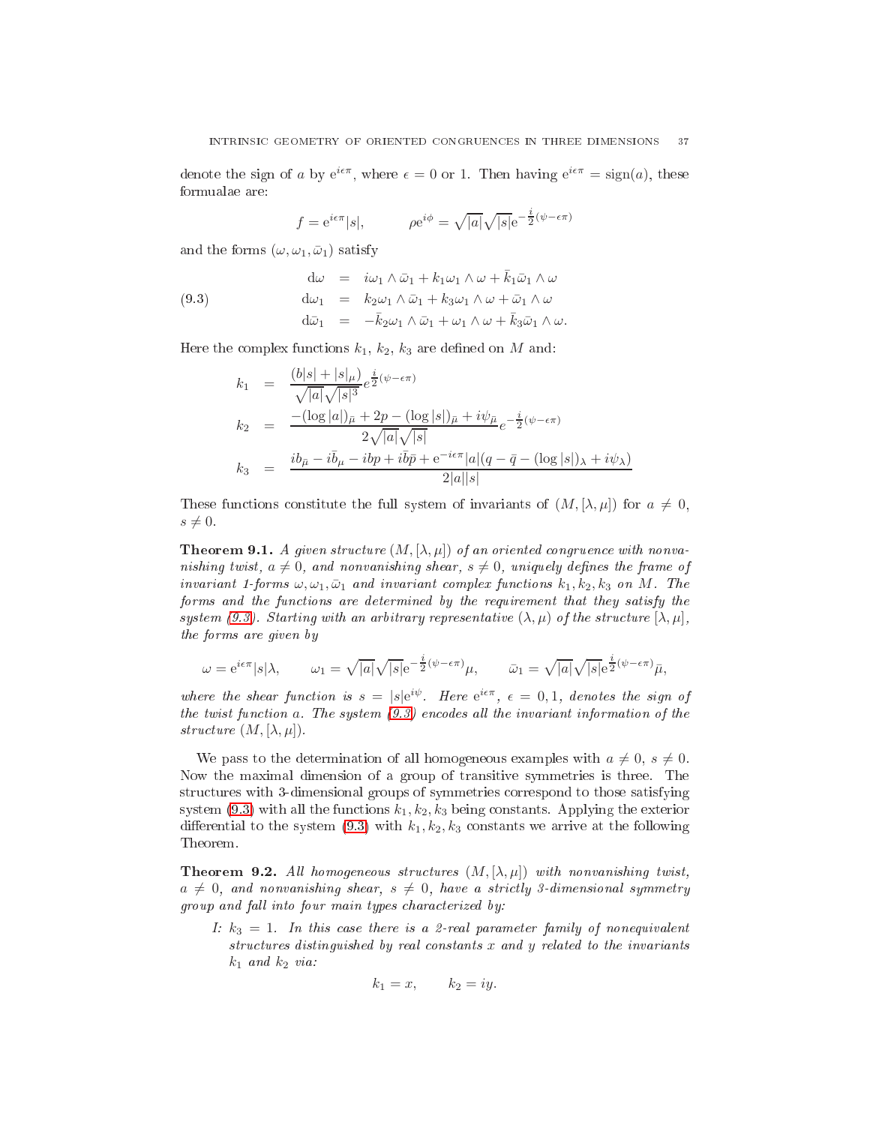denote the sign of a by  $e^{i\epsilon\pi}$ , where  $\epsilon = 0$  or 1. Then having  $e^{i\epsilon\pi} = \text{sign}(a)$ , these formualae are:

<span id="page-36-0"></span>
$$
f = e^{i\epsilon\pi} |s|,
$$
  $\rho e^{i\phi} = \sqrt{|a|} \sqrt{|s|} e^{-\frac{i}{2}(\psi - \epsilon\pi)}$ 

and the forms  $(\omega, \omega_1, \bar{\omega}_1)$  satisfy

(9.3) 
$$
\begin{aligned}\n\mathbf{d}\omega &= i\omega_1 \wedge \bar{\omega}_1 + k_1\omega_1 \wedge \omega + \bar{k}_1\bar{\omega}_1 \wedge \omega \\
\mathbf{d}\omega_1 &= k_2\omega_1 \wedge \bar{\omega}_1 + k_3\omega_1 \wedge \omega + \bar{\omega}_1 \wedge \omega \\
\mathbf{d}\bar{\omega}_1 &= -\bar{k}_2\omega_1 \wedge \bar{\omega}_1 + \omega_1 \wedge \omega + \bar{k}_3\bar{\omega}_1 \wedge \omega.\n\end{aligned}
$$

Here the complex functions  $k_1, k_2, k_3$  are defined on M and:

$$
k_1 = \frac{(b|s| + |s|_{\mu})}{\sqrt{|a|}\sqrt{|s|^3}} e^{\frac{i}{2}(\psi - \epsilon \pi)}
$$
  
\n
$$
k_2 = \frac{-(\log|a|)_{\bar{\mu}} + 2p - (\log|s|)_{\bar{\mu}} + i\psi_{\bar{\mu}}}{2\sqrt{|a|}\sqrt{|s|}} e^{-\frac{i}{2}(\psi - \epsilon \pi)}
$$
  
\n
$$
k_3 = \frac{ib_{\bar{\mu}} - i\bar{b}_{\mu} - ibp + i\bar{b}\bar{p} + e^{-i\epsilon\pi}|a|(q - \bar{q} - (\log|s|)_{\lambda} + i\psi_{\lambda})}{2|a||s|}
$$

These functions constitute the full system of invariants of  $(M, [\lambda, \mu])$  for  $a \neq 0$ ,  $s \neq 0$ .

**Theorem 9.1.** A given structure  $(M, [\lambda, \mu])$  of an oriented congruence with nonvanishing twist,  $a \neq 0$ , and nonvanishing shear,  $s \neq 0$ , uniquely defines the frame of invariant 1-forms  $\omega, \omega_1, \bar{\omega}_1$  and invariant complex functions  $k_1, k_2, k_3$  on M. The forms and the functions are determined by the requirement that they satisfy the system [\(9.3\)](#page-36-0). Starting with an arbitrary representative  $(\lambda, \mu)$  of the structure  $[\lambda, \mu]$ , the forms are given by

$$
\omega = e^{i\epsilon \pi} |s|\lambda, \qquad \omega_1 = \sqrt{|a|} \sqrt{|s|} e^{-\frac{i}{2}(\psi - \epsilon \pi)} \mu, \qquad \bar{\omega}_1 = \sqrt{|a|} \sqrt{|s|} e^{\frac{i}{2}(\psi - \epsilon \pi)} \bar{\mu},
$$

where the shear function is  $s = |s|e^{i\psi}$  $s = |s|e^{i\psi}$  $s = |s|e^{i\psi}$ . Here  $e^{i\epsilon\pi}$ ,  $\epsilon = 0,1$ , denotes the sign of the twist function  $a$ . The system  $(9.3)$  encodes all the invariant information of the structure  $(M, [\lambda, \mu]).$ 

We pass to the determination of all homogeneous examples with  $a \neq 0$ ,  $s \neq 0$ . Now the maximal dimension of a group of transitive symmetries is three. The structures with 3-dimensional groups of symmetries correspond to those satisfying system  $(9.3)$  with all the functions  $k_1, k_2, k_3$  being constants. Applying the exterior differential to the system  $(9.3)$  with  $k_1, k_2, k_3$  constants we arrive at the following Theorem.

**Theorem 9.2.** All homogeneous structures  $(M, [\lambda, \mu])$  with nonvanishing twist,  $a \neq 0$ , and nonvanishing shear,  $s \neq 0$ , have a strictly 3-dimensional symmetry group and fall into four main types characterized by:

I:  $k_3 = 1$ . In this case there is a 2-real parameter family of nonequivalent structures distinguished by real constants x and y related to the invariants  $k_1$  and  $k_2$  via:

$$
k_1 = x, \qquad k_2 = iy.
$$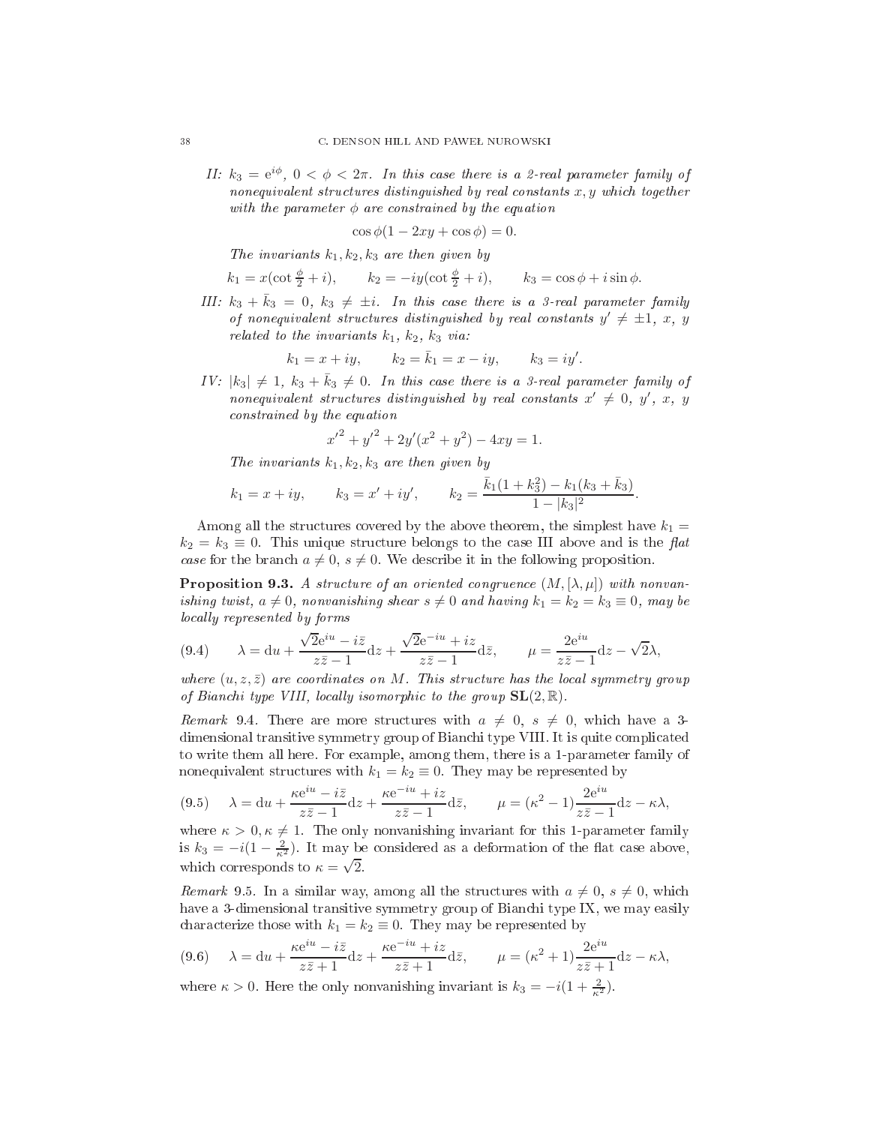II:  $k_3 = e^{i\phi}$ ,  $0 < \phi < 2\pi$ . In this case there is a 2-real parameter family of nonequivalent structures distinguished by real constants  $x, y$  which together with the parameter  $\phi$  are constrained by the equation

$$
\cos\phi(1 - 2xy + \cos\phi) = 0.
$$

The invariants  $k_1, k_2, k_3$  are then given by

$$
k_1 = x(\cot \frac{\phi}{2} + i),
$$
  $k_2 = -iy(\cot \frac{\phi}{2} + i),$   $k_3 = \cos \phi + i \sin \phi.$ 

III:  $k_3 + \bar{k}_3 = 0$ ,  $k_3 \neq \pm i$ . In this case there is a 3-real parameter family of nonequivalent structures distinguished by real constants  $y' \neq \pm 1, x, y$ related to the invariants  $k_1$ ,  $k_2$ ,  $k_3$  via:

$$
k_1 = x + iy
$$
,  $k_2 = \bar{k}_1 = x - iy$ ,  $k_3 = iy'$ .

IV:  $|k_3| \neq 1$ ,  $k_3 + \bar{k}_3 \neq 0$ . In this case there is a 3-real parameter family of  $\emph{nonequivalent structures}$  distinguished by real constants  $x'\neq 0,\ y',\ x,\ y$ onstrained by the equation

$$
{x'}^2 + {y'}^2 + 2y'(x^2 + y^2) - 4xy = 1.
$$

The invariants  $k_1, k_2, k_3$  are then given by

$$
k_1 = x + iy
$$
,  $k_3 = x' + iy'$ ,  $k_2 = \frac{\bar{k}_1(1 + k_3^2) - k_1(k_3 + \bar{k}_3)}{1 - |k_3|^2}$ .

Among all the structures covered by the above theorem, the simplest have  $k_1 =$  $k_2 = k_3 \equiv 0$ . This unique structure belongs to the case III above and is the flat case for the branch  $a \neq 0$ ,  $s \neq 0$ . We describe it in the following proposition.

**Proposition 9.3.** A structure of an oriented congruence  $(M, [\lambda, \mu])$  with nonvanishing twist,  $a \neq 0$ , nonvanishing shear  $s \neq 0$  and having  $k_1 = k_2 = k_3 \equiv 0$ , may be locally represented by forms

(9.4) 
$$
\lambda = du + \frac{\sqrt{2}e^{iu} - i\bar{z}}{z\bar{z} - 1}dz + \frac{\sqrt{2}e^{-iu} + iz}{z\bar{z} - 1}d\bar{z}, \qquad \mu = \frac{2e^{iu}}{z\bar{z} - 1}dz - \sqrt{2}\lambda,
$$

where  $(u, z, \overline{z})$  are coordinates on M. This structure has the local symmetry group of Bianchi type VIII, locally isomorphic to the group  $SL(2, \mathbb{R})$ .

Remark 9.4. There are more structures with  $a \neq 0, s \neq 0$ , which have a 3dimensional transitive symmetry group of Bianchi type VIII. It is quite complicated to write them all here. For example, among them, there is a 1-parameter family of nonequivalent structures with  $k_1 = k_2 \equiv 0$ . They may be represented by

<span id="page-37-0"></span>
$$
(9.5) \quad \lambda = du + \frac{\kappa e^{iu} - i\bar{z}}{z\bar{z} - 1} dz + \frac{\kappa e^{-iu} + iz}{z\bar{z} - 1} d\bar{z}, \qquad \mu = (\kappa^2 - 1) \frac{2e^{iu}}{z\bar{z} - 1} dz - \kappa \lambda,
$$

where  $\kappa > 0, \kappa \neq 1$ . The only nonvanishing invariant for this 1-parameter family is  $k_3 = -i(1 - \frac{2}{\kappa^2})$ . It may be considered as a deformation of the flat case above, which corresponds to  $\kappa = \sqrt{2}$ .

Remark 9.5. In a similar way, among all the structures with  $a \neq 0$ ,  $s \neq 0$ , which have a 3-dimensional transitive symmetry group of Bian
hi type IX, we may easily characterize those with  $k_1 = k_2 \equiv 0$ . They may be represented by

<span id="page-37-1"></span>
$$
(9.6) \quad \lambda = du + \frac{\kappa e^{iu} - i\bar{z}}{z\bar{z} + 1} dz + \frac{\kappa e^{-iu} + iz}{z\bar{z} + 1} d\bar{z}, \qquad \mu = (\kappa^2 + 1) \frac{2e^{iu}}{z\bar{z} + 1} dz - \kappa \lambda,
$$

where  $\kappa > 0$ . Here the only nonvanishing invariant is  $k_3 = -i(1 + \frac{2}{\kappa^2})$ .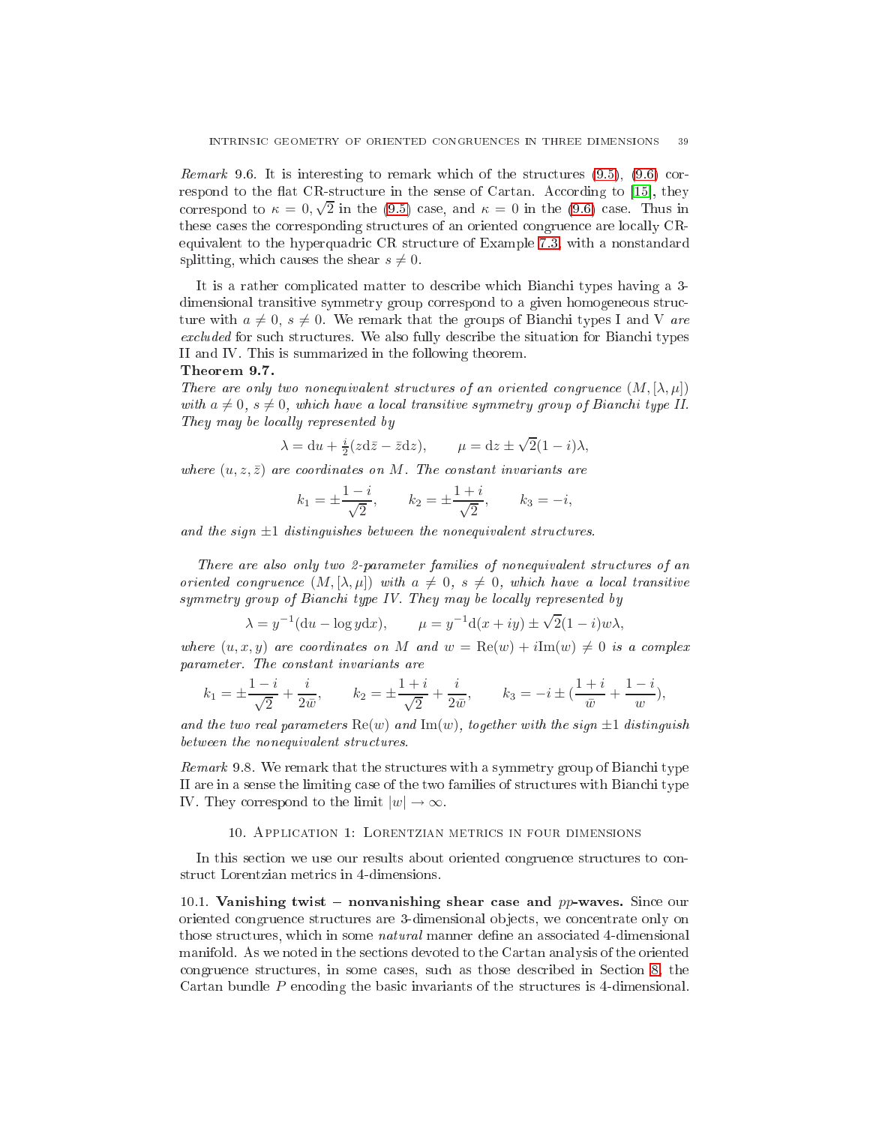*Remark* 9.6. It is interesting to remark which of the structures  $(9.5)$ ,  $(9.6)$  correspond to the flat CR-structure in the sense of Cartan. According to  $[15]$ , they correspond to  $\kappa = 0, \sqrt{2}$  in the [\(9.5\)](#page-37-0) case, and  $\kappa = 0$  in the [\(9.6\)](#page-37-1) case. Thus in these cases the corresponding structures of an oriented congruence are locally CRequivalent to the hyperquadri CR stru
ture of Example [7.3,](#page-12-3) with a nonstandard splitting, which causes the shear  $s \neq 0$ .

It is a rather complicated matter to describe which Bianchi types having a 3dimensional transitive symmetry group orrespond to a given homogeneous stru
 ture with  $a \neq 0$ ,  $s \neq 0$ . We remark that the groups of Bianchi types I and V are excluded for such structures. We also fully describe the situation for Bianchi types II and IV. This is summarized in the following theorem.

#### Theorem 9.7.

There are only two nonequivalent structures of an oriented congruence  $(M, [\lambda, \mu])$ with  $a \neq 0$ ,  $s \neq 0$ , which have a local transitive symmetry group of Bianchi type II. They may be locally represented by

$$
\lambda = du + \frac{i}{2}(z\mathrm{d}\bar{z} - \bar{z}\mathrm{d}z), \qquad \mu = dz \pm \sqrt{2}(1 - i)\lambda,
$$

where  $(u, z, \bar{z})$  are coordinates on M. The constant invariants are

$$
k_1 = \pm \frac{1-i}{\sqrt{2}},
$$
  $k_2 = \pm \frac{1+i}{\sqrt{2}},$   $k_3 = -i,$ 

and the sign  $\pm 1$  distinguishes between the nonequivalent structures.

There are also only two 2-parameter families of nonequivalent stru
tures of an oriented congruence  $(M, [\lambda, \mu])$  with  $a \neq 0$ ,  $s \neq 0$ , which have a local transitive symmetry group of Bianchi type IV. They may be locally represented by

$$
\lambda = y^{-1}(du - \log y dx),
$$
  $\mu = y^{-1}d(x + iy) \pm \sqrt{2}(1 - i)w\lambda,$ 

where  $(u, x, y)$  are coordinates on M and  $w = \text{Re}(w) + i\text{Im}(w) \neq 0$  is a complex parameter. The onstant invariants are

$$
k_1 = \pm \frac{1-i}{\sqrt{2}} + \frac{i}{2\bar{w}},
$$
  $k_2 = \pm \frac{1+i}{\sqrt{2}} + \frac{i}{2\bar{w}},$   $k_3 = -i \pm (\frac{1+i}{\bar{w}} + \frac{1-i}{w}),$ 

and the two real parameters  $\text{Re}(w)$  and  $\text{Im}(w)$ , together with the sign  $\pm 1$  distinguish between the nonequivalent structures.

Remark 9.8. We remark that the structures with a symmetry group of Bianchi type II are in a sense the limiting case of the two families of structures with Bianchi type IV. They correspond to the limit  $|w| \to \infty$ .

## 10. APPLICATION 1: LORENTZIAN METRICS IN FOUR DIMENSIONS

<span id="page-38-0"></span>In this section we use our results about oriented congruence structures to constru
t Lorentzian metri
s in 4-dimensions.

<span id="page-38-1"></span>10.1. Vanishing twist – nonvanishing shear case and  $pp$ -waves. Since our oriented ongruen
e stru
tures are 3-dimensional ob je
ts, we on
entrate only on those structures, which in some *natural* manner define an associated 4-dimensional manifold. As we noted in the se
tions devoted to the Cartan analysis of the oriented ongruen
e stru
tures, in some ases, su
h as those des
ribed in Se
tion [8,](#page-23-0) the Cartan bundle P encoding the basic invariants of the structures is 4-dimensional.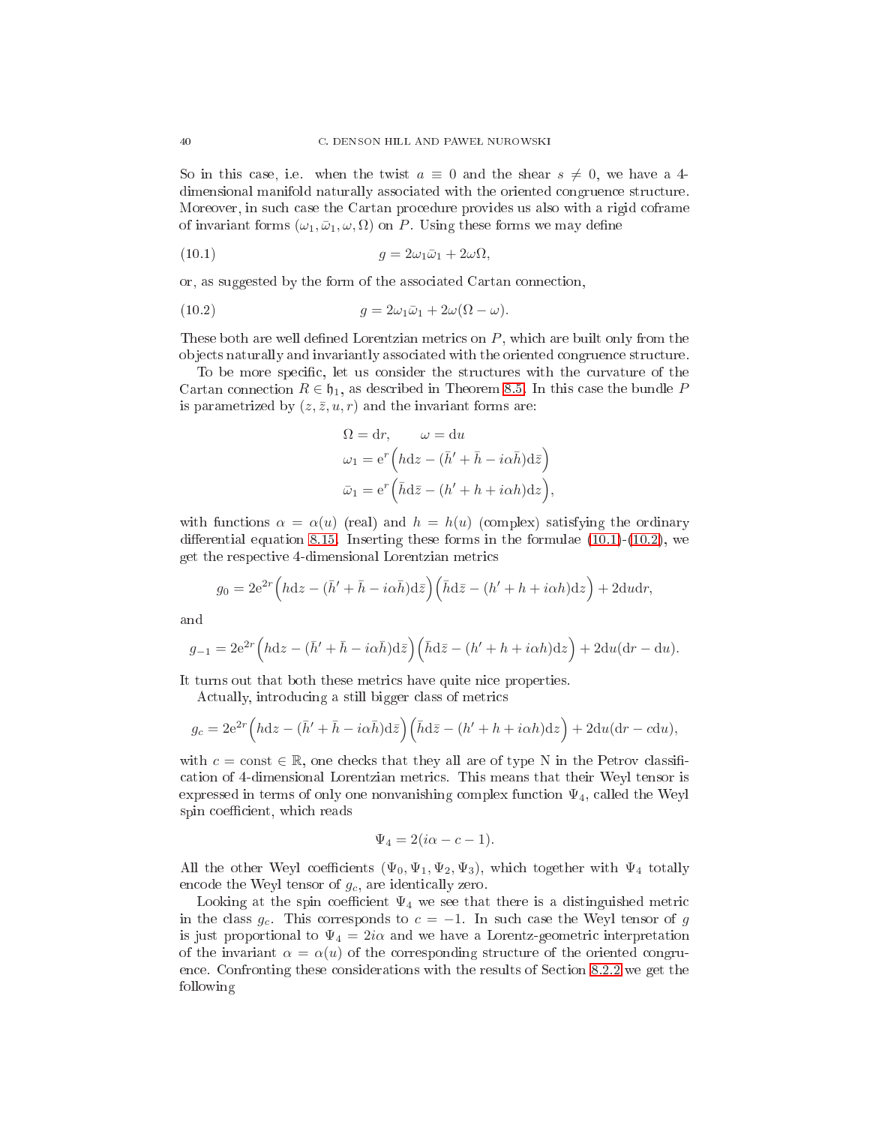So in this case, i.e. when the twist  $a \equiv 0$  and the shear  $s \neq 0$ , we have a 4dimensional manifold naturally associated with the oriented congruence structure. Moreover, in such case the Cartan procedure provides us also with a rigid coframe of invariant forms  $(\omega_1, \bar{\omega}_1, \omega, \Omega)$  on P. Using these forms we may define

(10.1) 
$$
g = 2\omega_1 \bar{\omega}_1 + 2\omega \Omega,
$$

or, as suggested by the form of the asso
iated Cartan onne
tion,

(10.2) 
$$
g = 2\omega_1 \bar{\omega}_1 + 2\omega(\Omega - \omega).
$$

These both are well defined Lorentzian metrics on  $P$ , which are built only from the ob je
ts naturally and invariantly asso
iated with the oriented ongruen
e stru
ture.

To be more specific, let us consider the structures with the curvature of the Cartan connection  $R \in \mathfrak{h}_1$ , as described in Theorem [8.5.](#page-30-5) In this case the bundle P is parametrized by  $(z, \bar{z}, u, r)$  and the invariant forms are:

<span id="page-39-1"></span><span id="page-39-0"></span>
$$
\Omega = dr, \qquad \omega = du
$$
  
\n
$$
\omega_1 = e^r \left( h dz - (\bar{h}' + \bar{h} - i\alpha \bar{h}) d\bar{z} \right)
$$
  
\n
$$
\bar{\omega}_1 = e^r \left( \bar{h} d\bar{z} - (h' + h + i\alpha h) dz \right),
$$

with functions  $\alpha = \alpha(u)$  (real) and  $h = h(u)$  (complex) satisfying the ordinary differential equation [8.15.](#page-30-6) Inserting these forms in the formulae  $(10.1)-(10.2)$  $(10.1)-(10.2)$  $(10.1)-(10.2)$ , we get the respe
tive 4-dimensional Lorentzian metri
s

$$
g_0 = 2e^{2r} \left(hdz - (\bar{h}' + \bar{h} - i\alpha\bar{h})d\bar{z}\right) \left(\bar{h}d\bar{z} - (h' + h + i\alpha h)dz\right) + 2dudr,
$$

and

$$
g_{-1} = 2e^{2r} \left(hdz - (\bar{h}' + \bar{h} - i\alpha\bar{h})d\bar{z}\right) \left(\bar{h}d\bar{z} - (h' + h + i\alpha h)dz\right) + 2du(dr - du).
$$

It turns out that both these metrics have quite nice properties.

Actually, introducing a still bigger class of metrics

$$
g_c = 2e^{2r} \left(hdz - (\bar{h}' + \bar{h} - i\alpha\bar{h})d\bar{z}\right) \left(\bar{h}d\bar{z} - (h' + h + i\alpha h)dz\right) + 2du(dr - cdu),
$$

with  $c = \text{const} \in \mathbb{R}$ , one checks that they all are of type N in the Petrov classifiation of 4-dimensional Lorentzian metri
s. This means that their Weyl tensor is expressed in terms of only one nonvanishing complex function  $\Psi_4$ , called the Weyl spin coefficient, which reads

$$
\Psi_4 = 2(i\alpha - c - 1).
$$

All the other Weyl coefficients  $(\Psi_0, \Psi_1, \Psi_2, \Psi_3)$ , which together with  $\Psi_4$  totally encode the Weyl tensor of  $g_c$ , are identically zero.

Looking at the spin coefficient  $\Psi_4$  we see that there is a distinguished metric in the class  $g_c$ . This corresponds to  $c = -1$ . In such case the Weyl tensor of g is just proportional to  $\Psi_4 = 2i\alpha$  and we have a Lorentz-geometric interpretation of the invariant  $\alpha = \alpha(u)$  of the corresponding structure of the oriented congru-ence. Confronting these considerations with the results of Section [8.2.2](#page-29-1) we get the following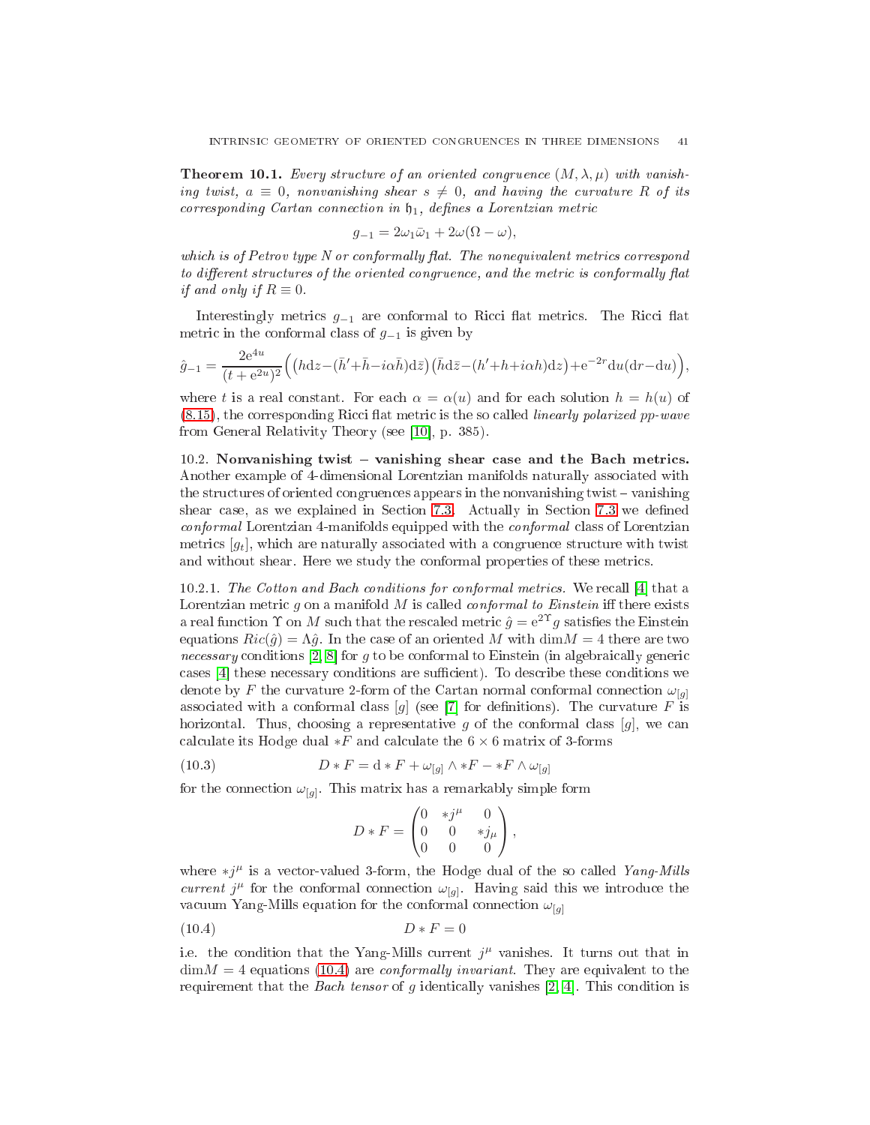**Theorem 10.1.** Every structure of an oriented congruence  $(M, \lambda, \mu)$  with vanishing twist,  $a \equiv 0$ , nonvanishing shear  $s \neq 0$ , and having the curvature R of its corresponding Cartan connection in  $\mathfrak{h}_1$ , defines a Lorentzian metric

$$
g_{-1} = 2\omega_1 \bar{\omega}_1 + 2\omega(\Omega - \omega),
$$

which is of Petrov type  $N$  or conformally flat. The nonequivalent metrics correspond to different structures of the oriented congruence, and the metric is conformally flat if and only if  $R \equiv 0$ .

Interestingly metrics  $g_{-1}$  are conformal to Ricci flat metrics. The Ricci flat metric in the conformal class of  $g_{-1}$  is given by

$$
\hat{g}_{-1} = \frac{2e^{4u}}{(t+e^{2u})^2} \Big( \Big(hdz - (\bar{h}' + \bar{h} - i\alpha\bar{h})d\bar{z}\Big) \Big(\bar{h}d\bar{z} - (h' + h + i\alpha h)dz\Big) + e^{-2r} du (dr - du)\Big),
$$

where t is a real constant. For each  $\alpha = \alpha(u)$  and for each solution  $h = h(u)$  of  $(8.15)$ , the corresponding Ricci flat metric is the so called *linearly polarized pp-wave* from General Relativity Theory (see [10], p. 385).

<span id="page-40-0"></span> $10.2$ . Nonvanishing twist – vanishing shear case and the Bach metrics. Another example of 4-dimensional Lorentzian manifolds naturally asso
iated with the structures of oriented congruences appears in the nonvanishing twist – vanishing shear case, as we explained in Section [7.3.](#page-12-0) Actually in Section [7.3](#page-12-0) we defined conformal Lorentzian 4-manifolds equipped with the *conformal* class of Lorentzian metrics  $[g_t]$ , which are naturally associated with a congruence structure with twist and without shear. Here we study the conformal properties of these metrics.

10.2.1. The Cotton and Bach conditions for conformal metrics. We recall [4] that a Lorentzian metric  $g$  on a manifold  $M$  is called *conformal to Einstein* iff there exists a real function  $\Upsilon$  on M such that the rescaled metric  $\hat{g} = e^{2\Upsilon}g$  satisfies the Einstein equations  $Ric(\hat{g}) = \Lambda \hat{g}$ . In the case of an oriented M with  $\dim M = 4$  there are two necessary conditions [\[2,](#page-54-9) 8] for g to be conformal to Einstein (in algebraically generic cases [4] these necessary conditions are sufficient). To describe these conditions we denote by F the curvature 2-form of the Cartan normal conformal connection  $\omega_{[q]}$ associated with a conformal class [g] (see [7] for definitions). The curvature F is horizontal. Thus, choosing a representative g of the conformal class  $[g]$ , we can calculate its Hodge dual  $*F$  and calculate the  $6 \times 6$  matrix of 3-forms

(10.3) 
$$
D * F = d * F + \omega_{[g]} \wedge *F - *F \wedge \omega_{[g]}
$$

for the connection  $\omega_{[g]}$ . This matrix has a remarkably simple form

<span id="page-40-1"></span>
$$
D * F = \begin{pmatrix} 0 & *j^{\mu} & 0 \\ 0 & 0 & *j_{\mu} \\ 0 & 0 & 0 \end{pmatrix},
$$

where  $\ast j^{\mu}$  is a vector-valued 3-form, the Hodge dual of the so called Yang-Mills current  $j^{\mu}$  for the conformal connection  $\omega_{[g]}$ . Having said this we introduce the vacuum Yang-Mills equation for the conformal connection  $\omega_{[g]}$ 

$$
(10.4) \t\t D * F = 0
$$

i.e. the condition that the Yang-Mills current  $j^{\mu}$  vanishes. It turns out that in  $\dim M = 4$  equations [\(10.4\)](#page-40-1) are *conformally invariant*. They are equivalent to the requirement that the *Bach tensor* of g identically vanishes [\[2,](#page-54-9) 4]. This condition is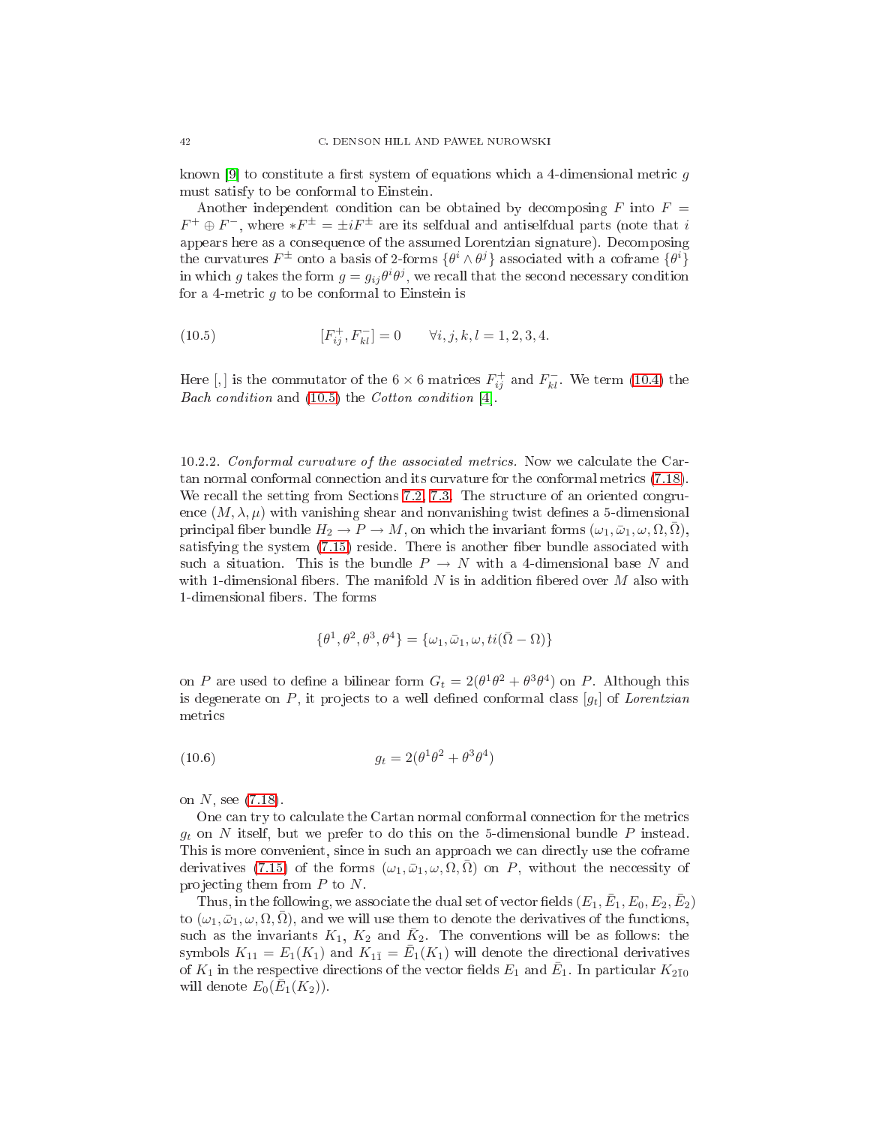known [9] to constitute a first system of equations which a 4-dimensional metric q must satisfy to be onformal to Einstein.

Another independent condition can be obtained by decomposing  $F$  into  $F =$  $F^+ \oplus F^-$ , where  $*F^{\pm} = \pm iF^{\pm}$  are its selfdual and antiselfdual parts (note that i appears here as a onsequen
e of the assumed Lorentzian signature). De
omposing the curvatures  $F^{\pm}$  onto a basis of 2-forms  $\{\theta^i \wedge \theta^j\}$  associated with a coframe  $\{\theta^i\}$ in which g takes the form  $g = g_{ij} \theta^i \theta^j$ , we recall that the second necessary condition for a 4-metric  $g$  to be conformal to Einstein is

<span id="page-41-0"></span>(10.5) 
$$
[F_{ij}^+, F_{kl}^-] = 0 \qquad \forall i, j, k, l = 1, 2, 3, 4.
$$

Here [,] is the commutator of the  $6 \times 6$  matrices  $F_{ij}^+$  and  $F_{kl}^-$ . We term [\(10.4\)](#page-40-1) the ondition and contract the Cotton and Cotton and Cotton and Cotton and Cotton and Cotton and Cotton and Cotton I

10.2.2. Conformal curvature of the associated metrics. Now we calculate the Car-tan normal conformal connection and its curvature for the conformal metrics [\(7.18\)](#page-12-4). We recall the setting from Sections [7.2,](#page-11-0) [7.3.](#page-12-0) The structure of an oriented congruence  $(M, \lambda, \mu)$  with vanishing shear and nonvanishing twist defines a 5-dimensional principal fiber bundle  $H_2 \to P \to M$ , on which the invariant forms  $(\omega_1, \bar{\omega}_1, \omega, \Omega, \bar{\Omega}),$ satisfying the system  $(7.15)$  reside. There is another fiber bundle associated with such a situation. This is the bundle  $P \to N$  with a 4-dimensional base N and with 1-dimensional fibers. The manifold N is in addition fibered over M also with 1-dimensional fibers. The forms

<span id="page-41-1"></span>
$$
\{\theta^1, \theta^2, \theta^3, \theta^4\} = \{\omega_1, \bar{\omega}_1, \omega, ti(\bar{\Omega} - \Omega)\}\
$$

on P are used to define a bilinear form  $G_t = 2(\theta^1\theta^2 + \theta^3\theta^4)$  on P. Although this is degenerate on P, it projects to a well defined conformal class  $[g_t]$  of Lorentzian metri
s

$$
(10.6) \qquad \qquad g_t = 2(\theta^1 \theta^2 + \theta^3 \theta^4)
$$

on  $N$ , see  $(7.18)$ .

One can try to calculate the Cartan normal conformal connection for the metrics  $g_t$  on N itself, but we prefer to do this on the 5-dimensional bundle P instead. This is more convenient, since in such an approach we can directly use the coframe derivatives [\(7.15\)](#page-10-3) of the forms  $(\omega_1, \bar{\omega}_1, \omega, \Omega, \bar{\Omega})$  on P, without the necessity of projecting them from  $P$  to  $N$ .

Thus, in the following, we associate the dual set of vector fields  $(E_1, \bar{E}_1, E_0, E_2, \bar{E}_2)$ to  $(\omega_1, \bar{\omega}_1, \omega, \Omega, \bar{\Omega})$ , and we will use them to denote the derivatives of the functions, such as the invariants  $K_1$ ,  $K_2$  and  $\bar{K}_2$ . The conventions will be as follows: the symbols  $K_{11} = E_1(K_1)$  and  $K_{11} = \overline{E}_1(K_1)$  will denote the directional derivatives of  $K_1$  in the respective directions of the vector fields  $E_1$  and  $\bar{E}_1$ . In particular  $K_{2\bar{1}0}$ will denote  $E_0(\bar{E}_1(K_2))$ .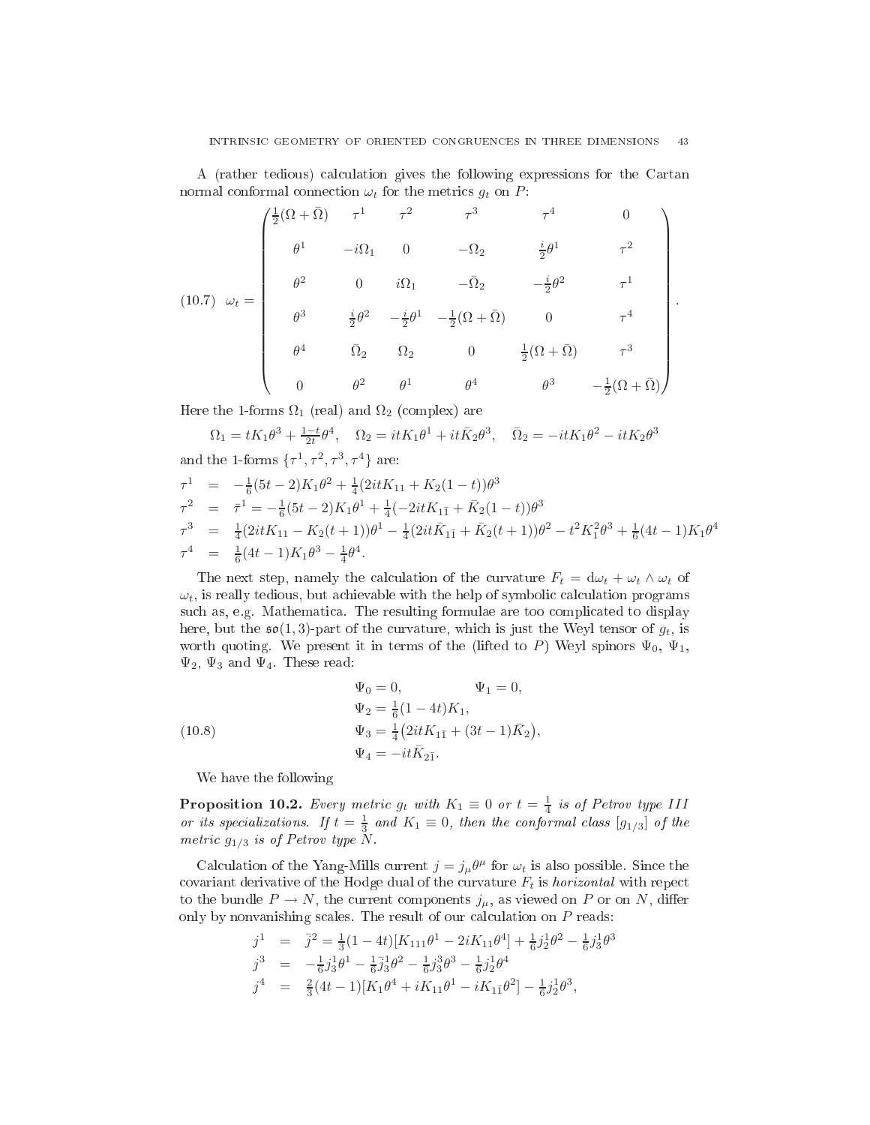A (rather tedious) calculation gives the following expressions for the Cartan normal conformal connection  $\omega_t$  for the metrics  $g_t$  on P:

$$
(10.7) \quad \omega_t = \begin{pmatrix} \frac{1}{2}(\Omega + \bar{\Omega}) & \tau^1 & \tau^2 & \tau^3 & \tau^4 & 0 \\ \theta^1 & -i\Omega_1 & 0 & -\Omega_2 & \frac{i}{2}\theta^1 & \tau^2 \\ \theta^2 & 0 & i\Omega_1 & -\bar{\Omega}_2 & -\frac{i}{2}\theta^2 & \tau^1 \\ \theta^3 & \frac{i}{2}\theta^2 & -\frac{i}{2}\theta^1 & -\frac{1}{2}(\Omega + \bar{\Omega}) & 0 & \tau^4 \\ \theta^4 & \bar{\Omega}_2 & \Omega_2 & 0 & \frac{1}{2}(\Omega + \bar{\Omega}) & \tau^3 \\ 0 & \theta^2 & \theta^1 & \theta^4 & \theta^3 & -\frac{1}{2}(\Omega + \bar{\Omega}) \end{pmatrix}
$$

.

Here the 1-forms  $\Omega_1$  (real) and  $\Omega_2$  (complex) are

$$
\Omega_1 = tK_1\theta^3 + \frac{1-t}{2t}\theta^4, \quad \Omega_2 = itK_1\theta^1 + it\bar{K}_2\theta^3, \quad \bar{\Omega}_2 = -itK_1\theta^2 - itK_2\theta^3
$$
  
and the 1-forms  $\{\tau^1, \tau^2, \tau^3, \tau^4\}$  are:  

$$
\tau^1 = -\frac{1}{6}(5t-2)K_1\theta^2 + \frac{1}{4}(2itK_{11} + K_2(1-t))\theta^3
$$

$$
\tau^2 = \bar{\tau}^1 = -\frac{1}{6}(5t-2)K_1\theta^1 + \frac{1}{4}(-2itK_{11} + \bar{K}_2(1-t))\theta^3
$$

$$
\begin{array}{rcl}\n\tau^3 & = & \frac{1}{4} (2itK_{11} - K_2(t+1))\theta^1 - \frac{1}{4} (2it\bar{K}_{1\bar{1}} + \bar{K}_2(t+1))\theta^2 - t^2 K_1^2 \theta^3 + \frac{1}{6} (4t-1)K_1 \theta^4 \\
\tau^4 & = & \frac{1}{6} (4t-1)K_1 \theta^3 - \frac{1}{4} \theta^4.\n\end{array}
$$

The next step, namely the calculation of the curvature  $F_t = d\omega_t + \omega_t \wedge \omega_t$  of  $\omega_t$ , is really tedious, but achievable with the help of symbolic calculation programs such as, e.g. Mathematica. The resulting formulae are too complicated to display here, but the  $\mathfrak{so}(1,3)$ -part of the curvature, which is just the Weyl tensor of  $g_t$ , is worth quoting. We present it in terms of the (lifted to P) Weyl spinors  $\Psi_0$ ,  $\Psi_1$ ,  $\Psi_2$ ,  $\Psi_3$  and  $\Psi_4$ . These read:

<span id="page-42-1"></span>(10.8)  
\n
$$
\Psi_0 = 0, \qquad \Psi_1 = 0,
$$
\n
$$
\Psi_2 = \frac{1}{6}(1 - 4t)K_1,
$$
\n
$$
\Psi_3 = \frac{1}{4}(2itK_{1\bar{1}} + (3t - 1)\bar{K}_2),
$$
\n
$$
\Psi_4 = -it\bar{K}_{2\bar{1}}.
$$

<span id="page-42-0"></span>We have the following

**Proposition 10.2.** Every metric  $g_t$  with  $K_1 \equiv 0$  or  $t = \frac{1}{4}$  is of Petrov type III or its specializations. If  $t = \frac{1}{3}$  and  $K_1 \equiv 0$ , then the conformal class  $[g_{1/3}]$  of the metric  $g_{1/3}$  is of Petrov type N.

Calculation of the Yang-Mills current  $j = j_\mu \theta^\mu$  for  $\omega_t$  is also possible. Since the covariant derivative of the Hodge dual of the curvature  $F_t$  is *horizontal* with repect to the bundle  $P \to N$ , the current components  $j_{\mu}$ , as viewed on P or on N, differ only by nonvanishing scales. The result of our calculation on  $P$  reads:

$$
\begin{array}{rcl}\nj^1 & = & \bar{j}^2 = \frac{1}{3}(1-4t)[K_{111}\theta^1 - 2iK_{11}\theta^4] + \frac{1}{6}j_2^1\theta^2 - \frac{1}{6}j_3^1\theta^3 \\
j^3 & = & -\frac{1}{6}j_3^1\theta^1 - \frac{1}{6}j_3^1\theta^2 - \frac{1}{6}j_3^3\theta^3 - \frac{1}{6}j_2^1\theta^4 \\
j^4 & = & \frac{2}{3}(4t-1)[K_1\theta^4 + iK_{11}\theta^1 - iK_{1\bar{1}}\theta^2] - \frac{1}{6}j_2^1\theta^3,\n\end{array}
$$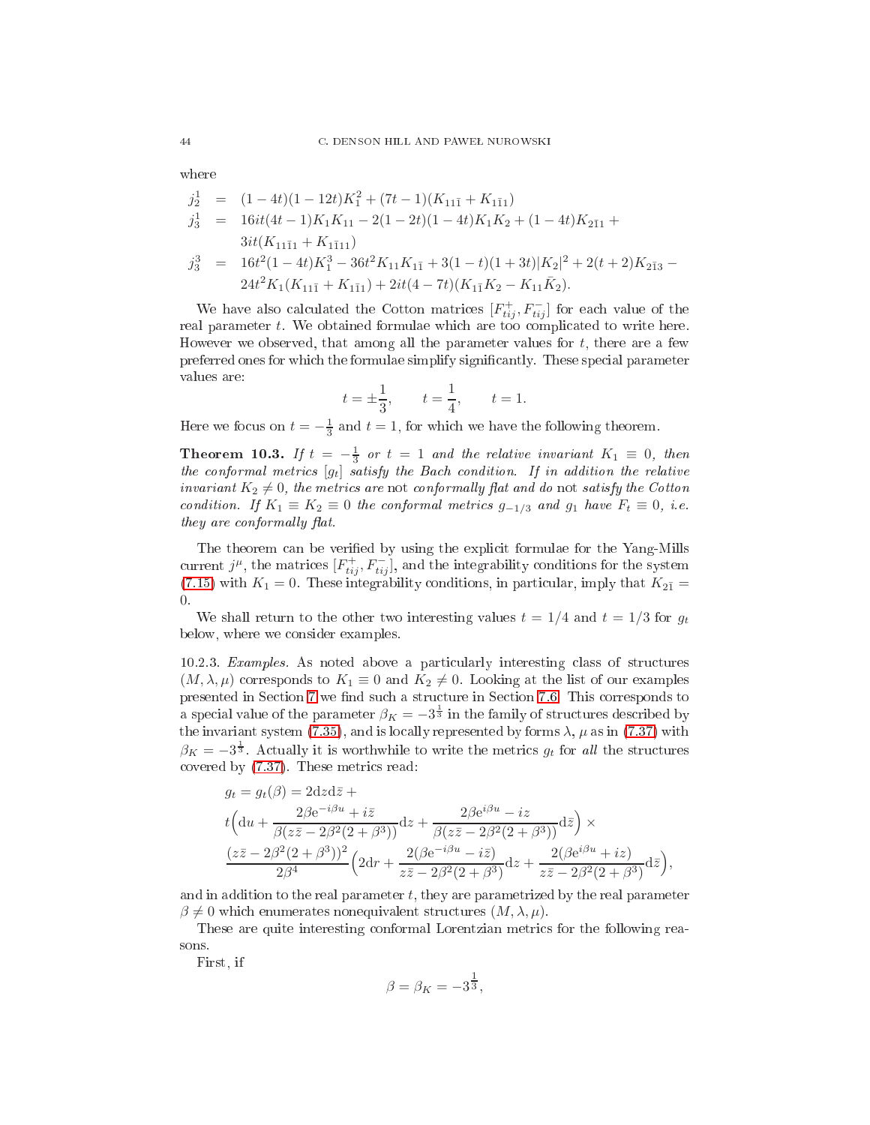$$
j_2^1 = (1 - 4t)(1 - 12t)K_1^2 + (7t - 1)(K_{11\bar{1}} + K_{1\bar{1}1})
$$
  
\n
$$
j_3^1 = 16it(4t - 1)K_1K_{11} - 2(1 - 2t)(1 - 4t)K_1K_2 + (1 - 4t)K_{2\bar{1}1} + 3it(K_{11\bar{1}1} + K_{1\bar{1}11})
$$
  
\n
$$
j_3^3 = 16t^2(1 - 4t)K_1^3 - 36t^2K_{11}K_{1\bar{1}} + 3(1 - t)(1 + 3t)|K_2|^2 + 2(t + 2)K_{2\bar{1}3} - 24t^2K_1(K_{11\bar{1}} + K_{1\bar{1}1}) + 2it(4 - 7t)(K_{1\bar{1}}K_2 - K_{11}\bar{K}_2).
$$

We have also calculated the Cotton matrices  $[F_{tij}^+, F_{tij}^-]$  for each value of the real parameter t. We obtained formulae which are too complicated to write here. However we observed, that among all the parameter values for  $t$ , there are a few preferred ones for which the formulae simplify significantly. These special parameter values are:

$$
t = \pm \frac{1}{3}
$$
,  $t = \frac{1}{4}$ ,  $t = 1$ .

<span id="page-43-0"></span>Here we focus on  $t = -\frac{1}{3}$  and  $t = 1$ , for which we have the following theorem.

**Theorem 10.3.** If  $t = -\frac{1}{3}$  or  $t = 1$  and the relative invariant  $K_1 \equiv 0$ , then the conformal metrics  $[g_t]$  satisfy the Bach condition. If in addition the relative invariant  $K_2 \neq 0$ , the metrics are not conformally flat and do not satisfy the Cotton condition. If  $K_1 \equiv K_2 \equiv 0$  the conformal metrics  $g_{-1/3}$  and  $g_1$  have  $F_t \equiv 0$ , i.e. they are conformally flat.

The theorem can be verified by using the explicit formulae for the Yang-Mills current  $j^{\mu}$ , the matrices  $[F_{tij}^{+}, F_{tij}^{-}]$ , and the integrability conditions for the system [\(7.15\)](#page-10-3) with  $K_1 = 0$ . These integrability conditions, in particular, imply that  $K_{2\bar{1}} =$ 0.

We shall return to the other two interesting values  $t = 1/4$  and  $t = 1/3$  for  $g_t$ below, where we onsider examples.

10.2.3. Examples. As noted above a particularly interesting class of structures  $(M, \lambda, \mu)$  corresponds to  $K_1 \equiv 0$  and  $K_2 \neq 0$ . Looking at the list of our examples presented in Section [7](#page-8-1) we find such a structure in Section [7.6.](#page-20-0) This corresponds to a special value of the parameter  $\beta_K = -3^{\frac{1}{3}}$  in the family of structures described by the invariant system [\(7.35\)](#page-22-0), and is locally represented by forms  $\lambda$ ,  $\mu$  as in [\(7.37\)](#page-22-1) with  $\beta_K = -3^{\frac{1}{3}}$ . Actually it is worthwhile to write the metrics  $g_t$  for all the structures covered by  $(7.37)$ . These metrics read:

$$
g_t = g_t(\beta) = 2dzd\overline{z} +
$$
  
\n
$$
t\left(du + \frac{2\beta e^{-i\beta u} + i\overline{z}}{\beta(z\overline{z} - 2\beta^2(2+\beta^3))}dz + \frac{2\beta e^{i\beta u} - iz}{\beta(z\overline{z} - 2\beta^2(2+\beta^3))}d\overline{z}\right) \times
$$
  
\n
$$
\frac{(z\overline{z} - 2\beta^2(2+\beta^3))^2}{2\beta^4} \left(2dr + \frac{2(\beta e^{-i\beta u} - i\overline{z})}{z\overline{z} - 2\beta^2(2+\beta^3)}dz + \frac{2(\beta e^{i\beta u} + iz)}{z\overline{z} - 2\beta^2(2+\beta^3)}d\overline{z}\right),
$$

and in addition to the real parameter  $t$ , they are parametrized by the real parameter  $\beta \neq 0$  which enumerates nonequivalent structures  $(M, \lambda, \mu)$ .

These are quite interesting conformal Lorentzian metrics for the following reasons.

First, if

$$
\beta = \beta_K = -3^{\frac{1}{3}},
$$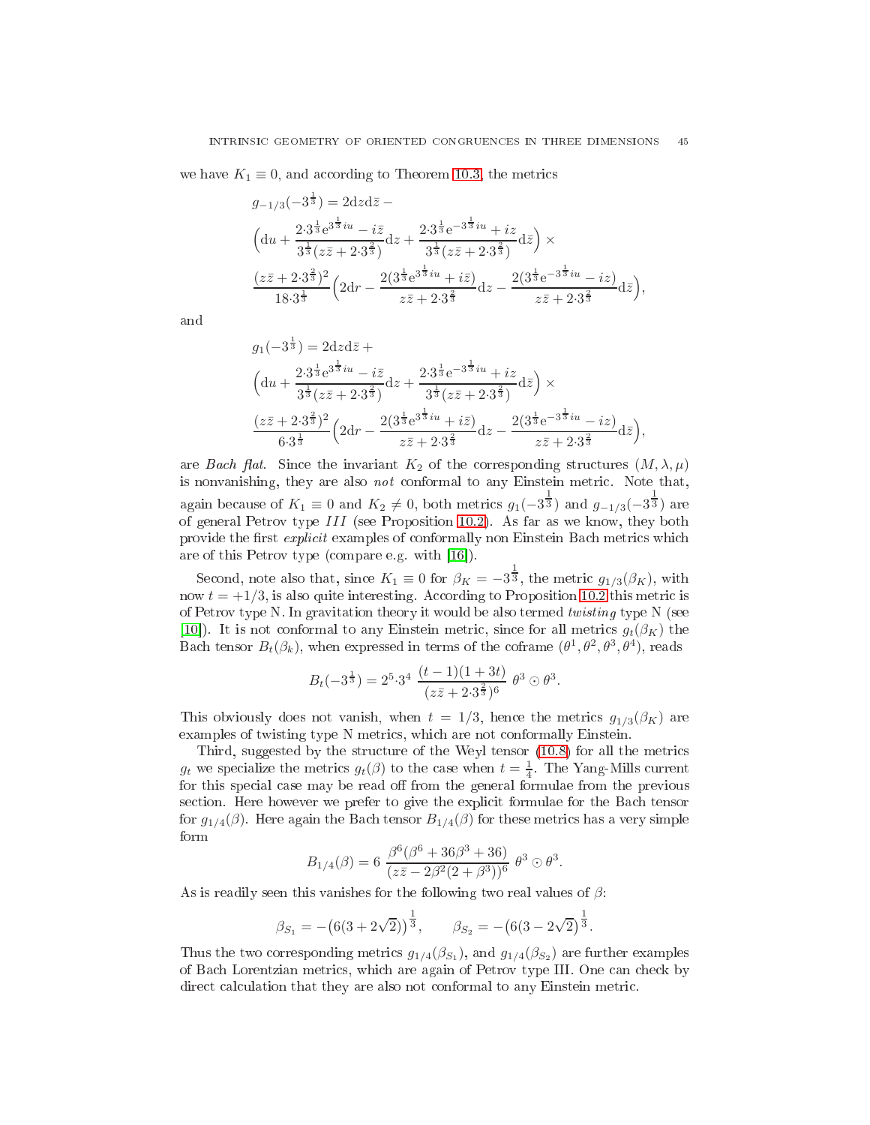we have  $K_1 \equiv 0$ , and according to Theorem [10.3,](#page-43-0) the metrics

$$
g_{-1/3}(-3^{\frac{1}{3}}) = 2dzd\overline{z} -
$$
  
\n
$$
\left(du + \frac{2 \cdot 3^{\frac{1}{3}} e^{3^{\frac{1}{3}}iu} - i\overline{z}}{3^{\frac{1}{3}}(z\overline{z} + 2 \cdot 3^{\frac{2}{3}})}dz + \frac{2 \cdot 3^{\frac{1}{3}} e^{-3^{\frac{1}{3}}iu} + i\overline{z}}{3^{\frac{1}{3}}(z\overline{z} + 2 \cdot 3^{\frac{2}{3}})}dz\right) \times
$$
  
\n
$$
\frac{(z\overline{z} + 2 \cdot 3^{\frac{2}{3}})^2}{18 \cdot 3^{\frac{1}{3}}} \left(2dr - \frac{2(3^{\frac{1}{3}} e^{3^{\frac{1}{3}}iu} + i\overline{z})}{z\overline{z} + 2 \cdot 3^{\frac{2}{3}}}dz - \frac{2(3^{\frac{1}{3}} e^{-3^{\frac{1}{3}}iu} - iz)}{z\overline{z} + 2 \cdot 3^{\frac{2}{3}}}d\overline{z}\right),
$$

and

$$
g_1(-3^{\frac{1}{3}}) = 2dzd\overline{z} +
$$
  
\n
$$
\left(du + \frac{2 \cdot 3^{\frac{1}{3}} e^{3^{\frac{1}{3}}iu} - i\overline{z}}{3^{\frac{1}{3}}(z\overline{z} + 2 \cdot 3^{\frac{2}{3}})}dz + \frac{2 \cdot 3^{\frac{1}{3}} e^{-3^{\frac{1}{3}}iu} + i\overline{z}}{3^{\frac{1}{3}}(z\overline{z} + 2 \cdot 3^{\frac{2}{3}})}dz\right) \times
$$
  
\n
$$
\frac{(z\overline{z} + 2 \cdot 3^{\frac{2}{3}})^2}{6 \cdot 3^{\frac{1}{3}}} \left(2dr - \frac{2(3^{\frac{1}{3}} e^{3^{\frac{1}{3}}iu} + i\overline{z})}{z\overline{z} + 2 \cdot 3^{\frac{2}{3}}}dz - \frac{2(3^{\frac{1}{3}} e^{-3^{\frac{1}{3}}iu} - i\overline{z})}{z\overline{z} + 2 \cdot 3^{\frac{2}{3}}}d\overline{z}\right),
$$

are Bach flat. Since the invariant  $K_2$  of the corresponding structures  $(M, \lambda, \mu)$ is nonvanishing, they are also *not* conformal to any Einstein metric. Note that, again because of  $K_1 \equiv 0$  and  $K_2 \neq 0$ , both metrics  $g_1(-3^{\frac{1}{3}})$  and  $g_{-1/3}(-3^{\frac{1}{3}})$  are of general Petrov type III (see Proposition [10.2\)](#page-42-0). As far as we know, they both provide the first explicit examples of conformally non Einstein Bach metrics which are of this Petrov type (compare e.g. with  $[16]$ ).

Second, note also that, since  $K_1 \equiv 0$  for  $\beta_K = -3^{\frac{1}{3}}$ , the metric  $g_{1/3}(\beta_K)$ , with now  $t = \pm 1/3$ , is also quite interesting. According to Proposition [10.2](#page-42-0) this metric is of Petrov type N. In gravitation theory it would be also termed twisting type N (see [10]). It is not conformal to any Einstein metric, since for all metrics  $g_t(\beta_K)$  the Bach tensor  $B_t(\beta_k)$ , when expressed in terms of the coframe  $(\theta^1, \theta^2, \theta^3, \theta^4)$ , reads

$$
B_t(-3^{\frac{1}{3}}) = 2^5 \cdot 3^4 \cdot \frac{(t-1)(1+3t)}{(z\bar{z}+2\cdot 3^{\frac{2}{3}})^6} \theta^3 \odot \theta^3.
$$

This obviously does not vanish, when  $t = 1/3$ , hence the metrics  $g_{1/3}(\beta_K)$  are examples of twisting type N metrics, which are not conformally Einstein.

Third, suggested by the structure of the Weyl tensor [\(10.8\)](#page-42-1) for all the metrics  $g_t$  we specialize the metrics  $g_t(\beta)$  to the case when  $t = \frac{1}{4}$ . The Yang-Mills current for this special case may be read off from the general formulae from the previous section. Here however we prefer to give the explicit formulae for the Bach tensor for  $g_{1/4}(\beta)$ . Here again the Bach tensor  $B_{1/4}(\beta)$  for these metrics has a very simple form

$$
B_{1/4}(\beta) = 6 \frac{\beta^6 (\beta^6 + 36\beta^3 + 36)}{(z\overline{z} - 2\beta^2 (2 + \beta^3))^6} \theta^3 \odot \theta^3.
$$

As is readily seen this vanishes for the following two real values of  $\beta$ :

$$
\beta_{S_1} = -\left(6(3+2\sqrt{2})\right)^{\frac{1}{3}}, \quad \beta_{S_2} = -\left(6(3-2\sqrt{2})^{\frac{1}{3}}\right).
$$

Thus the two corresponding metrics  $g_{1/4}(\beta_{S_1})$ , and  $g_{1/4}(\beta_{S_2})$  are further examples of Ba
h Lorentzian metri
s, whi
h are again of Petrov type III. One an he
k by direct calculation that they are also not conformal to any Einstein metric.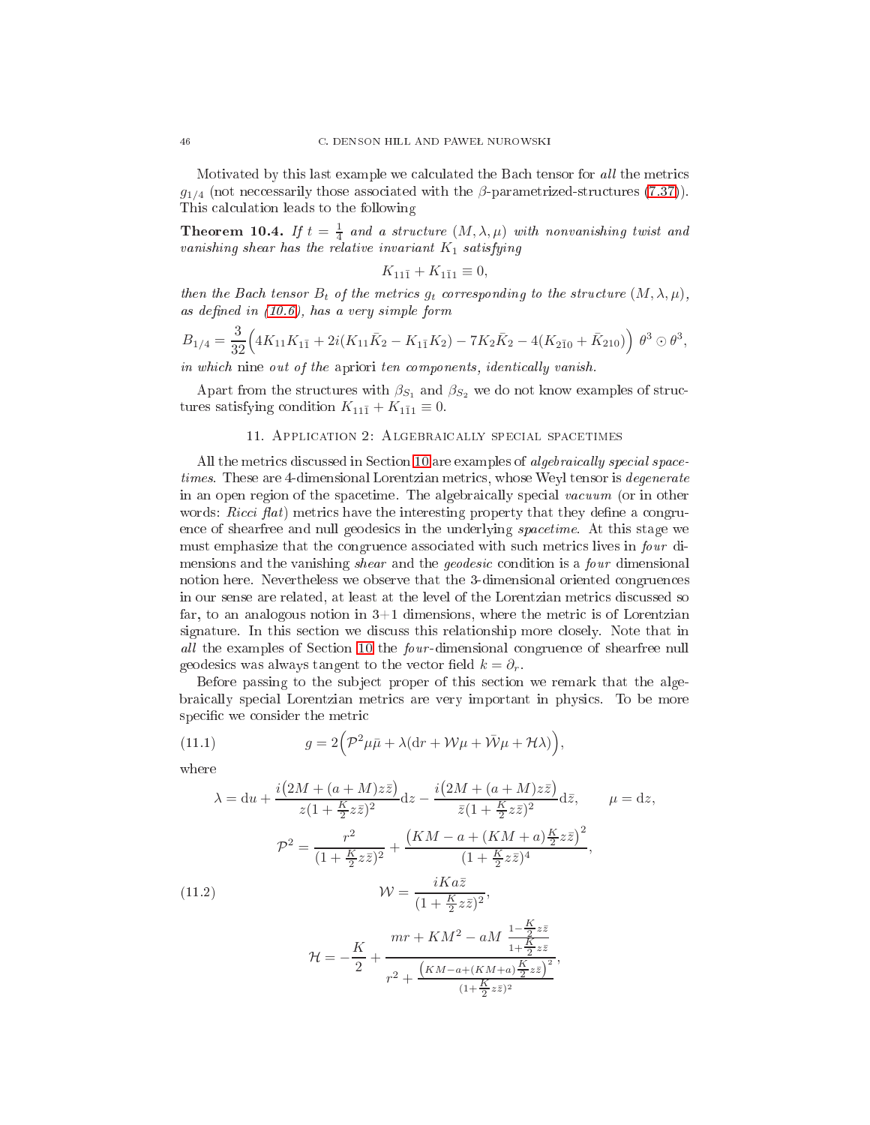Motivated by this last example we calculated the Bach tensor for all the metrics  $g_{1/4}$  (not necessarily those associated with the  $\beta$ -parametrized-structures [\(7.37\)](#page-22-1)). This al
ulation leads to the following

**Theorem 10.4.** If  $t = \frac{1}{4}$  and a structure  $(M, \lambda, \mu)$  with nonvanishing twist and vanishing shear has the relative invariant  $K_1$  satisfying

$$
K_{11\bar{1}} + K_{1\bar{1}1} \equiv 0,
$$

then the Bach tensor  $B_t$  of the metrics  $g_t$  corresponding to the structure  $(M, \lambda, \mu)$ , as defined in  $(10.6)$ , has a very simple form

$$
B_{1/4} = \frac{3}{32} \Big( 4K_{11}K_{1\bar{1}} + 2i(K_{11}\bar{K}_2 - K_{1\bar{1}}K_2) - 7K_2\bar{K}_2 - 4(K_{2\bar{1}0} + \bar{K}_{210}) \Big) \theta^3 \odot \theta^3,
$$

in which nine out of the apriori ten components, identically vanish.

<span id="page-45-0"></span>Apart from the structures with  $\beta_{S_1}$  and  $\beta_{S_2}$  we do not know examples of structures satisfying condition  $K_{11\bar{1}} + K_{1\bar{1}1} \equiv 0$ .

## 11. APPLICATION 2: ALGEBRAICALLY SPECIAL SPACETIMES

All the metrics discussed in Section [10](#page-38-0) are examples of *algebraically special space*times. These are 4-dimensional Lorentzian metrics, whose Weyl tensor is *degenerate* in an open region of the spacetime. The algebraically special vacuum (or in other words: *Ricci*  $flat$  metrics have the interesting property that they define a congruence of shearfree and null geodesics in the underlying *spacetime*. At this stage we must emphasize that the congruence associated with such metrics lives in four dimensions and the vanishing *shear* and the *geodesic* condition is a *four* dimensional notion here. Nevertheless we observe that the 3-dimensional oriented ongruen
es in our sense are related, at least at the level of the Lorentzian metrics discussed so far, to an analogous notion in  $3+1$  dimensions, where the metric is of Lorentzian signature. In this section we discuss this relationship more closely. Note that in all the examples of Section [10](#page-38-0) the *four*-dimensional congruence of shearfree null geodesics was always tangent to the vector field  $k = \partial_r$ .

Before passing to the subject proper of this section we remark that the algebrai
ally spe
ial Lorentzian metri
s are very important in physi
s. To be more specific we consider the metric

<span id="page-45-1"></span>(11.1) 
$$
g = 2\left(\mathcal{P}^2\mu\bar{\mu} + \lambda(\mathrm{d}r + \mathcal{W}\mu + \bar{\mathcal{W}}\mu + \mathcal{H}\lambda)\right),
$$

$$
\lambda = du + \frac{i(2M + (a + M)z\bar{z})}{z(1 + \frac{K}{2}z\bar{z})^2} dz - \frac{i(2M + (a + M)z\bar{z})}{\bar{z}(1 + \frac{K}{2}z\bar{z})^2} d\bar{z}, \qquad \mu = dz,
$$
  

$$
\mathcal{P}^2 = \frac{r^2}{(1 + \frac{K}{2}z\bar{z})^2} + \frac{(KM - a + (KM + a)\frac{K}{2}z\bar{z})^2}{(1 + \frac{K}{2}z\bar{z})^4},
$$
  
(11.2)  

$$
\mathcal{W} = \frac{iKa\bar{z}}{(1 + \frac{K}{2}z\bar{z})^2},
$$
  

$$
\mathcal{H} = -\frac{K}{2} + \frac{mr + KM^2 - aM}{r^2 + \frac{(KM - a + (KM + a)\frac{K}{2}z\bar{z})^2}{(1 + \frac{K}{2}z\bar{z})^2}},
$$

<span id="page-45-2"></span> $(1+\frac{K}{2}z\bar{z})^2$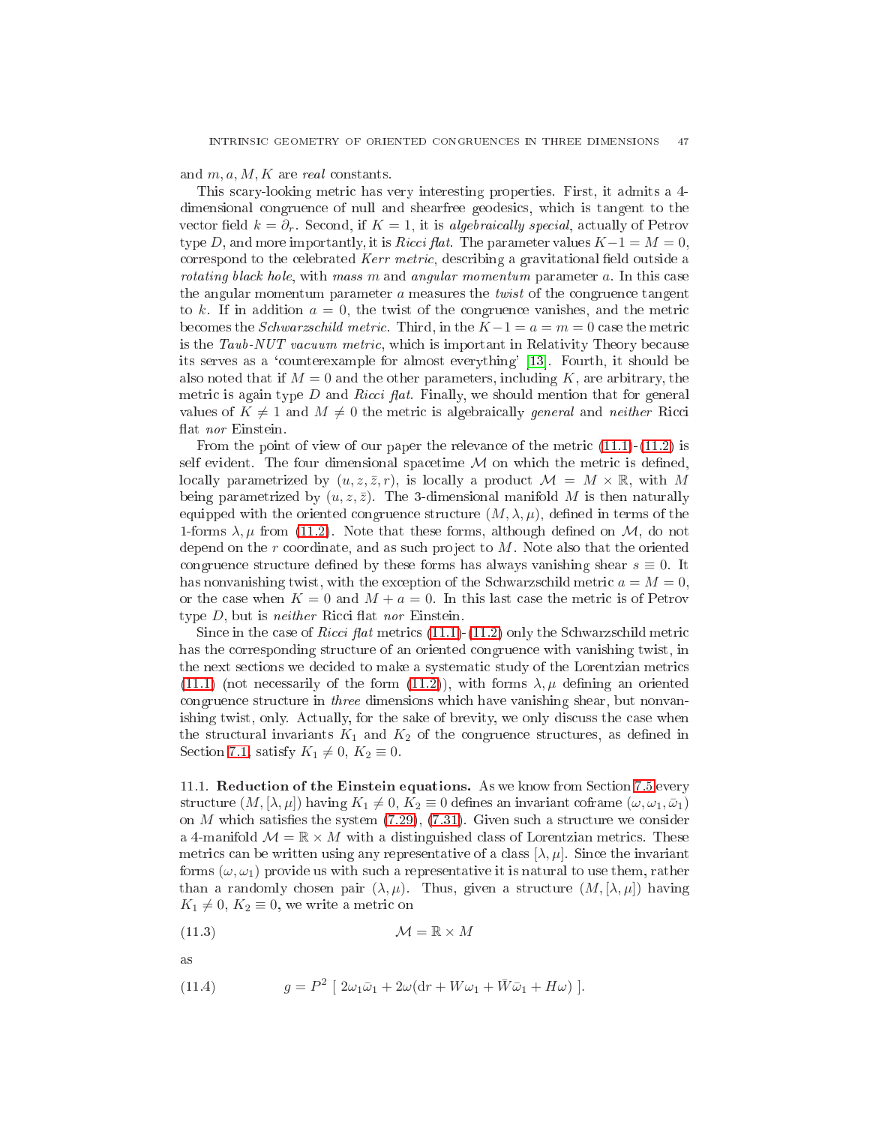and  $m, a, M, K$  are real constants.

This s
ary-looking metri has very interesting properties. First, it admits a 4 dimensional ongruen
e of null and shearfree geodesi
s, whi
h is tangent to the vector field  $k = \partial_r$ . Second, if  $K = 1$ , it is algebraically special, actually of Petrov type D, and more importantly, it is Ricci flat. The parameter values  $K-1 = M = 0$ , correspond to the celebrated Kerr metric, describing a gravitational field outside a rotating black hole, with mass m and angular momentum parameter a. In this case the angular momentum parameter  $a$  measures the *twist* of the congruence tangent to k. If in addition  $a = 0$ , the twist of the congruence vanishes, and the metric becomes the *Schwarzschild metric*. Third, in the  $K-1 = a = m = 0$  case the metric is the Taub-NUT vacuum metric, which is important in Relativity Theory because its serves as a 'counterexample for almost everything' [13]. Fourth, it should be also noted that if  $M = 0$  and the other parameters, including K, are arbitrary, the metric is again type  $D$  and Ricci flat. Finally, we should mention that for general values of  $K \neq 1$  and  $M \neq 0$  the metric is algebraically *general* and *neither* Ricci flat nor Einstein.

From the point of view of our paper the relevance of the metric  $(11.1)-(11.2)$  $(11.1)-(11.2)$  $(11.1)-(11.2)$  is self evident. The four dimensional spacetime  $\mathcal M$  on which the metric is defined, locally parametrized by  $(u, z, \overline{z}, r)$ , is locally a product  $\mathcal{M} = M \times \mathbb{R}$ , with M being parametrized by  $(u, z, \overline{z})$ . The 3-dimensional manifold M is then naturally equipped with the oriented congruence structure  $(M, \lambda, \mu)$ , defined in terms of the 1-forms  $\lambda, \mu$  from [\(11.2\)](#page-45-2). Note that these forms, although defined on  $\mathcal{M}$ , do not depend on the  $r$  coordinate, and as such project to  $M$ . Note also that the oriented congruence structure defined by these forms has always vanishing shear  $s \equiv 0$ . It has nonvanishing twist, with the exception of the Schwarzschild metric  $a = M = 0$ , or the case when  $K = 0$  and  $M + a = 0$ . In this last case the metric is of Petrov type  $D$ , but is *neither* Ricci flat *nor* Einstein.

Since in the case of Ricci flat metrics  $(11.1)-(11.2)$  $(11.1)-(11.2)$  $(11.1)-(11.2)$  only the Schwarzschild metric has the corresponding structure of an oriented congruence with vanishing twist, in the next sections we decided to make a systematic study of the Lorentzian metrics [\(11.1\)](#page-45-1) (not necessarily of the form [\(11.2\)](#page-45-2)), with forms  $\lambda, \mu$  defining an oriented congruence structure in *three* dimensions which have vanishing shear, but nonvanishing twist, only. Actually, for the sake of brevity, we only discuss the case when the structural invariants  $K_1$  and  $K_2$  of the congruence structures, as defined in Section [7.1,](#page-8-2) satisfy  $K_1 \neq 0$ ,  $K_2 \equiv 0$ .

<span id="page-46-0"></span>11.1. **Reduction of the Einstein equations.** As we know from Section [7.5](#page-14-0) every structure  $(M, [\lambda, \mu])$  having  $K_1 \neq 0, K_2 \equiv 0$  defines an invariant coframe  $(\omega, \omega_1, \bar{\omega}_1)$ on  $M$  which satisfies the system  $(7.29)$ ,  $(7.31)$ . Given such a structure we consider a 4-manifold  $\mathcal{M} = \mathbb{R} \times M$  with a distinguished class of Lorentzian metrics. These metrics can be written using any representative of a class  $[\lambda, \mu]$ . Since the invariant forms  $(\omega, \omega_1)$  provide us with such a representative it is natural to use them, rather than a randomly chosen pair  $(\lambda, \mu)$ . Thus, given a structure  $(M, [\lambda, \mu])$  having  $K_1 \neq 0, K_2 \equiv 0$ , we write a metric on

<span id="page-46-2"></span>(11.3) <sup>M</sup> <sup>=</sup> <sup>R</sup> <sup>×</sup> <sup>M</sup>

<span id="page-46-1"></span>(11.4) 
$$
g = P^2 \left[ 2\omega_1 \bar{\omega}_1 + 2\omega (dr + W\omega_1 + \bar{W}\bar{\omega}_1 + H\omega) \right].
$$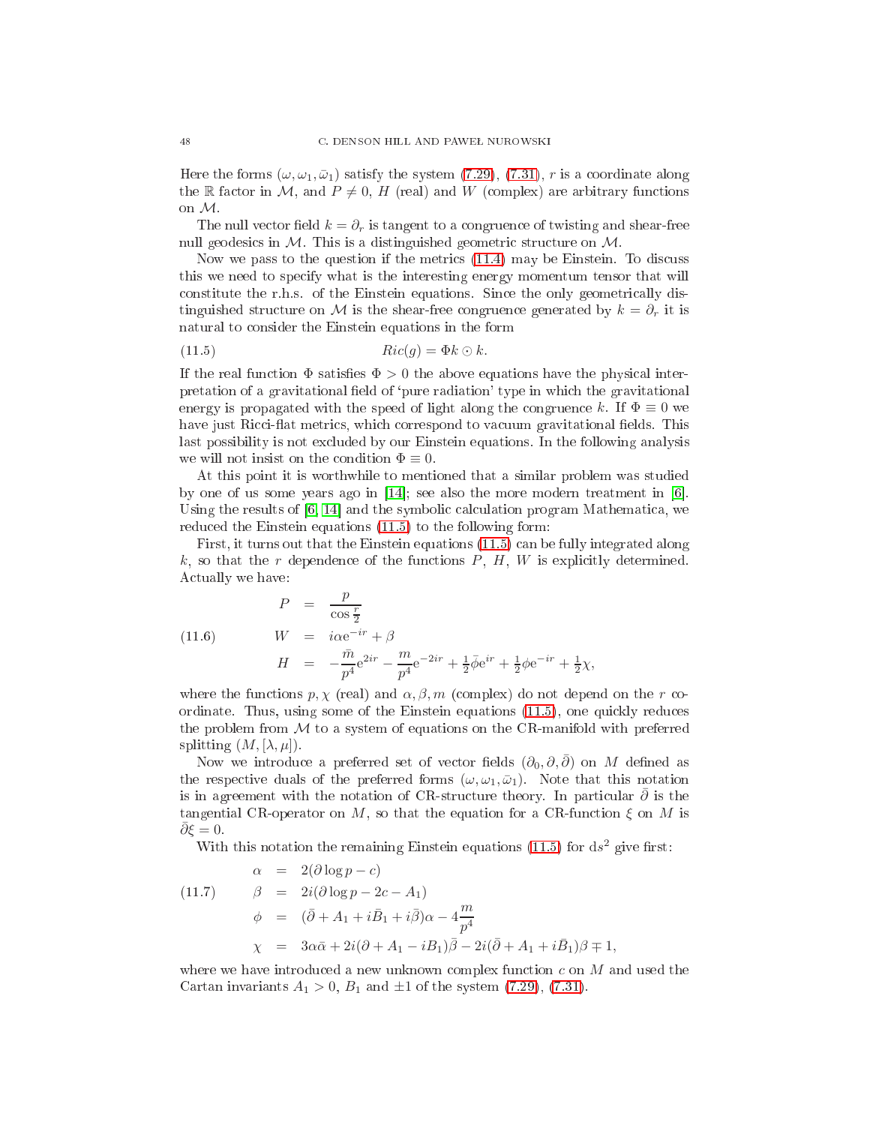Here the forms  $(\omega, \omega_1, \bar{\omega}_1)$  satisfy the system [\(7.29\)](#page-18-1), [\(7.31\)](#page-19-0), r is a coordinate along the R factor in M, and  $P \neq 0$ , H (real) and W (complex) are arbitrary functions on M.

The null vector field  $k = \partial_r$  is tangent to a congruence of twisting and shear-free null geodesics in  $M$ . This is a distinguished geometric structure on  $M$ .

Now we pass to the question if the metrics  $(11.4)$  may be Einstein. To discuss this we need to spe
ify what is the interesting energy momentum tensor that will constitute the r.h.s. of the Einstein equations. Since the only geometrically distinguished structure on M is the shear-free congruence generated by  $k = \partial_r$  it is natural to onsider the Einstein equations in the form

<span id="page-47-0"></span>(11.5) 
$$
Ric(g) = \Phi k \odot k.
$$

If the real function  $\Phi$  satisfies  $\Phi > 0$  the above equations have the physical interpretation of a gravitational field of 'pure radiation' type in which the gravitational energy is propagated with the speed of light along the congruence k. If  $\Phi \equiv 0$  we have just Ricci-flat metrics, which correspond to vacuum gravitational fields. This last possibility is not ex
luded by our Einstein equations. In the following analysis we will not insist on the condition  $\Phi \equiv 0$ .

At this point it is worthwhile to mentioned that a similar problem was studied by one of us some years ago in  $[14]$ ; see also the more modern treatment in [6]. Using the results of  $[6, 14]$  $[6, 14]$  and the symbolic calculation program Mathematica, we redu
ed the Einstein equations [\(11.5\)](#page-47-0) to the following form:

First, it turns out that the Einstein equations [\(11.5\)](#page-47-0) an be fully integrated along  $k$ , so that the r dependence of the functions  $P$ ,  $H$ ,  $W$  is explicitly determined. A
tually we have:

<span id="page-47-1"></span>(11.6) 
$$
P = \frac{p}{\cos \frac{r}{2}}
$$

$$
W = i\alpha e^{-ir} + \beta
$$

$$
H = -\frac{\bar{m}}{p^4}e^{2ir} - \frac{m}{p^4}e^{-2ir} + \frac{1}{2}\bar{\phi}e^{ir} + \frac{1}{2}\phi e^{-ir} + \frac{1}{2}\chi,
$$

where the functions  $p, \chi$  (real) and  $\alpha, \beta, m$  (complex) do not depend on the r coordinate. Thus, using some of the Einstein equations  $(11.5)$ , one quickly reduces the problem from  $M$  to a system of equations on the CR-manifold with preferred splitting  $(M, [\lambda, \mu])$ .

Now we introduce a preferred set of vector fields  $(\partial_0, \partial, \overline{\partial})$  on M defined as the respective duals of the preferred forms  $(\omega, \omega_1, \bar{\omega}_1)$ . Note that this notation is in agreement with the notation of CR-structure theory. In particular  $\partial$  is the tangential CR-operator on M, so that the equation for a CR-function  $\xi$  on M is  $\partial \xi = 0.$ 

<span id="page-47-2"></span>With this notation the remaining Einstein equations [\(11.5\)](#page-47-0) for  $ds^2$  give first:

(11.7) 
$$
\alpha = 2(\partial \log p - c)
$$

$$
\beta = 2i(\partial \log p - 2c - A_1)
$$

$$
\phi = (\overline{\partial} + A_1 + i\overline{B}_1 + i\overline{\partial})\alpha - 4\frac{m}{p^4}
$$

$$
\chi = 3\alpha\overline{\alpha} + 2i(\partial + A_1 - iB_1)\overline{\beta} - 2i(\overline{\partial} + A_1 + i\overline{B}_1)\beta \mp 1,
$$

where we have introduced a new unknown complex function  $c$  on  $M$  and used the Cartan invariants  $A_1 > 0$ ,  $B_1$  and  $\pm 1$  of the system [\(7.29\)](#page-18-1), [\(7.31\)](#page-19-0).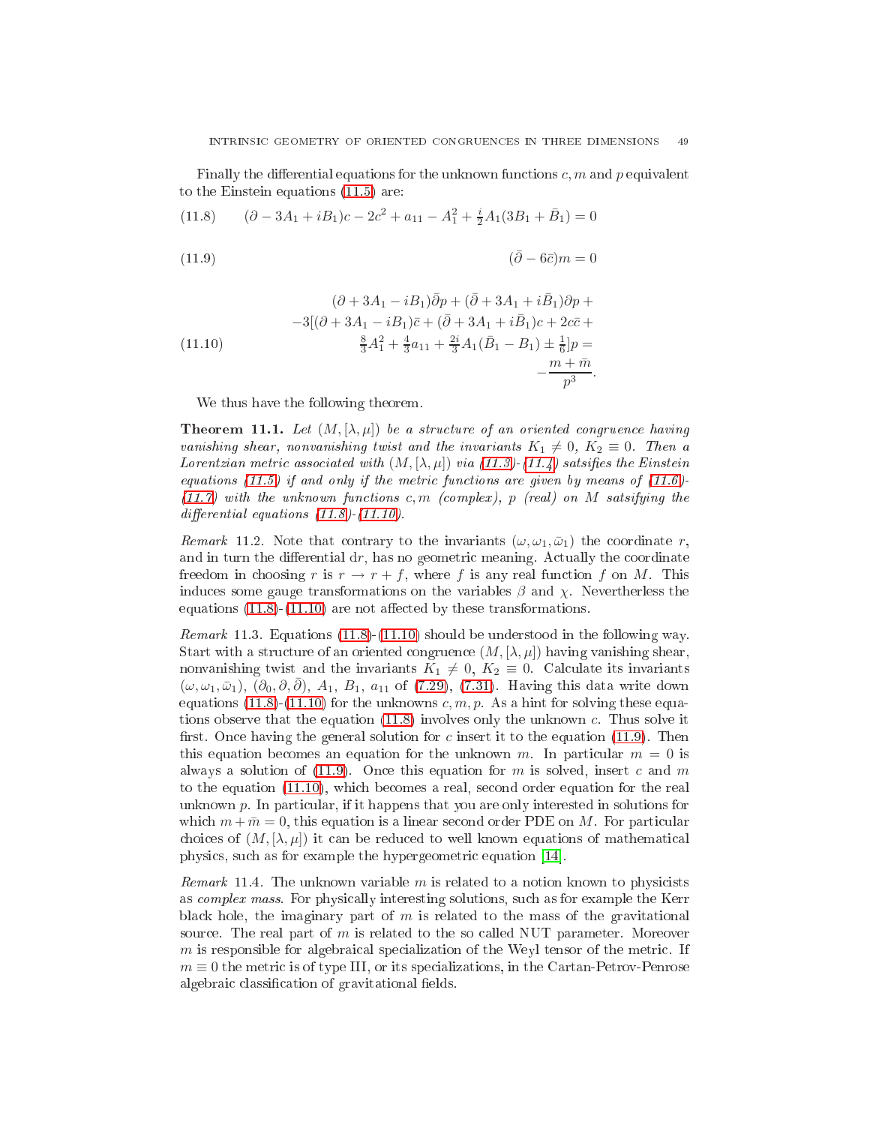Finally the differential equations for the unknown functions  $c, m$  and p equivalent to the Einstein equations [\(11.5\)](#page-47-0) are:

<span id="page-48-0"></span>(11.8) 
$$
(\partial - 3A_1 + iB_1)c - 2c^2 + a_{11} - A_1^2 + \frac{i}{2}A_1(3B_1 + \bar{B}_1) = 0
$$

( (11.9) <sup>∂</sup>¯ <sup>−</sup> 6¯c)<sup>m</sup> = 0

(11.10)  
\n
$$
(\partial + 3A_1 - iB_1)\bar{\partial}p + (\bar{\partial} + 3A_1 + i\bar{B}_1)\partial p +
$$
\n
$$
-3[(\partial + 3A_1 - iB_1)\bar{c} + (\bar{\partial} + 3A_1 + i\bar{B}_1)c + 2c\bar{c} +
$$
\n
$$
\frac{8}{3}A_1^2 + \frac{4}{3}a_{11} + \frac{2i}{3}A_1(\bar{B}_1 - B_1) \pm \frac{1}{6}]\bar{p} =
$$
\n
$$
-\frac{m + \bar{m}}{p^3}
$$

We thus have the following theorem.

**Theorem 11.1.** Let  $(M, [\lambda, \mu])$  be a structure of an oriented congruence having vanishing shear, nonvanishing twist and the invariants  $K_1 \neq 0, K_2 \equiv 0$ . Then a Lorentzian metric associated with  $(M, [\lambda, \mu])$  via [\(11.3\)](#page-46-2)-[\(11.4\)](#page-46-1) satsifies the Einstein equations [\(11.5\)](#page-47-0) if and only if the metric functions are given by means of  $(11.6)$ - $(11.7)$  with the unknown functions c, m (complex), p (real) on M satsifying the differential equations  $(11.8)-(11.10)$  $(11.8)-(11.10)$  $(11.8)-(11.10)$ .

.

Remark 11.2. Note that contrary to the invariants  $(\omega, \omega_1, \bar{\omega}_1)$  the coordinate r, and in turn the differential  $dr$ , has no geometric meaning. Actually the coordinate freedom in choosing r is  $r \to r + f$ , where f is any real function f on M. This induces some gauge transformations on the variables  $\beta$  and  $\chi$ . Nevertherless the equations  $(11.8)$ - $(11.10)$  are not affected by these transformations.

<span id="page-48-1"></span>*Remark* 11.3. Equations  $(11.8)-(11.10)$  $(11.8)-(11.10)$  $(11.8)-(11.10)$  should be understood in the following way. Start with a structure of an oriented congruence  $(M, [\lambda, \mu])$  having vanishing shear, nonvanishing twist and the invariants  $K_1 \neq 0, K_2 \equiv 0$ . Calculate its invariants  $(\omega, \omega_1, \bar{\omega}_1), (\partial_0, \partial, \bar{\partial}), A_1, B_1, a_{11}$  of [\(7.29\)](#page-18-1), [\(7.31\)](#page-19-0). Having this data write down equations [\(11.8\)](#page-48-0)-[\(11.10\)](#page-48-0) for the unknowns  $c, m, p$ . As a hint for solving these equations observe that the equation [\(11.8\)](#page-48-0) involves only the unknown c. Thus solve it first. Once having the general solution for c insert it to the equation  $(11.9)$ . Then this equation becomes an equation for the unknown m. In particular  $m = 0$  is always a solution of  $(11.9)$ . Once this equation for m is solved, insert c and m to the equation [\(11.10\)](#page-48-0), whi
h be
omes a real, se
ond order equation for the real unknown  $p$ . In particular, if it happens that you are only interested in solutions for which  $m + \overline{m} = 0$ , this equation is a linear second order PDE on M. For particular choices of  $(M, \lambda, \mu)$  it can be reduced to well known equations of mathematical physics, such as for example the hypergeometric equation [14].

*Remark* 11.4. The unknown variable  $m$  is related to a notion known to physicists as *complex mass*. For physically interesting solutions, such as for example the Kerr black hole, the imaginary part of  $m$  is related to the mass of the gravitational source. The real part of m is related to the so called NUT parameter. Moreover  $m$  is responsible for algebraical specialization of the Weyl tensor of the metric. If  $m \equiv 0$  the metric is of type III, or its specializations, in the Cartan-Petrov-Penrose algebraic classification of gravitational fields.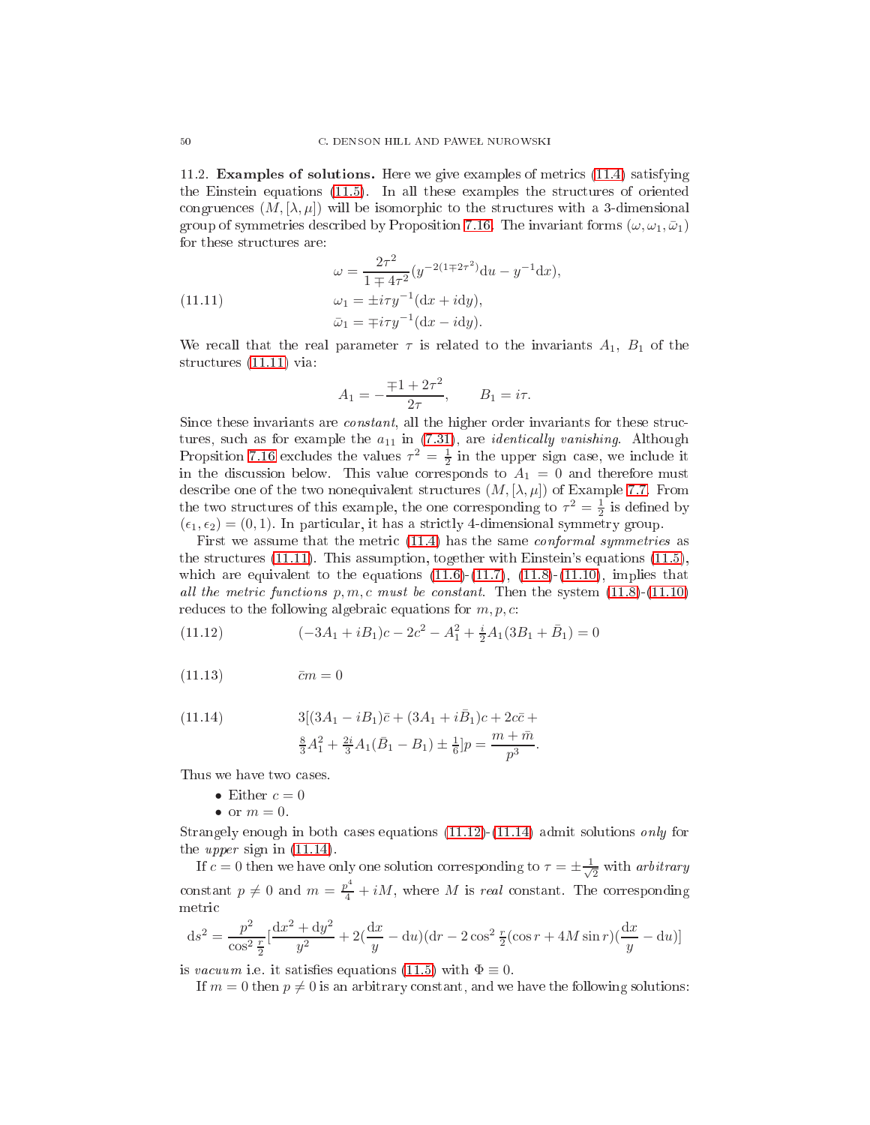<span id="page-49-0"></span>11.2. Examples of solutions. Here we give examples of metri
s [\(11.4\)](#page-46-1) satisfying the Einstein equations [\(11.5\)](#page-47-0). In all these examples the stru
tures of oriented congruences  $(M, [\lambda, \mu])$  will be isomorphic to the structures with a 3-dimensional group of symmetries described by Proposition [7.16.](#page-19-1) The invariant forms  $(\omega, \omega_1, \bar{\omega}_1)$ for these structures are:

(11.11) 
$$
\omega = \frac{2\tau^2}{1 \mp 4\tau^2} (y^{-2(1 \mp 2\tau^2)} du - y^{-1} dx),
$$

$$
\omega_1 = \pm i\tau y^{-1} (dx + i dy),
$$

$$
\bar{\omega}_1 = \mp i\tau y^{-1} (dx - i dy).
$$

We recall that the real parameter  $\tau$  is related to the invariants  $A_1$ ,  $B_1$  of the structures [\(11.11\)](#page-49-1) via:

<span id="page-49-1"></span>
$$
A_1 = -\frac{\mp 1 + 2\tau^2}{2\tau}, \qquad B_1 = i\tau.
$$

Since these invariants are *constant*, all the higher order invariants for these structures, such as for example the  $a_{11}$  in [\(7.31\)](#page-19-0), are *identically vanishing*. Although Propsition [7.16](#page-19-1) excludes the values  $\tau^2 = \frac{1}{2}$  in the upper sign case, we include it in the discussion below. This value corresponds to  $A_1 = 0$  and therefore must describe one of the two nonequivalent structures  $(M, [\lambda, \mu])$  of Example [7.7.](#page-13-1) From the two structures of this example, the one corresponding to  $\tau^2 = \frac{1}{2}$  is defined by  $(\epsilon_1, \epsilon_2) = (0, 1)$ . In particular, it has a strictly 4-dimensional symmetry group.

First we assume that the metric  $(11.4)$  has the same *conformal symmetries* as the structures  $(11.11)$ . This assumption, together with Einstein's equations  $(11.5)$ , which are equivalent to the equations  $(11.6)-(11.7)$  $(11.6)-(11.7)$  $(11.6)-(11.7)$ ,  $(11.8)-(11.10)$  $(11.8)-(11.10)$  $(11.8)-(11.10)$ , implies that all the metric functions  $p, m, c$  must be constant. Then the system  $(11.8)-(11.10)$  $(11.8)-(11.10)$  $(11.8)-(11.10)$ reduces to the following algebraic equations for  $m, p, c$ :

<span id="page-49-2"></span>(11.12) 
$$
(-3A_1 + iB_1)c - 2c^2 - A_1^2 + \frac{i}{2}A_1(3B_1 + \bar{B}_1) = 0
$$

 $(11.13)$   $\bar{c}m=0$ 

(11.14) 
$$
3[(3A_1 - iB_1)\bar{c} + (3A_1 + i\bar{B}_1)c + 2c\bar{c} + \frac{8}{3}A_1^2 + \frac{2i}{3}A_1(\bar{B}_1 - B_1) \pm \frac{1}{6}]\bar{p} = \frac{m + \bar{m}}{3}.
$$

$$
\frac{8}{3}A_1^2 + \frac{2i}{3}A_1(\bar{B}_1 - B_1) \pm \frac{1}{6}p = \frac{m + \bar{m}}{p^3}
$$

Thus we have two cases.

- Either  $c = 0$
- or  $m = 0$ .

Strangely enough in both cases equations  $(11.12)-(11.14)$  $(11.12)-(11.14)$  $(11.12)-(11.14)$  admit solutions only for the upper sign in [\(11.14\)](#page-49-2).

If  $c = 0$  then we have only one solution corresponding to  $\tau = \pm \frac{1}{\sqrt{2\pi}}$  $2^{n+1}$  arbitrary constant  $p \neq 0$  and  $m = \frac{p^4}{4} + iM$ , where M is real constant. The corresponding metri

$$
ds^{2} = \frac{p^{2}}{\cos^{2} \frac{r}{2}} \left[ \frac{dx^{2} + dy^{2}}{y^{2}} + 2\left(\frac{dx}{y} - du\right) \left( dr - 2\cos^{2} \frac{r}{2} (\cos r + 4M\sin r) \left(\frac{dx}{y} - du\right) \right]
$$

is vacuum i.e. it satisfies equations [\(11.5\)](#page-47-0) with  $\Phi \equiv 0$ .

If  $m = 0$  then  $p \neq 0$  is an arbitrary constant, and we have the following solutions: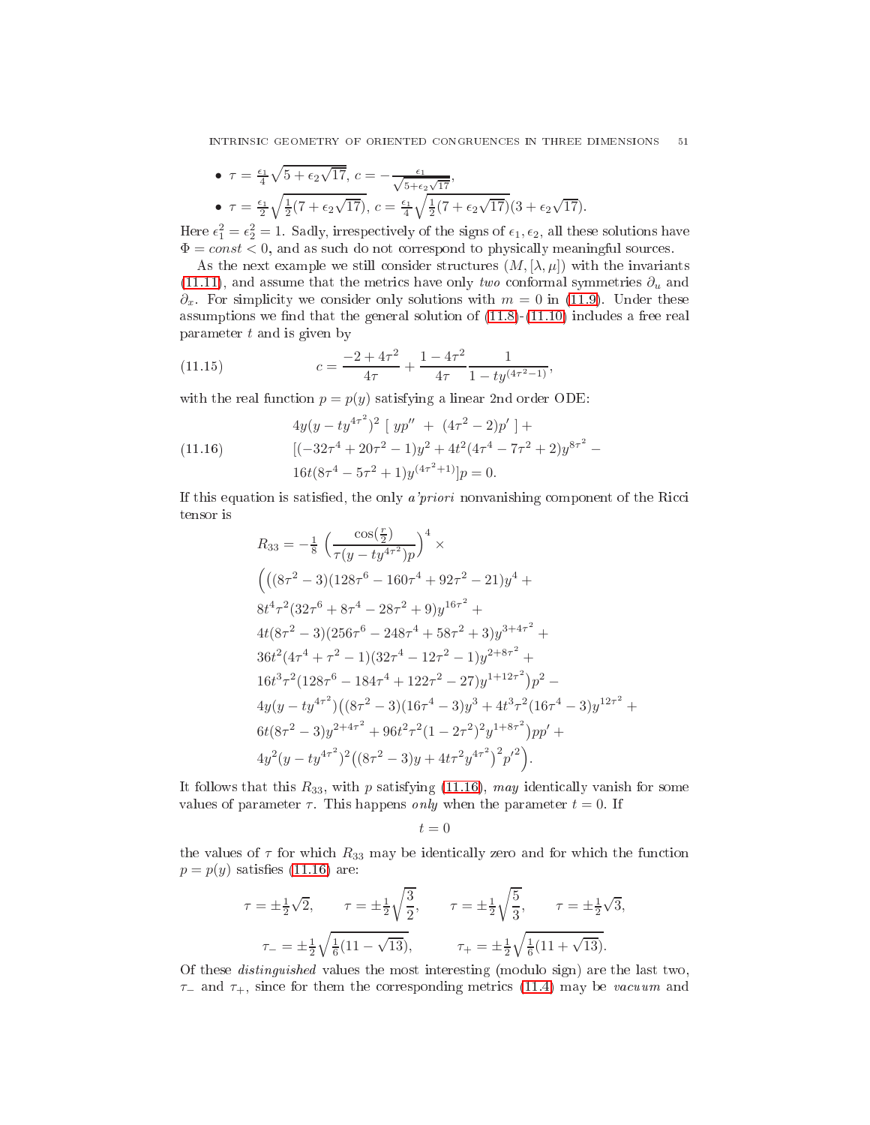• 
$$
\tau = \frac{\epsilon_1}{4} \sqrt{5 + \epsilon_2 \sqrt{17}}, c = -\frac{\epsilon_1}{\sqrt{5 + \epsilon_2 \sqrt{17}}},
$$
  
\n•  $\tau = \frac{\epsilon_1}{2} \sqrt{\frac{1}{2} (7 + \epsilon_2 \sqrt{17})}, c = \frac{\epsilon_1}{4} \sqrt{\frac{1}{2} (7 + \epsilon_2 \sqrt{17})} (3 + \epsilon_2 \sqrt{17}).$ 

Here  $\epsilon_1^2 = \epsilon_2^2 = 1$ . Sadly, irrespectively of the signs of  $\epsilon_1, \epsilon_2$ , all these solutions have  $\Phi = const < 0$ , and as such do not correspond to physically meaningful sources.

As the next example we still consider structures  $(M, [\lambda, \mu])$  with the invariants [\(11.11\)](#page-49-1), and assume that the metrics have only *two* conformal symmetries  $\partial_u$  and  $\partial_x$ . For simplicity we consider only solutions with  $m = 0$  in [\(11.9\)](#page-48-0). Under these assumptions we find that the general solution of  $(11.8)-(11.10)$  $(11.8)-(11.10)$  $(11.8)-(11.10)$  includes a free real parameter t and is given by

<span id="page-50-1"></span>(11.15) 
$$
c = \frac{-2 + 4\tau^2}{4\tau} + \frac{1 - 4\tau^2}{4\tau} \frac{1}{1 - ty^{(4\tau^2 - 1)}},
$$

with the real function  $p = p(y)$  satisfying a linear 2nd order ODE:

<span id="page-50-0"></span>(11.16) 
$$
4y(y - ty^{4\tau^2})^2 [yp'' + (4\tau^2 - 2)p'] +
$$

$$
[(-32\tau^4 + 20\tau^2 - 1)y^2 + 4t^2(4\tau^4 - 7\tau^2 + 2)y^{8\tau^2} -
$$

$$
16t(8\tau^4 - 5\tau^2 + 1)y^{(4\tau^2 + 1)}]p = 0.
$$

If this equation is satisfied, the only *a'priori* nonvanishing component of the Ricci tensor is

$$
R_{33} = -\frac{1}{8} \left( \frac{\cos(\frac{r}{2})}{\tau(y - ty^{4\tau^2})p} \right)^4 \times
$$
  
\n
$$
\left( \left( (8\tau^2 - 3)(128\tau^6 - 160\tau^4 + 92\tau^2 - 21)y^4 + 8t^4\tau^2(32\tau^6 + 8\tau^4 - 28\tau^2 + 9)y^{16\tau^2} +
$$
  
\n
$$
4t(8\tau^2 - 3)(256\tau^6 - 248\tau^4 + 58\tau^2 + 3)y^{3+4\tau^2} +
$$
  
\n
$$
36t^2(4\tau^4 + \tau^2 - 1)(32\tau^4 - 12\tau^2 - 1)y^{2+8\tau^2} +
$$
  
\n
$$
16t^3\tau^2(128\tau^6 - 184\tau^4 + 122\tau^2 - 27)y^{1+12\tau^2})p^2 -
$$
  
\n
$$
4y(y - ty^{4\tau^2})\left( (8\tau^2 - 3)(16\tau^4 - 3)y^3 + 4t^3\tau^2(16\tau^4 - 3)y^{12\tau^2} +
$$
  
\n
$$
6t(8\tau^2 - 3)y^{2+4\tau^2} + 96t^2\tau^2(1 - 2\tau^2)^2y^{1+8\tau^2})pp' +
$$
  
\n
$$
4y^2(y - ty^{4\tau^2})^2\left( (8\tau^2 - 3)y + 4t\tau^2y^{4\tau^2} \right)^2p'^2 \right).
$$

It follows that this  $R_{33}$ , with p satisfying [\(11.16\)](#page-50-0), may identically vanish for some values of parameter  $\tau$ . This happens *only* when the parameter  $t = 0$ . If

$$
t = 0
$$

the values of  $\tau$  for which  $R_{33}$  may be identically zero and for which the function  $p = p(y)$  satisfies [\(11.16\)](#page-50-0) are:

$$
\tau = \pm \frac{1}{2}\sqrt{2}, \qquad \tau = \pm \frac{1}{2}\sqrt{\frac{3}{2}}, \qquad \tau = \pm \frac{1}{2}\sqrt{\frac{5}{3}}, \qquad \tau = \pm \frac{1}{2}\sqrt{3},
$$

$$
\tau_{-} = \pm \frac{1}{2}\sqrt{\frac{1}{6}(11 - \sqrt{13})}, \qquad \tau_{+} = \pm \frac{1}{2}\sqrt{\frac{1}{6}(11 + \sqrt{13})}.
$$

Of these distinguished values the most interesting (modulo sign) are the last two,  $\tau_-\$  and  $\tau_+$ , since for them the corresponding metrics [\(11.4\)](#page-46-1) may be vacuum and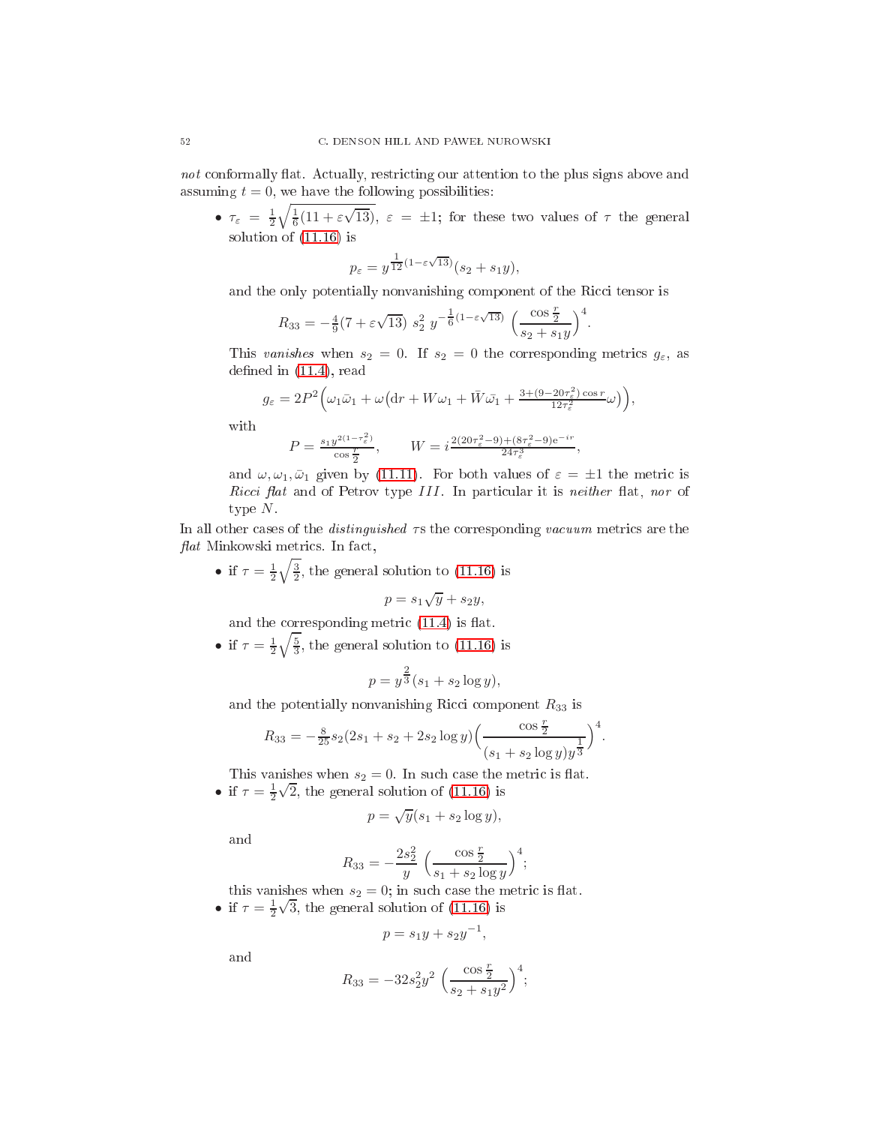not conformally flat. Actually, restricting our attention to the plus signs above and assuming  $t = 0$ , we have the following possibilities:

•  $\tau_{\varepsilon} = \frac{1}{2} \sqrt{\frac{1}{6} (11 + \varepsilon \sqrt{13})}, \quad \varepsilon = \pm 1$ ; for these two values of  $\tau$  the general solution of [\(11.16\)](#page-50-0) is

$$
p_{\varepsilon} = y^{\frac{1}{12}(1-\varepsilon\sqrt{13})}(s_2 + s_1y),
$$

and the only potentially nonvanishing component of the Ricci tensor is

$$
R_{33} = -\frac{4}{9}(7 + \varepsilon\sqrt{13}) s_2^2 y^{-\frac{1}{6}(1 - \varepsilon\sqrt{13})} \left(\frac{\cos\frac{r}{2}}{s_2 + s_1y}\right)^4.
$$

This vanishes when  $s_2 = 0$ . If  $s_2 = 0$  the corresponding metrics  $g_{\varepsilon}$ , as defined in  $(11.4)$ , read

$$
g_{\varepsilon} = 2P^2 \Big(\omega_1 \bar{\omega}_1 + \omega \big(\mathrm{d}r + W\omega_1 + \bar{W}\bar{\omega}_1 + \frac{3 + (9 - 20\tau_{\varepsilon}^2)\cos r}{12\tau_{\varepsilon}^2}\omega\big)\Big),
$$

with

$$
P = \frac{s_1 y^{2(1-\tau_{\varepsilon}^2)}}{\cos \frac{r}{2}}, \qquad W = i \frac{2(20\tau_{\varepsilon}^2 - 9) + (8\tau_{\varepsilon}^2 - 9)e^{-ir}}{24\tau_{\varepsilon}^3},
$$

and  $\omega, \omega_1, \bar{\omega}_1$  given by [\(11.11\)](#page-49-1). For both values of  $\varepsilon = \pm 1$  the metric is Ricci flat and of Petrov type III. In particular it is neither flat, nor of type  $N$ .

In all other cases of the *distinguished*  $\tau s$  the corresponding *vacuum* metrics are the  $flat$  Minkowski metrics. In fact,

• if  $\tau = \frac{1}{2}\sqrt{\frac{3}{2}}$ , the general solution to [\(11.16\)](#page-50-0) is

$$
p = s_1 \sqrt{y} + s_2 y,
$$

and the corresponding metric  $(11.4)$  is flat.

• if  $\tau = \frac{1}{2}\sqrt{\frac{5}{3}}$ , the general solution to [\(11.16\)](#page-50-0) is

$$
p = y^{\frac{2}{3}}(s_1 + s_2 \log y),
$$

and the potentially nonvanishing Ricci component  $R_{33}$  is

$$
R_{33} = -\frac{8}{25}s_2(2s_1 + s_2 + 2s_2 \log y) \left(\frac{\cos \frac{r}{2}}{(s_1 + s_2 \log y)y^{\frac{1}{3}}}\right)^4.
$$

This vanishes when  $s_2 = 0$ . In such case the metric is flat. • if  $\tau = \frac{1}{2}\sqrt{2}$ , the general solution of [\(11.16\)](#page-50-0) is

$$
p = \sqrt{y}(s_1 + s_2 \log y),
$$

and

$$
R_{33} = -\frac{2s_2^2}{y} \left( \frac{\cos \frac{r}{2}}{s_1 + s_2 \log y} \right)^4;
$$

this vanishes when  $s_2 = 0$ ; in such case the metric is flat.

• if  $\tau = \frac{1}{2}\sqrt{3}$ , the general solution of [\(11.16\)](#page-50-0) is

$$
p = s_1y + s_2y^{-1},
$$

and

$$
R_{33} = -32s_2^2 y^2 \left(\frac{\cos\frac{r}{2}}{s_2 + s_1 y^2}\right)^4;
$$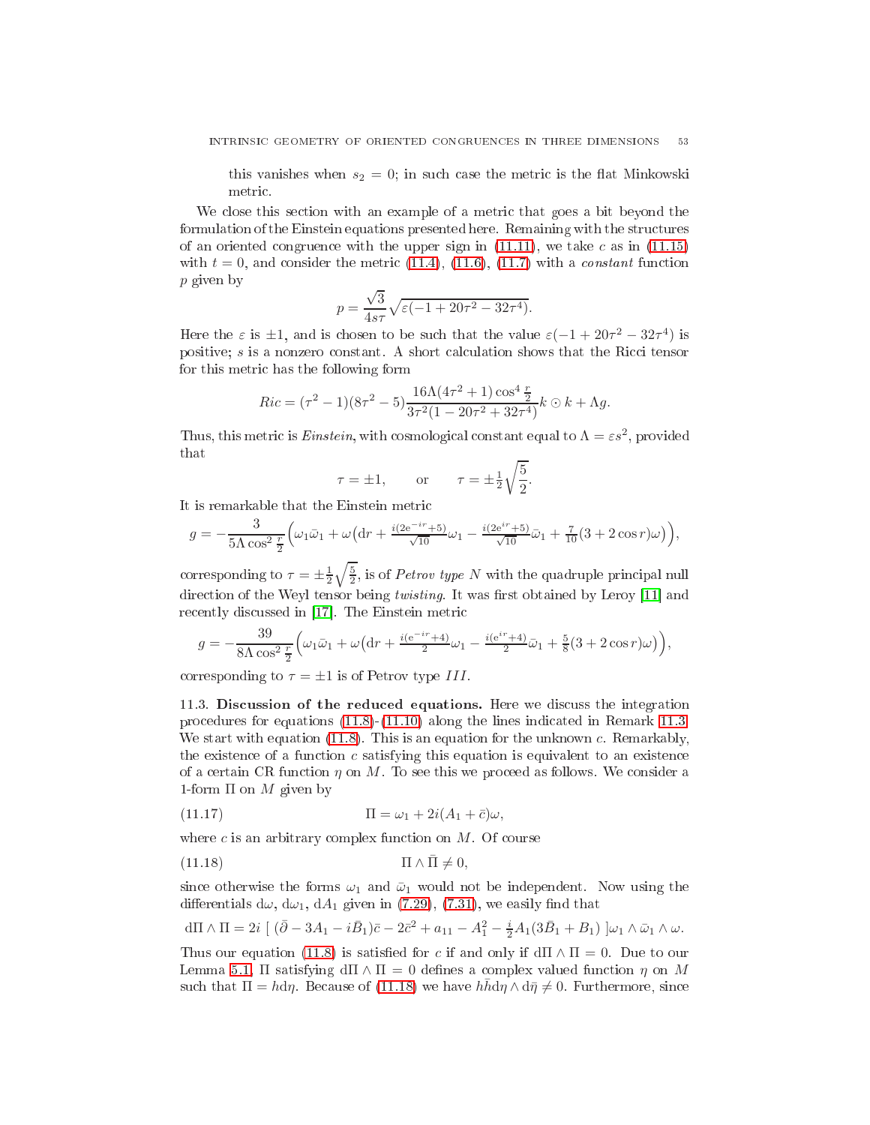this vanishes when  $s_2 = 0$ ; in such case the metric is the flat Minkowski metric.

We close this section with an example of a metric that goes a bit beyond the formulation of the Einstein equations presented here. Remaining with the structures of an oriented congruence with the upper sign in  $(11.11)$ , we take c as in  $(11.15)$ with  $t = 0$ , and consider the metric [\(11.4\)](#page-46-1), [\(11.6\)](#page-47-1), [\(11.7\)](#page-47-2) with a *constant* function p given by

$$
p = \frac{\sqrt{3}}{4s\tau} \sqrt{\varepsilon (-1 + 20\tau^2 - 32\tau^4)}.
$$

Here the  $\varepsilon$  is  $\pm 1$ , and is chosen to be such that the value  $\varepsilon(-1+20\tau^2-32\tau^4)$  is positive;  $s$  is a nonzero constant. A short calculation shows that the Ricci tensor for this metric has the following form

$$
Ric = (\tau^2 - 1)(8\tau^2 - 5)\frac{16\Lambda(4\tau^2 + 1)\cos^4\frac{\tau}{2}}{3\tau^2(1 - 20\tau^2 + 32\tau^4)}k \odot k + \Lambda g.
$$

Thus, this metric is *Einstein*, with cosmological constant equal to  $\Lambda = \varepsilon s^2$ , provided that

$$
\tau = \pm 1, \qquad \text{or} \qquad \tau = \pm \frac{1}{2} \sqrt{\frac{5}{2}}.
$$

It is remarkable that the Einstein metri

$$
g = -\frac{3}{5\Lambda \cos^2 \frac{r}{2}} \Big( \omega_1 \bar{\omega}_1 + \omega \big( \mathrm{d}r + \frac{i(2e^{-ir} + 5)}{\sqrt{10}} \omega_1 - \frac{i(2e^{ir} + 5)}{\sqrt{10}} \bar{\omega}_1 + \frac{7}{10} (3 + 2\cos r) \omega \big) \Big),
$$

corresponding to  $\tau = \pm \frac{1}{2} \sqrt{\frac{5}{2}}$ , is of *Petrov type N* with the quadruple principal null direction of the Weyl tensor being twisting. It was first obtained by Leroy [11] and recently discussed in [17]. The Einstein metric

$$
g = -\frac{39}{8\Lambda \cos^2 \frac{r}{2}} \Big( \omega_1 \bar{\omega}_1 + \omega \Big( dr + \frac{i(e^{-ir} + 4)}{2} \omega_1 - \frac{i(e^{ir} + 4)}{2} \bar{\omega}_1 + \frac{5}{8} (3 + 2 \cos r) \omega \Big) \Big),
$$

<span id="page-52-0"></span>corresponding to  $\tau = \pm 1$  is of Petrov type III.

11.3. Discussion of the reduced equations. Here we discuss the integration pro
edures for equations [\(11.8\)](#page-48-0)-[\(11.10\)](#page-48-0) along the lines indi
ated in Remark [11.3.](#page-48-1) We start with equation [\(11.8\)](#page-48-0). This is an equation for the unknown c. Remarkably, the existence of a function  $c$  satisfying this equation is equivalent to an existence of a certain CR function  $\eta$  on M. To see this we proceed as follows. We consider a 1-form  $\Pi$  on  $M$  given by

<span id="page-52-2"></span>(11.17) 
$$
\Pi = \omega_1 + 2i(A_1 + \bar{c})\omega,
$$

where  $c$  is an arbitrary complex function on  $M$ . Of course

<span id="page-52-1"></span>(11.18) 
$$
\Pi \wedge \bar{\Pi} \neq 0,
$$

since otherwise the forms  $\omega_1$  and  $\bar{\omega}_1$  would not be independent. Now using the differentials  $d\omega$ ,  $d\omega_1$ ,  $dA_1$  given in [\(7.29\)](#page-18-1), [\(7.31\)](#page-19-0), we easily find that

$$
d\Pi \wedge \Pi = 2i \left[ (\bar{\partial} - 3A_1 - i\bar{B}_1)\bar{c} - 2\bar{c}^2 + a_{11} - A_1^2 - \frac{i}{2}A_1(3\bar{B}_1 + B_1) \right] \omega_1 \wedge \bar{\omega}_1 \wedge \omega.
$$

Thus our equation [\(11.8\)](#page-48-0) is satisfied for c if and only if  $d\Pi \wedge \Pi = 0$ . Due to our Lemma [5.1,](#page-7-3)  $\Pi$  satisfying  $d\Pi \wedge \Pi = 0$  defines a complex valued function  $\eta$  on M such that  $\Pi = h d\eta$ . Because of [\(11.18\)](#page-52-1) we have  $hh d\eta \wedge d\bar{\eta} \neq 0$ . Furthermore, since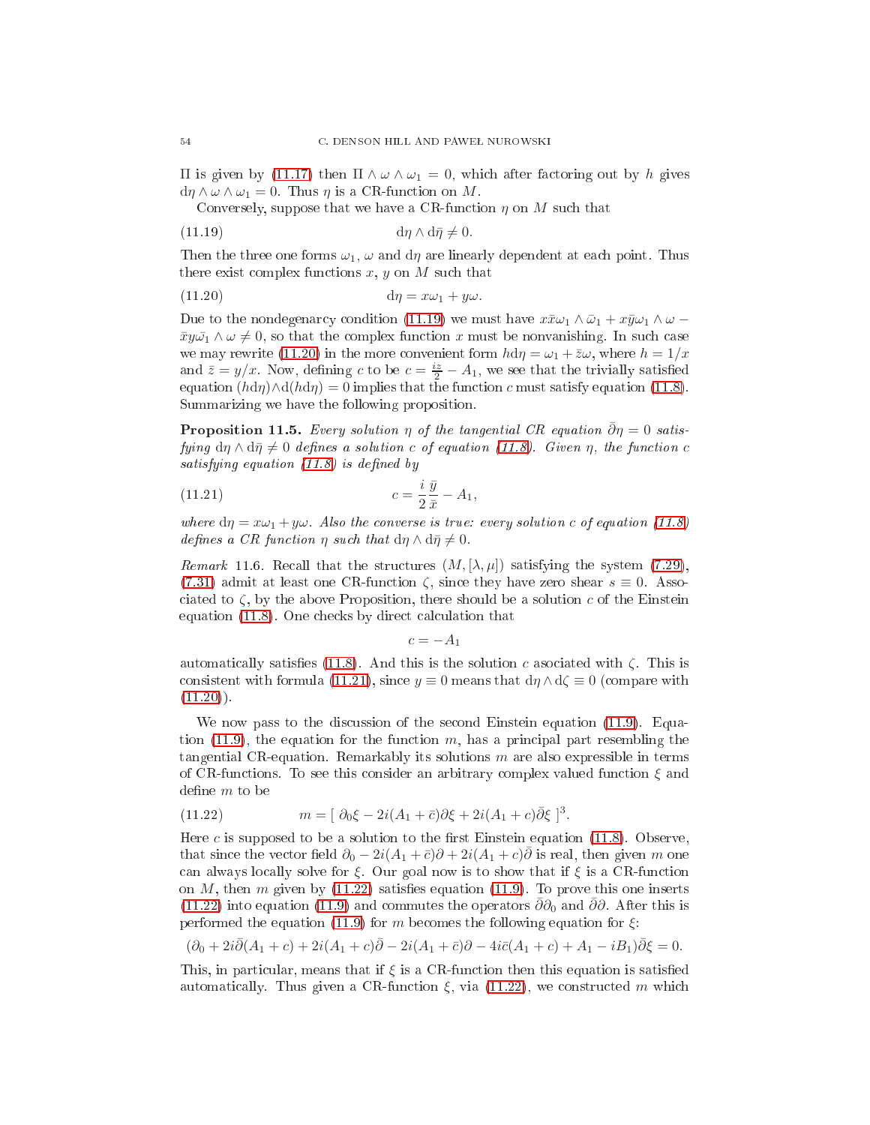$\Pi$  is given by [\(11.17\)](#page-52-2) then  $\Pi \wedge ω \wedge ω_1 = 0$ , which after factoring out by *h* gives  $d\eta \wedge \omega \wedge \omega_1 = 0$ . Thus  $\eta$  is a CR-function on M.

<span id="page-53-0"></span>Conversely, suppose that we have a CR-function  $\eta$  on M such that

(11.19) 
$$
\mathrm{d}\eta \wedge \mathrm{d}\bar{\eta} \neq 0.
$$

Then the three one forms  $\omega_1$ ,  $\omega$  and  $d\eta$  are linearly dependent at each point. Thus there exist complex functions  $x, y$  on  $M$  such that

<span id="page-53-1"></span>
$$
(11.20) \t\t d\eta = x\omega_1 + y\omega.
$$

Due to the nondegenarcy condition [\(11.19\)](#page-53-0) we must have  $x\bar{x}\omega_1 \wedge \bar{\omega}_1 + x\bar{y}\omega_1 \wedge \omega$  $\bar{x}y\bar{\omega_1}\wedge\omega\neq 0$ , so that the complex function x must be nonvanishing. In such case we may rewrite [\(11.20\)](#page-53-1) in the more convenient form  $h d\eta = \omega_1 + \overline{z}\omega$ , where  $h = 1/x$ and  $\bar{z} = y/x$ . Now, defining c to be  $c = \frac{iz}{2} - A_1$ , we see that the trivially satisfied equation  $(hd\eta) \wedge d(hd\eta) = 0$  implies that the function c must satisfy equation [\(11.8\)](#page-48-0). Summarizing we have the following proposition.

**Proposition 11.5.** Every solution  $\eta$  of the tangential CR equation  $\bar{\partial}\eta = 0$  satisfying  $d\eta \wedge d\bar{\eta} \neq 0$  defines a solution c of equation [\(11.8\)](#page-48-0). Given  $\eta$ , the function c satisfying equation  $(11.8)$  is defined by

$$
(11.21) \t\t\t c = \frac{i}{2} \frac{\bar{y}}{\bar{x}} - A_1,
$$

where  $d\eta = x\omega_1 + y\omega$ . Also the converse is true: every solution c of equation [\(11.8\)](#page-48-0) defines a CR function  $\eta$  such that  $d\eta \wedge d\bar{\eta} \neq 0$ .

*Remark* 11.6. Recall that the structures  $(M, [\lambda, \mu])$  satisfying the system [\(7.29\)](#page-18-1), [\(7.31\)](#page-19-0) admit at least one CR-function  $\zeta$ , since they have zero shear  $s \equiv 0$ . Associated to  $\zeta$ , by the above Proposition, there should be a solution c of the Einstein equation [\(11.8\)](#page-48-0). One checks by direct calculation that

<span id="page-53-2"></span>
$$
c=-A_1
$$

automatically satisfies [\(11.8\)](#page-48-0). And this is the solution c associated with  $\zeta$ . This is consistent with formula [\(11.21\)](#page-53-2), since  $y \equiv 0$  means that  $d\eta \wedge d\zeta \equiv 0$  (compare with  $(11.20)$ .

We now pass to the discussion of the second Einstein equation [\(11.9\)](#page-48-0). Equa-tion [\(11.9\)](#page-48-0), the equation for the function  $m$ , has a principal part resembling the tangential CR-equation. Remarkably its solutions  $m$  are also expressible in terms of CR-functions. To see this consider an arbitrary complex valued function  $\xi$  and define  $m$  to be

<span id="page-53-3"></span>(11.22) 
$$
m = [\partial_0 \xi - 2i(A_1 + \bar{c})\partial \xi + 2i(A_1 + c)\bar{\partial}\xi]^3.
$$

Here  $c$  is supposed to be a solution to the first Einstein equation [\(11.8\)](#page-48-0). Observe, that since the vector field  $\partial_0 - 2i(A_1 + \bar{c})\partial + 2i(A_1 + c)\partial$  is real, then given m one can always locally solve for  $\xi$ . Our goal now is to show that if  $\xi$  is a CR-function on  $M$ , then  $m$  given by [\(11.22\)](#page-53-3) satisfies equation [\(11.9\)](#page-48-0). To prove this one inserts [\(11.22\)](#page-53-3) into equation [\(11.9\)](#page-48-0) and commutes the operators  $\bar{\partial}\partial_0$  and  $\bar{\partial}\partial$ . After this is performed the equation [\(11.9\)](#page-48-0) for m becomes the following equation for  $\xi$ :

$$
(\partial_0 + 2i\overline{\partial}(A_1+c) + 2i(A_1+c)\overline{\partial} - 2i(A_1+\overline{c})\partial - 4i\overline{c}(A_1+c) + A_1 - iB_1)\overline{\partial}\xi = 0.
$$

This, in particular, means that if  $\xi$  is a CR-function then this equation is satisfied automatically. Thus given a CR-function  $\xi$ , via [\(11.22\)](#page-53-3), we constructed m which